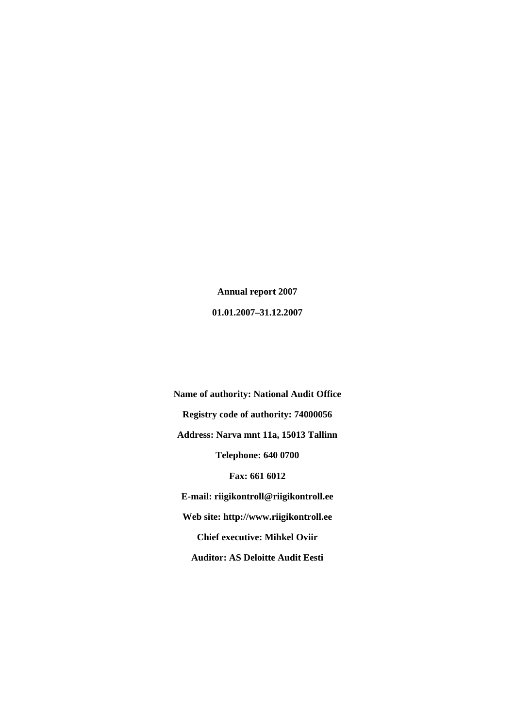**Annual report 2007 01.01.2007–31.12.2007** 

**Name of authority: National Audit Office Registry code of authority: 74000056 Address: Narva mnt 11a, 15013 Tallinn Telephone: 640 0700 Fax: 661 6012 E-mail: riigikontroll@riigikontroll.ee Web site: http://www.riigikontroll.ee Chief executive: Mihkel Oviir Auditor: AS Deloitte Audit Eesti**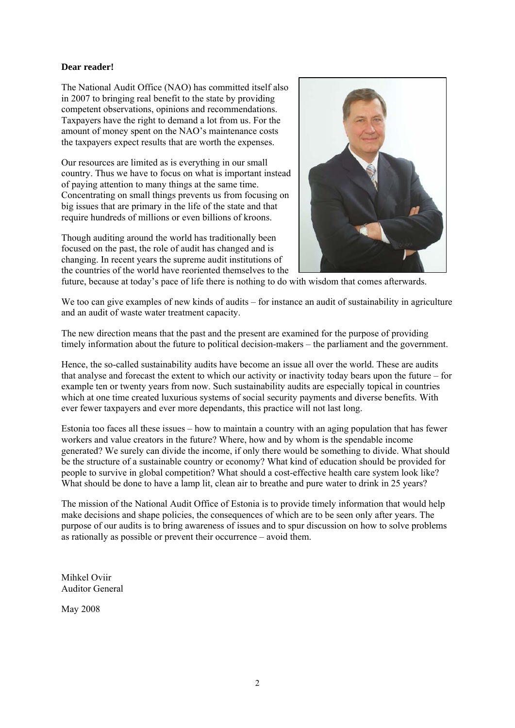# **Dear reader!**

The National Audit Office (NAO) has committed itself also in 2007 to bringing real benefit to the state by providing competent observations, opinions and recommendations. Taxpayers have the right to demand a lot from us. For the amount of money spent on the NAO's maintenance costs the taxpayers expect results that are worth the expenses.

Our resources are limited as is everything in our small country. Thus we have to focus on what is important instead of paying attention to many things at the same time. Concentrating on small things prevents us from focusing on big issues that are primary in the life of the state and that require hundreds of millions or even billions of kroons.

Though auditing around the world has traditionally been focused on the past, the role of audit has changed and is changing. In recent years the supreme audit institutions of the countries of the world have reoriented themselves to the



future, because at today's pace of life there is nothing to do with wisdom that comes afterwards.

We too can give examples of new kinds of audits – for instance an audit of sustainability in agriculture and an audit of waste water treatment capacity.

The new direction means that the past and the present are examined for the purpose of providing timely information about the future to political decision-makers – the parliament and the government.

Hence, the so-called sustainability audits have become an issue all over the world. These are audits that analyse and forecast the extent to which our activity or inactivity today bears upon the future – for example ten or twenty years from now. Such sustainability audits are especially topical in countries which at one time created luxurious systems of social security payments and diverse benefits. With ever fewer taxpayers and ever more dependants, this practice will not last long.

Estonia too faces all these issues – how to maintain a country with an aging population that has fewer workers and value creators in the future? Where, how and by whom is the spendable income generated? We surely can divide the income, if only there would be something to divide. What should be the structure of a sustainable country or economy? What kind of education should be provided for people to survive in global competition? What should a cost-effective health care system look like? What should be done to have a lamp lit, clean air to breathe and pure water to drink in 25 years?

The mission of the National Audit Office of Estonia is to provide timely information that would help make decisions and shape policies, the consequences of which are to be seen only after years. The purpose of our audits is to bring awareness of issues and to spur discussion on how to solve problems as rationally as possible or prevent their occurrence – avoid them.

Mihkel Oviir Auditor General

May 2008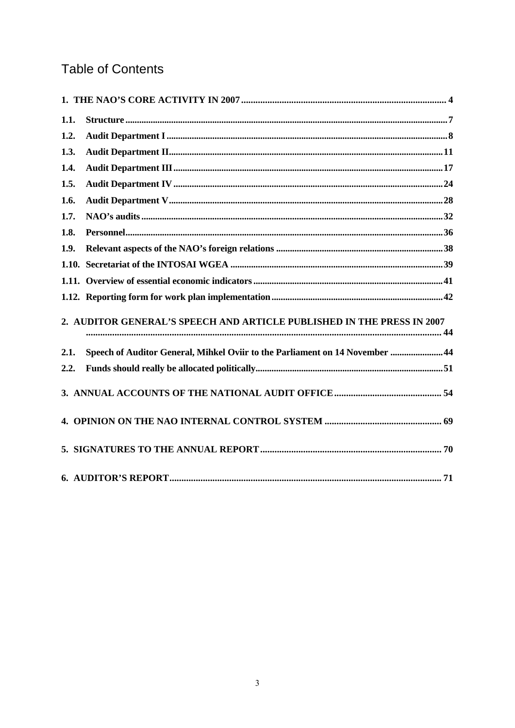# **Table of Contents**

| 1.1. |                                                                              |  |
|------|------------------------------------------------------------------------------|--|
| 1.2. |                                                                              |  |
| 1.3. |                                                                              |  |
| 1.4. |                                                                              |  |
| 1.5. |                                                                              |  |
| 1.6. |                                                                              |  |
| 1.7. |                                                                              |  |
| 1.8. |                                                                              |  |
| 1.9. |                                                                              |  |
|      |                                                                              |  |
|      |                                                                              |  |
|      |                                                                              |  |
|      | 2. AUDITOR GENERAL'S SPEECH AND ARTICLE PUBLISHED IN THE PRESS IN 2007       |  |
| 2.1. | Speech of Auditor General, Mihkel Oviir to the Parliament on 14 November  44 |  |
| 2.2. |                                                                              |  |
|      |                                                                              |  |
|      |                                                                              |  |
|      |                                                                              |  |
|      |                                                                              |  |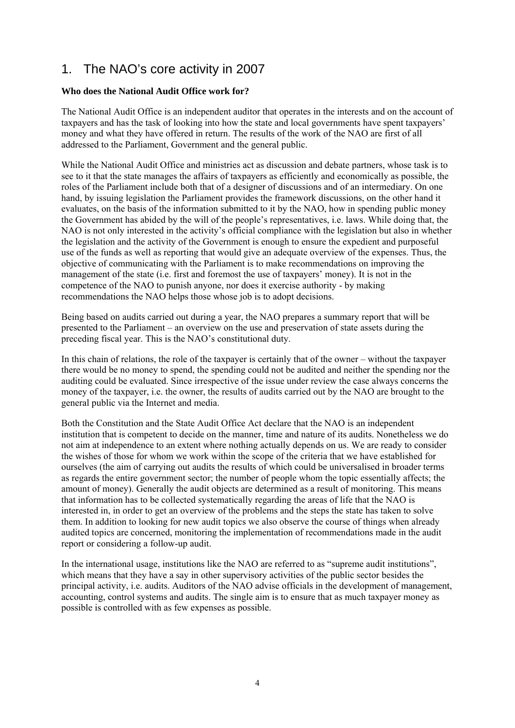# 1. The NAO's core activity in 2007

# **Who does the National Audit Office work for?**

The National Audit Office is an independent auditor that operates in the interests and on the account of taxpayers and has the task of looking into how the state and local governments have spent taxpayers' money and what they have offered in return. The results of the work of the NAO are first of all addressed to the Parliament, Government and the general public.

While the National Audit Office and ministries act as discussion and debate partners, whose task is to see to it that the state manages the affairs of taxpayers as efficiently and economically as possible, the roles of the Parliament include both that of a designer of discussions and of an intermediary. On one hand, by issuing legislation the Parliament provides the framework discussions, on the other hand it evaluates, on the basis of the information submitted to it by the NAO, how in spending public money the Government has abided by the will of the people's representatives, i.e. laws. While doing that, the NAO is not only interested in the activity's official compliance with the legislation but also in whether the legislation and the activity of the Government is enough to ensure the expedient and purposeful use of the funds as well as reporting that would give an adequate overview of the expenses. Thus, the objective of communicating with the Parliament is to make recommendations on improving the management of the state (i.e. first and foremost the use of taxpayers' money). It is not in the competence of the NAO to punish anyone, nor does it exercise authority - by making recommendations the NAO helps those whose job is to adopt decisions.

Being based on audits carried out during a year, the NAO prepares a summary report that will be presented to the Parliament – an overview on the use and preservation of state assets during the preceding fiscal year. This is the NAO's constitutional duty.

In this chain of relations, the role of the taxpayer is certainly that of the owner – without the taxpayer there would be no money to spend, the spending could not be audited and neither the spending nor the auditing could be evaluated. Since irrespective of the issue under review the case always concerns the money of the taxpayer, i.e. the owner, the results of audits carried out by the NAO are brought to the general public via the Internet and media.

Both the Constitution and the State Audit Office Act declare that the NAO is an independent institution that is competent to decide on the manner, time and nature of its audits. Nonetheless we do not aim at independence to an extent where nothing actually depends on us. We are ready to consider the wishes of those for whom we work within the scope of the criteria that we have established for ourselves (the aim of carrying out audits the results of which could be universalised in broader terms as regards the entire government sector; the number of people whom the topic essentially affects; the amount of money). Generally the audit objects are determined as a result of monitoring. This means that information has to be collected systematically regarding the areas of life that the NAO is interested in, in order to get an overview of the problems and the steps the state has taken to solve them. In addition to looking for new audit topics we also observe the course of things when already audited topics are concerned, monitoring the implementation of recommendations made in the audit report or considering a follow-up audit.

In the international usage, institutions like the NAO are referred to as "supreme audit institutions", which means that they have a say in other supervisory activities of the public sector besides the principal activity, i.e. audits. Auditors of the NAO advise officials in the development of management, accounting, control systems and audits. The single aim is to ensure that as much taxpayer money as possible is controlled with as few expenses as possible.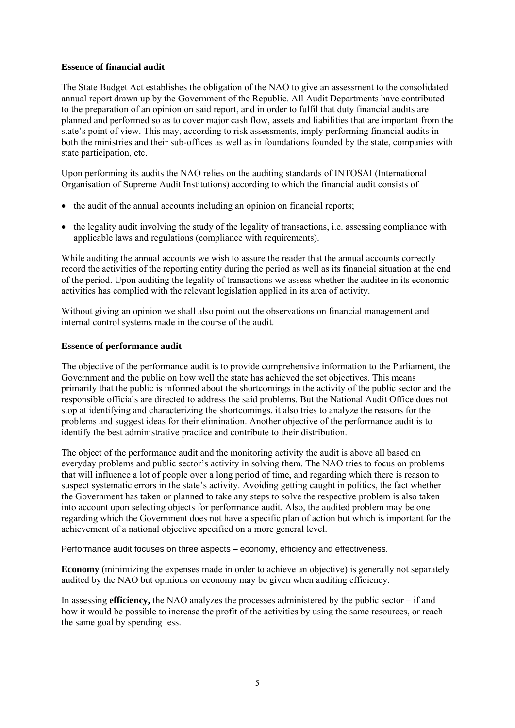# **Essence of financial audit**

The State Budget Act establishes the obligation of the NAO to give an assessment to the consolidated annual report drawn up by the Government of the Republic. All Audit Departments have contributed to the preparation of an opinion on said report, and in order to fulfil that duty financial audits are planned and performed so as to cover major cash flow, assets and liabilities that are important from the state's point of view. This may, according to risk assessments, imply performing financial audits in both the ministries and their sub-offices as well as in foundations founded by the state, companies with state participation, etc.

Upon performing its audits the NAO relies on the auditing standards of INTOSAI (International Organisation of Supreme Audit Institutions) according to which the financial audit consists of

- the audit of the annual accounts including an opinion on financial reports;
- the legality audit involving the study of the legality of transactions, i.e. assessing compliance with applicable laws and regulations (compliance with requirements).

While auditing the annual accounts we wish to assure the reader that the annual accounts correctly record the activities of the reporting entity during the period as well as its financial situation at the end of the period. Upon auditing the legality of transactions we assess whether the auditee in its economic activities has complied with the relevant legislation applied in its area of activity.

Without giving an opinion we shall also point out the observations on financial management and internal control systems made in the course of the audit.

#### **Essence of performance audit**

The objective of the performance audit is to provide comprehensive information to the Parliament, the Government and the public on how well the state has achieved the set objectives. This means primarily that the public is informed about the shortcomings in the activity of the public sector and the responsible officials are directed to address the said problems. But the National Audit Office does not stop at identifying and characterizing the shortcomings, it also tries to analyze the reasons for the problems and suggest ideas for their elimination. Another objective of the performance audit is to identify the best administrative practice and contribute to their distribution.

The object of the performance audit and the monitoring activity the audit is above all based on everyday problems and public sector's activity in solving them. The NAO tries to focus on problems that will influence a lot of people over a long period of time, and regarding which there is reason to suspect systematic errors in the state's activity. Avoiding getting caught in politics, the fact whether the Government has taken or planned to take any steps to solve the respective problem is also taken into account upon selecting objects for performance audit. Also, the audited problem may be one regarding which the Government does not have a specific plan of action but which is important for the achievement of a national objective specified on a more general level.

Performance audit focuses on three aspects – economy, efficiency and effectiveness.

**Economy** (minimizing the expenses made in order to achieve an objective) is generally not separately audited by the NAO but opinions on economy may be given when auditing efficiency.

In assessing **efficiency,** the NAO analyzes the processes administered by the public sector – if and how it would be possible to increase the profit of the activities by using the same resources, or reach the same goal by spending less.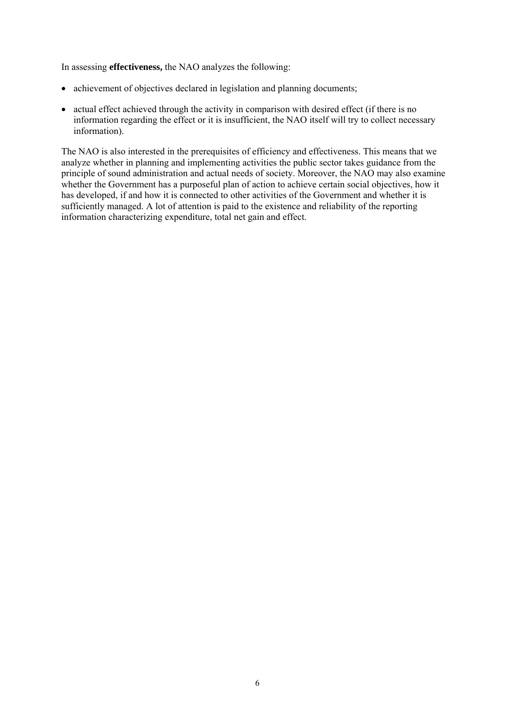In assessing **effectiveness,** the NAO analyzes the following:

- achievement of objectives declared in legislation and planning documents;
- actual effect achieved through the activity in comparison with desired effect (if there is no information regarding the effect or it is insufficient, the NAO itself will try to collect necessary information).

The NAO is also interested in the prerequisites of efficiency and effectiveness. This means that we analyze whether in planning and implementing activities the public sector takes guidance from the principle of sound administration and actual needs of society. Moreover, the NAO may also examine whether the Government has a purposeful plan of action to achieve certain social objectives, how it has developed, if and how it is connected to other activities of the Government and whether it is sufficiently managed. A lot of attention is paid to the existence and reliability of the reporting information characterizing expenditure, total net gain and effect.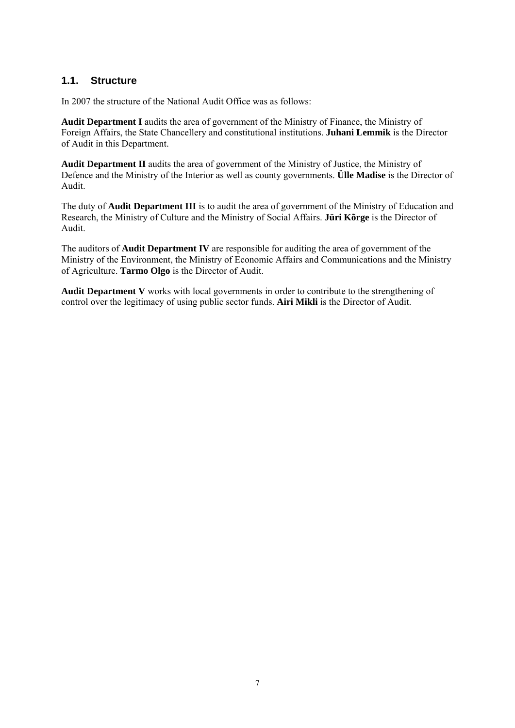# **1.1. Structure**

In 2007 the structure of the National Audit Office was as follows:

**Audit Department I** audits the area of government of the Ministry of Finance, the Ministry of Foreign Affairs, the State Chancellery and constitutional institutions. **Juhani Lemmik** is the Director of Audit in this Department.

**Audit Department II** audits the area of government of the Ministry of Justice, the Ministry of Defence and the Ministry of the Interior as well as county governments. **Ülle Madise** is the Director of Audit.

The duty of **Audit Department III** is to audit the area of government of the Ministry of Education and Research, the Ministry of Culture and the Ministry of Social Affairs. **Jüri Kõrge** is the Director of Audit.

The auditors of **Audit Department IV** are responsible for auditing the area of government of the Ministry of the Environment, the Ministry of Economic Affairs and Communications and the Ministry of Agriculture. **Tarmo Olgo** is the Director of Audit.

**Audit Department V** works with local governments in order to contribute to the strengthening of control over the legitimacy of using public sector funds. **Airi Mikli** is the Director of Audit.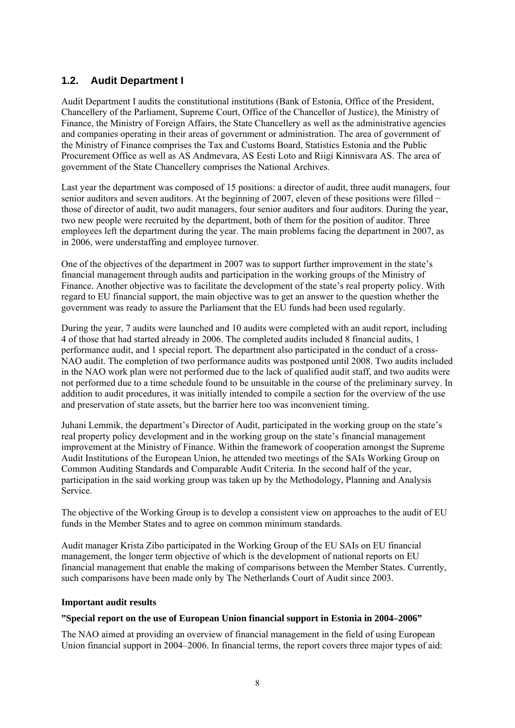# **1.2. Audit Department I**

Audit Department I audits the constitutional institutions (Bank of Estonia, Office of the President, Chancellery of the Parliament, Supreme Court, Office of the Chancellor of Justice), the Ministry of Finance, the Ministry of Foreign Affairs, the State Chancellery as well as the administrative agencies and companies operating in their areas of government or administration. The area of government of the Ministry of Finance comprises the Tax and Customs Board, Statistics Estonia and the Public Procurement Office as well as AS Andmevara, AS Eesti Loto and Riigi Kinnisvara AS. The area of government of the State Chancellery comprises the National Archives.

Last year the department was composed of 15 positions: a director of audit, three audit managers, four senior auditors and seven auditors. At the beginning of 2007, eleven of these positions were filled − those of director of audit, two audit managers, four senior auditors and four auditors. During the year, two new people were recruited by the department, both of them for the position of auditor. Three employees left the department during the year. The main problems facing the department in 2007, as in 2006, were understaffing and employee turnover.

One of the objectives of the department in 2007 was to support further improvement in the state's financial management through audits and participation in the working groups of the Ministry of Finance. Another objective was to facilitate the development of the state's real property policy. With regard to EU financial support, the main objective was to get an answer to the question whether the government was ready to assure the Parliament that the EU funds had been used regularly.

During the year, 7 audits were launched and 10 audits were completed with an audit report, including 4 of those that had started already in 2006. The completed audits included 8 financial audits, 1 performance audit, and 1 special report. The department also participated in the conduct of a cross-NAO audit. The completion of two performance audits was postponed until 2008. Two audits included in the NAO work plan were not performed due to the lack of qualified audit staff, and two audits were not performed due to a time schedule found to be unsuitable in the course of the preliminary survey. In addition to audit procedures, it was initially intended to compile a section for the overview of the use and preservation of state assets, but the barrier here too was inconvenient timing.

Juhani Lemmik, the department's Director of Audit, participated in the working group on the state's real property policy development and in the working group on the state's financial management improvement at the Ministry of Finance. Within the framework of cooperation amongst the Supreme Audit Institutions of the European Union, he attended two meetings of the SAIs Working Group on Common Auditing Standards and Comparable Audit Criteria. In the second half of the year, participation in the said working group was taken up by the Methodology, Planning and Analysis Service.

The objective of the Working Group is to develop a consistent view on approaches to the audit of EU funds in the Member States and to agree on common minimum standards.

Audit manager Krista Zibo participated in the Working Group of the EU SAIs on EU financial management, the longer term objective of which is the development of national reports on EU financial management that enable the making of comparisons between the Member States. Currently, such comparisons have been made only by The Netherlands Court of Audit since 2003.

## **Important audit results**

# **"Special report on the use of European Union financial support in Estonia in 2004–2006"**

The NAO aimed at providing an overview of financial management in the field of using European Union financial support in 2004–2006. In financial terms, the report covers three major types of aid: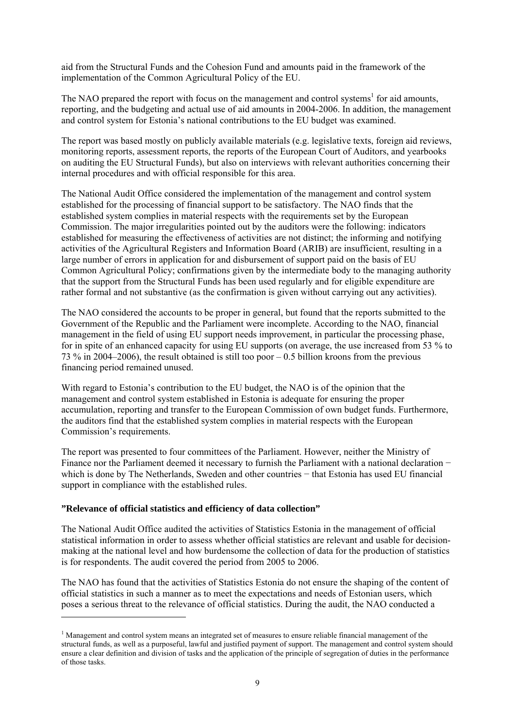aid from the Structural Funds and the Cohesion Fund and amounts paid in the framework of the implementation of the Common Agricultural Policy of the EU.

The NAO prepared the report with focus on the management and control systems<sup>1</sup> for aid amounts, reporting, and the budgeting and actual use of aid amounts in 2004-2006. In addition, the management and control system for Estonia's national contributions to the EU budget was examined.

The report was based mostly on publicly available materials (e.g. legislative texts, foreign aid reviews, monitoring reports, assessment reports, the reports of the European Court of Auditors, and yearbooks on auditing the EU Structural Funds), but also on interviews with relevant authorities concerning their internal procedures and with official responsible for this area.

The National Audit Office considered the implementation of the management and control system established for the processing of financial support to be satisfactory. The NAO finds that the established system complies in material respects with the requirements set by the European Commission. The major irregularities pointed out by the auditors were the following: indicators established for measuring the effectiveness of activities are not distinct; the informing and notifying activities of the Agricultural Registers and Information Board (ARIB) are insufficient, resulting in a large number of errors in application for and disbursement of support paid on the basis of EU Common Agricultural Policy; confirmations given by the intermediate body to the managing authority that the support from the Structural Funds has been used regularly and for eligible expenditure are rather formal and not substantive (as the confirmation is given without carrying out any activities).

The NAO considered the accounts to be proper in general, but found that the reports submitted to the Government of the Republic and the Parliament were incomplete. According to the NAO, financial management in the field of using EU support needs improvement, in particular the processing phase, for in spite of an enhanced capacity for using EU supports (on average, the use increased from 53 % to 73 % in 2004–2006), the result obtained is still too poor – 0.5 billion kroons from the previous financing period remained unused.

With regard to Estonia's contribution to the EU budget, the NAO is of the opinion that the management and control system established in Estonia is adequate for ensuring the proper accumulation, reporting and transfer to the European Commission of own budget funds. Furthermore, the auditors find that the established system complies in material respects with the European Commission's requirements.

The report was presented to four committees of the Parliament. However, neither the Ministry of Finance nor the Parliament deemed it necessary to furnish the Parliament with a national declaration − which is done by The Netherlands, Sweden and other countries – that Estonia has used EU financial support in compliance with the established rules.

## **"Relevance of official statistics and efficiency of data collection"**

-

The National Audit Office audited the activities of Statistics Estonia in the management of official statistical information in order to assess whether official statistics are relevant and usable for decisionmaking at the national level and how burdensome the collection of data for the production of statistics is for respondents. The audit covered the period from 2005 to 2006.

The NAO has found that the activities of Statistics Estonia do not ensure the shaping of the content of official statistics in such a manner as to meet the expectations and needs of Estonian users, which poses a serious threat to the relevance of official statistics. During the audit, the NAO conducted a

<sup>&</sup>lt;sup>1</sup> Management and control system means an integrated set of measures to ensure reliable financial management of the structural funds, as well as a purposeful, lawful and justified payment of support. The management and control system should ensure a clear definition and division of tasks and the application of the principle of segregation of duties in the performance of those tasks.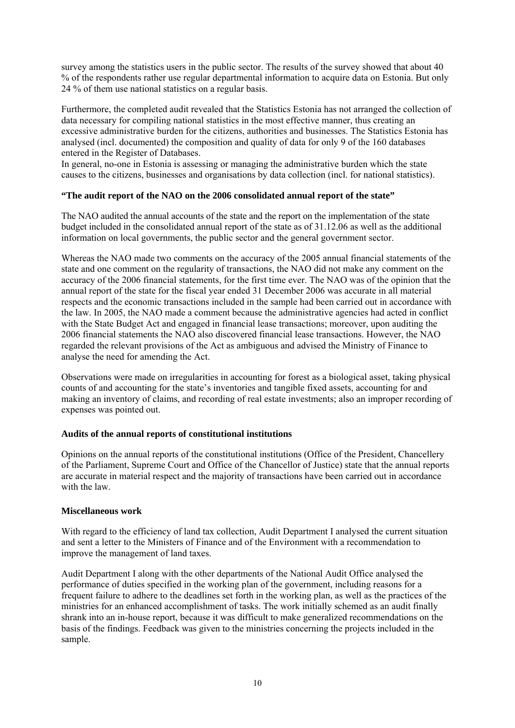survey among the statistics users in the public sector. The results of the survey showed that about 40 % of the respondents rather use regular departmental information to acquire data on Estonia. But only 24 % of them use national statistics on a regular basis.

Furthermore, the completed audit revealed that the Statistics Estonia has not arranged the collection of data necessary for compiling national statistics in the most effective manner, thus creating an excessive administrative burden for the citizens, authorities and businesses. The Statistics Estonia has analysed (incl. documented) the composition and quality of data for only 9 of the 160 databases entered in the Register of Databases.

In general, no-one in Estonia is assessing or managing the administrative burden which the state causes to the citizens, businesses and organisations by data collection (incl. for national statistics).

# **"The audit report of the NAO on the 2006 consolidated annual report of the state"**

The NAO audited the annual accounts of the state and the report on the implementation of the state budget included in the consolidated annual report of the state as of 31.12.06 as well as the additional information on local governments, the public sector and the general government sector.

Whereas the NAO made two comments on the accuracy of the 2005 annual financial statements of the state and one comment on the regularity of transactions, the NAO did not make any comment on the accuracy of the 2006 financial statements, for the first time ever. The NAO was of the opinion that the annual report of the state for the fiscal year ended 31 December 2006 was accurate in all material respects and the economic transactions included in the sample had been carried out in accordance with the law. In 2005, the NAO made a comment because the administrative agencies had acted in conflict with the State Budget Act and engaged in financial lease transactions; moreover, upon auditing the 2006 financial statements the NAO also discovered financial lease transactions. However, the NAO regarded the relevant provisions of the Act as ambiguous and advised the Ministry of Finance to analyse the need for amending the Act.

Observations were made on irregularities in accounting for forest as a biological asset, taking physical counts of and accounting for the state's inventories and tangible fixed assets, accounting for and making an inventory of claims, and recording of real estate investments; also an improper recording of expenses was pointed out.

## **Audits of the annual reports of constitutional institutions**

Opinions on the annual reports of the constitutional institutions (Office of the President, Chancellery of the Parliament, Supreme Court and Office of the Chancellor of Justice) state that the annual reports are accurate in material respect and the majority of transactions have been carried out in accordance with the law.

## **Miscellaneous work**

With regard to the efficiency of land tax collection, Audit Department I analysed the current situation and sent a letter to the Ministers of Finance and of the Environment with a recommendation to improve the management of land taxes.

Audit Department I along with the other departments of the National Audit Office analysed the performance of duties specified in the working plan of the government, including reasons for a frequent failure to adhere to the deadlines set forth in the working plan, as well as the practices of the ministries for an enhanced accomplishment of tasks. The work initially schemed as an audit finally shrank into an in-house report, because it was difficult to make generalized recommendations on the basis of the findings. Feedback was given to the ministries concerning the projects included in the sample.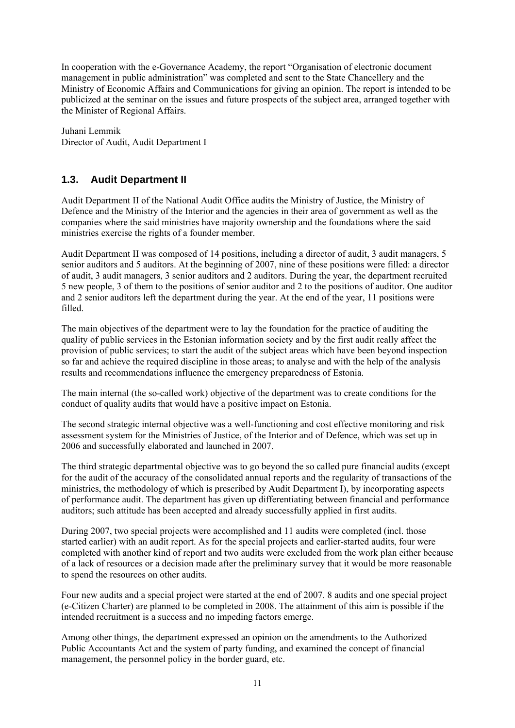In cooperation with the e-Governance Academy, the report "Organisation of electronic document management in public administration" was completed and sent to the State Chancellery and the Ministry of Economic Affairs and Communications for giving an opinion. The report is intended to be publicized at the seminar on the issues and future prospects of the subject area, arranged together with the Minister of Regional Affairs.

Juhani Lemmik Director of Audit, Audit Department I

# **1.3. Audit Department II**

Audit Department II of the National Audit Office audits the Ministry of Justice, the Ministry of Defence and the Ministry of the Interior and the agencies in their area of government as well as the companies where the said ministries have majority ownership and the foundations where the said ministries exercise the rights of a founder member.

Audit Department II was composed of 14 positions, including a director of audit, 3 audit managers, 5 senior auditors and 5 auditors. At the beginning of 2007, nine of these positions were filled: a director of audit, 3 audit managers, 3 senior auditors and 2 auditors. During the year, the department recruited 5 new people, 3 of them to the positions of senior auditor and 2 to the positions of auditor. One auditor and 2 senior auditors left the department during the year. At the end of the year, 11 positions were filled.

The main objectives of the department were to lay the foundation for the practice of auditing the quality of public services in the Estonian information society and by the first audit really affect the provision of public services; to start the audit of the subject areas which have been beyond inspection so far and achieve the required discipline in those areas; to analyse and with the help of the analysis results and recommendations influence the emergency preparedness of Estonia.

The main internal (the so-called work) objective of the department was to create conditions for the conduct of quality audits that would have a positive impact on Estonia.

The second strategic internal objective was a well-functioning and cost effective monitoring and risk assessment system for the Ministries of Justice, of the Interior and of Defence, which was set up in 2006 and successfully elaborated and launched in 2007.

The third strategic departmental objective was to go beyond the so called pure financial audits (except for the audit of the accuracy of the consolidated annual reports and the regularity of transactions of the ministries, the methodology of which is prescribed by Audit Department I), by incorporating aspects of performance audit. The department has given up differentiating between financial and performance auditors; such attitude has been accepted and already successfully applied in first audits.

During 2007, two special projects were accomplished and 11 audits were completed (incl. those started earlier) with an audit report. As for the special projects and earlier-started audits, four were completed with another kind of report and two audits were excluded from the work plan either because of a lack of resources or a decision made after the preliminary survey that it would be more reasonable to spend the resources on other audits.

Four new audits and a special project were started at the end of 2007. 8 audits and one special project (e-Citizen Charter) are planned to be completed in 2008. The attainment of this aim is possible if the intended recruitment is a success and no impeding factors emerge.

Among other things, the department expressed an opinion on the amendments to the Authorized Public Accountants Act and the system of party funding, and examined the concept of financial management, the personnel policy in the border guard, etc.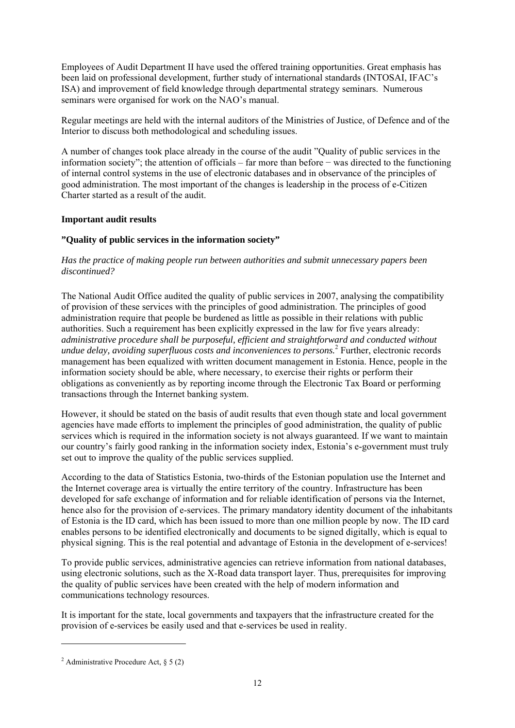Employees of Audit Department II have used the offered training opportunities. Great emphasis has been laid on professional development, further study of international standards (INTOSAI, IFAC's ISA) and improvement of field knowledge through departmental strategy seminars. Numerous seminars were organised for work on the NAO's manual.

Regular meetings are held with the internal auditors of the Ministries of Justice, of Defence and of the Interior to discuss both methodological and scheduling issues.

A number of changes took place already in the course of the audit "Quality of public services in the information society"; the attention of officials – far more than before − was directed to the functioning of internal control systems in the use of electronic databases and in observance of the principles of good administration. The most important of the changes is leadership in the process of e-Citizen Charter started as a result of the audit.

# **Important audit results**

# **"Quality of public services in the information society"**

# *Has the practice of making people run between authorities and submit unnecessary papers been discontinued?*

The National Audit Office audited the quality of public services in 2007, analysing the compatibility of provision of these services with the principles of good administration. The principles of good administration require that people be burdened as little as possible in their relations with public authorities. Such a requirement has been explicitly expressed in the law for five years already: *administrative procedure shall be purposeful, efficient and straightforward and conducted without undue delay, avoiding superfluous costs and inconveniences to persons.*<sup>2</sup> Further, electronic records management has been equalized with written document management in Estonia. Hence, people in the information society should be able, where necessary, to exercise their rights or perform their obligations as conveniently as by reporting income through the Electronic Tax Board or performing transactions through the Internet banking system.

However, it should be stated on the basis of audit results that even though state and local government agencies have made efforts to implement the principles of good administration, the quality of public services which is required in the information society is not always guaranteed. If we want to maintain our country's fairly good ranking in the information society index, Estonia's e-government must truly set out to improve the quality of the public services supplied.

According to the data of Statistics Estonia, two-thirds of the Estonian population use the Internet and the Internet coverage area is virtually the entire territory of the country. Infrastructure has been developed for safe exchange of information and for reliable identification of persons via the Internet, hence also for the provision of e-services. The primary mandatory identity document of the inhabitants of Estonia is the ID card, which has been issued to more than one million people by now. The ID card enables persons to be identified electronically and documents to be signed digitally, which is equal to physical signing. This is the real potential and advantage of Estonia in the development of e-services!

To provide public services, administrative agencies can retrieve information from national databases, using electronic solutions, such as the X-Road data transport layer. Thus, prerequisites for improving the quality of public services have been created with the help of modern information and communications technology resources.

It is important for the state, local governments and taxpayers that the infrastructure created for the provision of e-services be easily used and that e-services be used in reality.

1

<sup>&</sup>lt;sup>2</sup> Administrative Procedure Act, § 5 (2)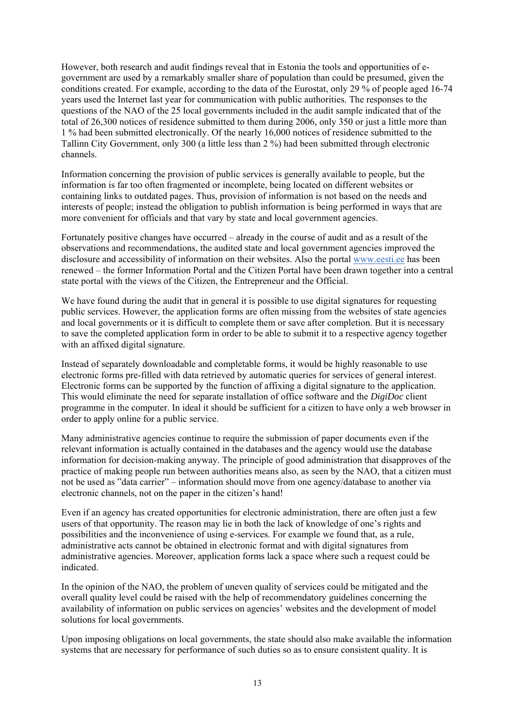However, both research and audit findings reveal that in Estonia the tools and opportunities of egovernment are used by a remarkably smaller share of population than could be presumed, given the conditions created. For example, according to the data of the Eurostat, only 29 % of people aged 16-74 years used the Internet last year for communication with public authorities. The responses to the questions of the NAO of the 25 local governments included in the audit sample indicated that of the total of 26,300 notices of residence submitted to them during 2006, only 350 or just a little more than 1 % had been submitted electronically. Of the nearly 16,000 notices of residence submitted to the Tallinn City Government, only 300 (a little less than 2 %) had been submitted through electronic channels.

Information concerning the provision of public services is generally available to people, but the information is far too often fragmented or incomplete, being located on different websites or containing links to outdated pages. Thus, provision of information is not based on the needs and interests of people; instead the obligation to publish information is being performed in ways that are more convenient for officials and that vary by state and local government agencies.

Fortunately positive changes have occurred – already in the course of audit and as a result of the observations and recommendations, the audited state and local government agencies improved the disclosure and accessibility of information on their websites. Also the portal www.eesti.ee has been renewed – the former Information Portal and the Citizen Portal have been drawn together into a central state portal with the views of the Citizen, the Entrepreneur and the Official.

We have found during the audit that in general it is possible to use digital signatures for requesting public services. However, the application forms are often missing from the websites of state agencies and local governments or it is difficult to complete them or save after completion. But it is necessary to save the completed application form in order to be able to submit it to a respective agency together with an affixed digital signature.

Instead of separately downloadable and completable forms, it would be highly reasonable to use electronic forms pre-filled with data retrieved by automatic queries for services of general interest. Electronic forms can be supported by the function of affixing a digital signature to the application. This would eliminate the need for separate installation of office software and the *DigiDoc* client programme in the computer. In ideal it should be sufficient for a citizen to have only a web browser in order to apply online for a public service.

Many administrative agencies continue to require the submission of paper documents even if the relevant information is actually contained in the databases and the agency would use the database information for decision-making anyway. The principle of good administration that disapproves of the practice of making people run between authorities means also, as seen by the NAO, that a citizen must not be used as "data carrier" – information should move from one agency/database to another via electronic channels, not on the paper in the citizen's hand!

Even if an agency has created opportunities for electronic administration, there are often just a few users of that opportunity. The reason may lie in both the lack of knowledge of one's rights and possibilities and the inconvenience of using e-services. For example we found that, as a rule, administrative acts cannot be obtained in electronic format and with digital signatures from administrative agencies. Moreover, application forms lack a space where such a request could be indicated.

In the opinion of the NAO, the problem of uneven quality of services could be mitigated and the overall quality level could be raised with the help of recommendatory guidelines concerning the availability of information on public services on agencies' websites and the development of model solutions for local governments.

Upon imposing obligations on local governments, the state should also make available the information systems that are necessary for performance of such duties so as to ensure consistent quality. It is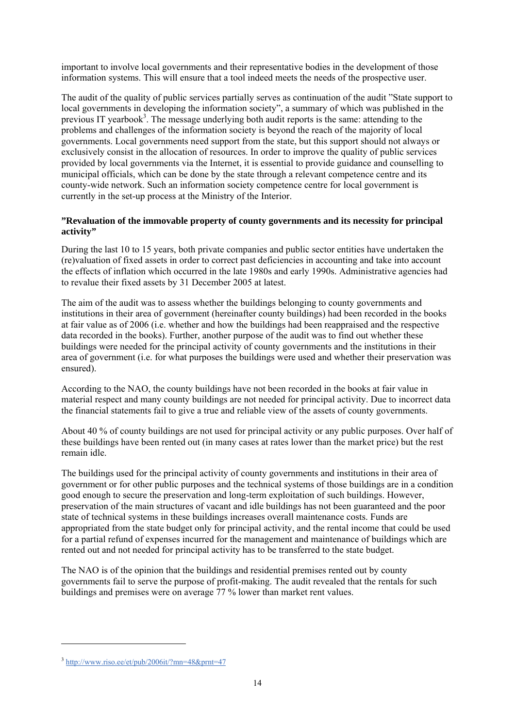important to involve local governments and their representative bodies in the development of those information systems. This will ensure that a tool indeed meets the needs of the prospective user.

The audit of the quality of public services partially serves as continuation of the audit "State support to local governments in developing the information society", a summary of which was published in the previous IT yearbook<sup>3</sup>. The message underlying both audit reports is the same: attending to the problems and challenges of the information society is beyond the reach of the majority of local governments. Local governments need support from the state, but this support should not always or exclusively consist in the allocation of resources. In order to improve the quality of public services provided by local governments via the Internet, it is essential to provide guidance and counselling to municipal officials, which can be done by the state through a relevant competence centre and its county-wide network. Such an information society competence centre for local government is currently in the set-up process at the Ministry of the Interior.

# **"Revaluation of the immovable property of county governments and its necessity for principal activity"**

During the last 10 to 15 years, both private companies and public sector entities have undertaken the (re)valuation of fixed assets in order to correct past deficiencies in accounting and take into account the effects of inflation which occurred in the late 1980s and early 1990s. Administrative agencies had to revalue their fixed assets by 31 December 2005 at latest.

The aim of the audit was to assess whether the buildings belonging to county governments and institutions in their area of government (hereinafter county buildings) had been recorded in the books at fair value as of 2006 (i.e. whether and how the buildings had been reappraised and the respective data recorded in the books). Further, another purpose of the audit was to find out whether these buildings were needed for the principal activity of county governments and the institutions in their area of government (i.e. for what purposes the buildings were used and whether their preservation was ensured).

According to the NAO, the county buildings have not been recorded in the books at fair value in material respect and many county buildings are not needed for principal activity. Due to incorrect data the financial statements fail to give a true and reliable view of the assets of county governments.

About 40 % of county buildings are not used for principal activity or any public purposes. Over half of these buildings have been rented out (in many cases at rates lower than the market price) but the rest remain idle.

The buildings used for the principal activity of county governments and institutions in their area of government or for other public purposes and the technical systems of those buildings are in a condition good enough to secure the preservation and long-term exploitation of such buildings. However, preservation of the main structures of vacant and idle buildings has not been guaranteed and the poor state of technical systems in these buildings increases overall maintenance costs. Funds are appropriated from the state budget only for principal activity, and the rental income that could be used for a partial refund of expenses incurred for the management and maintenance of buildings which are rented out and not needed for principal activity has to be transferred to the state budget.

The NAO is of the opinion that the buildings and residential premises rented out by county governments fail to serve the purpose of profit-making. The audit revealed that the rentals for such buildings and premises were on average 77 % lower than market rent values.

1

 $3 \text{ http://www.riso.ee/et/pub/2006it/?mn=48&\text{prnt=47}}$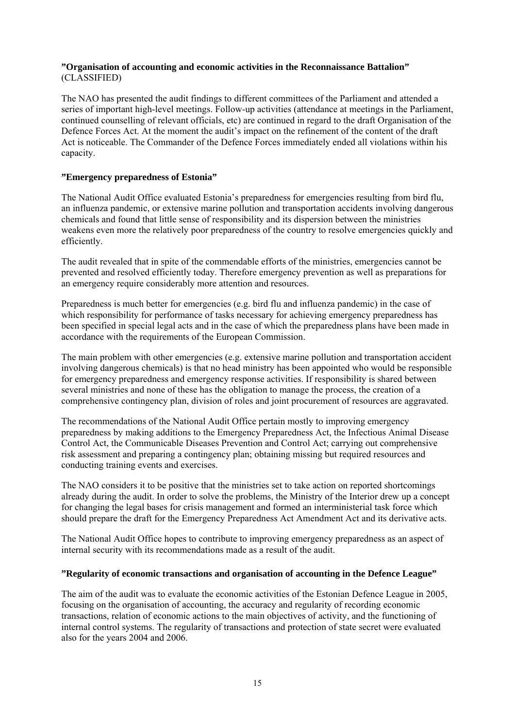# **"Organisation of accounting and economic activities in the Reconnaissance Battalion"** (CLASSIFIED)

The NAO has presented the audit findings to different committees of the Parliament and attended a series of important high-level meetings. Follow-up activities (attendance at meetings in the Parliament, continued counselling of relevant officials, etc) are continued in regard to the draft Organisation of the Defence Forces Act. At the moment the audit's impact on the refinement of the content of the draft Act is noticeable. The Commander of the Defence Forces immediately ended all violations within his capacity.

# **"Emergency preparedness of Estonia"**

The National Audit Office evaluated Estonia's preparedness for emergencies resulting from bird flu, an influenza pandemic, or extensive marine pollution and transportation accidents involving dangerous chemicals and found that little sense of responsibility and its dispersion between the ministries weakens even more the relatively poor preparedness of the country to resolve emergencies quickly and efficiently.

The audit revealed that in spite of the commendable efforts of the ministries, emergencies cannot be prevented and resolved efficiently today. Therefore emergency prevention as well as preparations for an emergency require considerably more attention and resources.

Preparedness is much better for emergencies (e.g. bird flu and influenza pandemic) in the case of which responsibility for performance of tasks necessary for achieving emergency preparedness has been specified in special legal acts and in the case of which the preparedness plans have been made in accordance with the requirements of the European Commission.

The main problem with other emergencies (e.g. extensive marine pollution and transportation accident involving dangerous chemicals) is that no head ministry has been appointed who would be responsible for emergency preparedness and emergency response activities. If responsibility is shared between several ministries and none of these has the obligation to manage the process, the creation of a comprehensive contingency plan, division of roles and joint procurement of resources are aggravated.

The recommendations of the National Audit Office pertain mostly to improving emergency preparedness by making additions to the Emergency Preparedness Act, the Infectious Animal Disease Control Act, the Communicable Diseases Prevention and Control Act; carrying out comprehensive risk assessment and preparing a contingency plan; obtaining missing but required resources and conducting training events and exercises.

The NAO considers it to be positive that the ministries set to take action on reported shortcomings already during the audit. In order to solve the problems, the Ministry of the Interior drew up a concept for changing the legal bases for crisis management and formed an interministerial task force which should prepare the draft for the Emergency Preparedness Act Amendment Act and its derivative acts.

The National Audit Office hopes to contribute to improving emergency preparedness as an aspect of internal security with its recommendations made as a result of the audit.

## **"Regularity of economic transactions and organisation of accounting in the Defence League"**

The aim of the audit was to evaluate the economic activities of the Estonian Defence League in 2005, focusing on the organisation of accounting, the accuracy and regularity of recording economic transactions, relation of economic actions to the main objectives of activity, and the functioning of internal control systems. The regularity of transactions and protection of state secret were evaluated also for the years 2004 and 2006.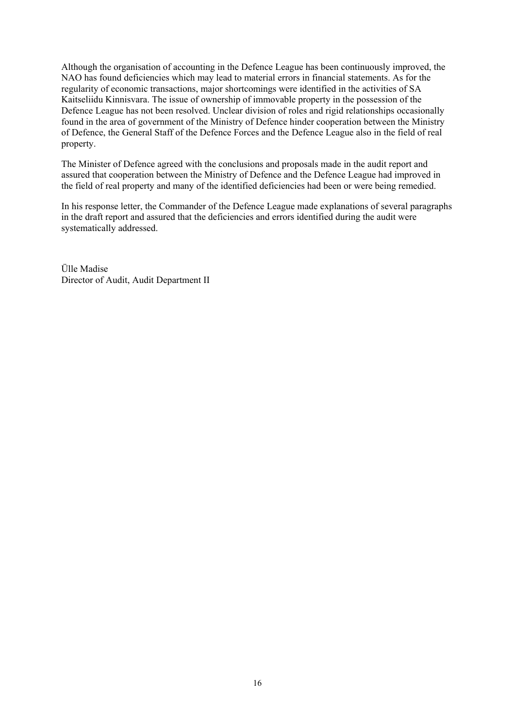Although the organisation of accounting in the Defence League has been continuously improved, the NAO has found deficiencies which may lead to material errors in financial statements. As for the regularity of economic transactions, major shortcomings were identified in the activities of SA Kaitseliidu Kinnisvara. The issue of ownership of immovable property in the possession of the Defence League has not been resolved. Unclear division of roles and rigid relationships occasionally found in the area of government of the Ministry of Defence hinder cooperation between the Ministry of Defence, the General Staff of the Defence Forces and the Defence League also in the field of real property.

The Minister of Defence agreed with the conclusions and proposals made in the audit report and assured that cooperation between the Ministry of Defence and the Defence League had improved in the field of real property and many of the identified deficiencies had been or were being remedied.

In his response letter, the Commander of the Defence League made explanations of several paragraphs in the draft report and assured that the deficiencies and errors identified during the audit were systematically addressed.

Ülle Madise Director of Audit, Audit Department II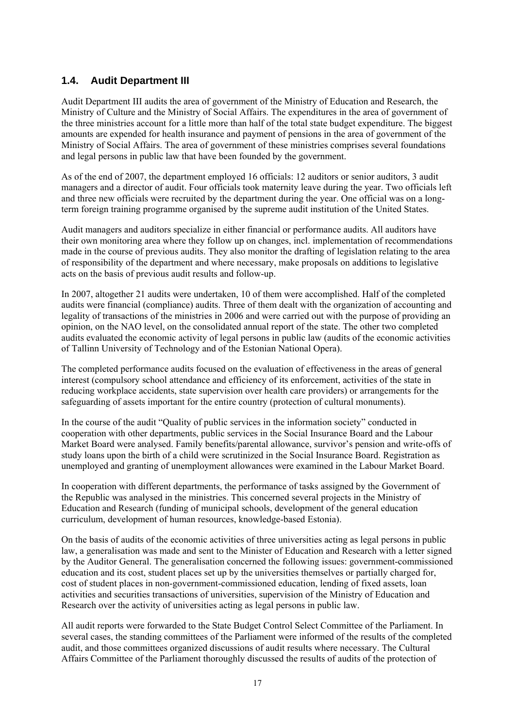# **1.4. Audit Department III**

Audit Department III audits the area of government of the Ministry of Education and Research, the Ministry of Culture and the Ministry of Social Affairs. The expenditures in the area of government of the three ministries account for a little more than half of the total state budget expenditure. The biggest amounts are expended for health insurance and payment of pensions in the area of government of the Ministry of Social Affairs. The area of government of these ministries comprises several foundations and legal persons in public law that have been founded by the government.

As of the end of 2007, the department employed 16 officials: 12 auditors or senior auditors, 3 audit managers and a director of audit. Four officials took maternity leave during the year. Two officials left and three new officials were recruited by the department during the year. One official was on a longterm foreign training programme organised by the supreme audit institution of the United States.

Audit managers and auditors specialize in either financial or performance audits. All auditors have their own monitoring area where they follow up on changes, incl. implementation of recommendations made in the course of previous audits. They also monitor the drafting of legislation relating to the area of responsibility of the department and where necessary, make proposals on additions to legislative acts on the basis of previous audit results and follow-up.

In 2007, altogether 21 audits were undertaken, 10 of them were accomplished. Half of the completed audits were financial (compliance) audits. Three of them dealt with the organization of accounting and legality of transactions of the ministries in 2006 and were carried out with the purpose of providing an opinion, on the NAO level, on the consolidated annual report of the state. The other two completed audits evaluated the economic activity of legal persons in public law (audits of the economic activities of Tallinn University of Technology and of the Estonian National Opera).

The completed performance audits focused on the evaluation of effectiveness in the areas of general interest (compulsory school attendance and efficiency of its enforcement, activities of the state in reducing workplace accidents, state supervision over health care providers) or arrangements for the safeguarding of assets important for the entire country (protection of cultural monuments).

In the course of the audit "Quality of public services in the information society" conducted in cooperation with other departments, public services in the Social Insurance Board and the Labour Market Board were analysed. Family benefits/parental allowance, survivor's pension and write-offs of study loans upon the birth of a child were scrutinized in the Social Insurance Board. Registration as unemployed and granting of unemployment allowances were examined in the Labour Market Board.

In cooperation with different departments, the performance of tasks assigned by the Government of the Republic was analysed in the ministries. This concerned several projects in the Ministry of Education and Research (funding of municipal schools, development of the general education curriculum, development of human resources, knowledge-based Estonia).

On the basis of audits of the economic activities of three universities acting as legal persons in public law, a generalisation was made and sent to the Minister of Education and Research with a letter signed by the Auditor General. The generalisation concerned the following issues: government-commissioned education and its cost, student places set up by the universities themselves or partially charged for, cost of student places in non-government-commissioned education, lending of fixed assets, loan activities and securities transactions of universities, supervision of the Ministry of Education and Research over the activity of universities acting as legal persons in public law.

All audit reports were forwarded to the State Budget Control Select Committee of the Parliament. In several cases, the standing committees of the Parliament were informed of the results of the completed audit, and those committees organized discussions of audit results where necessary. The Cultural Affairs Committee of the Parliament thoroughly discussed the results of audits of the protection of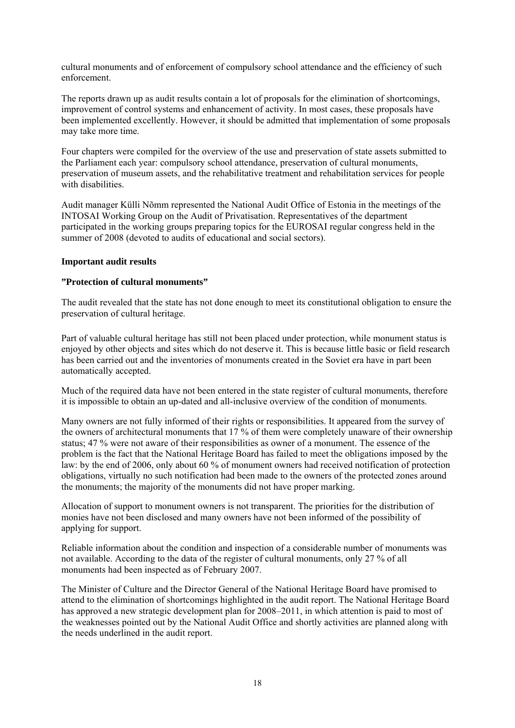cultural monuments and of enforcement of compulsory school attendance and the efficiency of such enforcement.

The reports drawn up as audit results contain a lot of proposals for the elimination of shortcomings, improvement of control systems and enhancement of activity. In most cases, these proposals have been implemented excellently. However, it should be admitted that implementation of some proposals may take more time.

Four chapters were compiled for the overview of the use and preservation of state assets submitted to the Parliament each year: compulsory school attendance, preservation of cultural monuments, preservation of museum assets, and the rehabilitative treatment and rehabilitation services for people with disabilities.

Audit manager Külli Nõmm represented the National Audit Office of Estonia in the meetings of the INTOSAI Working Group on the Audit of Privatisation. Representatives of the department participated in the working groups preparing topics for the EUROSAI regular congress held in the summer of 2008 (devoted to audits of educational and social sectors).

## **Important audit results**

# **"Protection of cultural monuments"**

The audit revealed that the state has not done enough to meet its constitutional obligation to ensure the preservation of cultural heritage.

Part of valuable cultural heritage has still not been placed under protection, while monument status is enjoyed by other objects and sites which do not deserve it. This is because little basic or field research has been carried out and the inventories of monuments created in the Soviet era have in part been automatically accepted.

Much of the required data have not been entered in the state register of cultural monuments, therefore it is impossible to obtain an up-dated and all-inclusive overview of the condition of monuments.

Many owners are not fully informed of their rights or responsibilities. It appeared from the survey of the owners of architectural monuments that 17 % of them were completely unaware of their ownership status; 47 % were not aware of their responsibilities as owner of a monument. The essence of the problem is the fact that the National Heritage Board has failed to meet the obligations imposed by the law: by the end of 2006, only about 60 % of monument owners had received notification of protection obligations, virtually no such notification had been made to the owners of the protected zones around the monuments; the majority of the monuments did not have proper marking.

Allocation of support to monument owners is not transparent. The priorities for the distribution of monies have not been disclosed and many owners have not been informed of the possibility of applying for support.

Reliable information about the condition and inspection of a considerable number of monuments was not available. According to the data of the register of cultural monuments, only 27 % of all monuments had been inspected as of February 2007.

The Minister of Culture and the Director General of the National Heritage Board have promised to attend to the elimination of shortcomings highlighted in the audit report. The National Heritage Board has approved a new strategic development plan for 2008–2011, in which attention is paid to most of the weaknesses pointed out by the National Audit Office and shortly activities are planned along with the needs underlined in the audit report.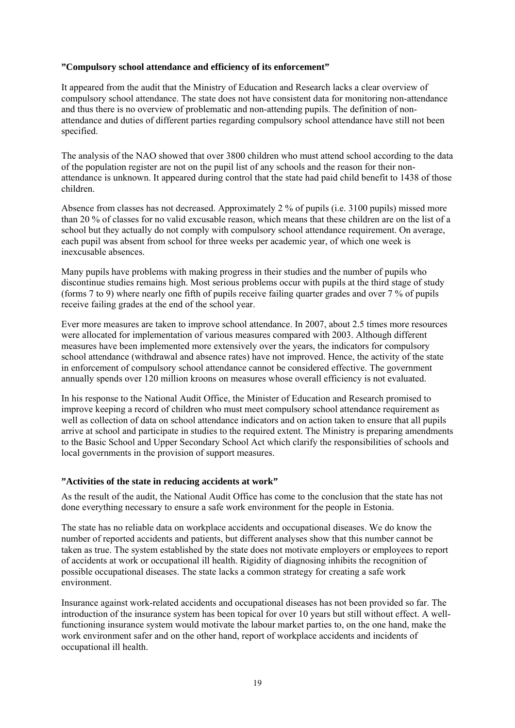# **"Compulsory school attendance and efficiency of its enforcement"**

It appeared from the audit that the Ministry of Education and Research lacks a clear overview of compulsory school attendance. The state does not have consistent data for monitoring non-attendance and thus there is no overview of problematic and non-attending pupils. The definition of nonattendance and duties of different parties regarding compulsory school attendance have still not been specified.

The analysis of the NAO showed that over 3800 children who must attend school according to the data of the population register are not on the pupil list of any schools and the reason for their nonattendance is unknown. It appeared during control that the state had paid child benefit to 1438 of those children.

Absence from classes has not decreased. Approximately 2 % of pupils (i.e. 3100 pupils) missed more than 20 % of classes for no valid excusable reason, which means that these children are on the list of a school but they actually do not comply with compulsory school attendance requirement. On average, each pupil was absent from school for three weeks per academic year, of which one week is inexcusable absences.

Many pupils have problems with making progress in their studies and the number of pupils who discontinue studies remains high. Most serious problems occur with pupils at the third stage of study (forms 7 to 9) where nearly one fifth of pupils receive failing quarter grades and over 7 % of pupils receive failing grades at the end of the school year.

Ever more measures are taken to improve school attendance. In 2007, about 2.5 times more resources were allocated for implementation of various measures compared with 2003. Although different measures have been implemented more extensively over the years, the indicators for compulsory school attendance (withdrawal and absence rates) have not improved. Hence, the activity of the state in enforcement of compulsory school attendance cannot be considered effective. The government annually spends over 120 million kroons on measures whose overall efficiency is not evaluated.

In his response to the National Audit Office, the Minister of Education and Research promised to improve keeping a record of children who must meet compulsory school attendance requirement as well as collection of data on school attendance indicators and on action taken to ensure that all pupils arrive at school and participate in studies to the required extent. The Ministry is preparing amendments to the Basic School and Upper Secondary School Act which clarify the responsibilities of schools and local governments in the provision of support measures.

## **"Activities of the state in reducing accidents at work"**

As the result of the audit, the National Audit Office has come to the conclusion that the state has not done everything necessary to ensure a safe work environment for the people in Estonia.

The state has no reliable data on workplace accidents and occupational diseases. We do know the number of reported accidents and patients, but different analyses show that this number cannot be taken as true. The system established by the state does not motivate employers or employees to report of accidents at work or occupational ill health. Rigidity of diagnosing inhibits the recognition of possible occupational diseases. The state lacks a common strategy for creating a safe work environment.

Insurance against work-related accidents and occupational diseases has not been provided so far. The introduction of the insurance system has been topical for over 10 years but still without effect. A wellfunctioning insurance system would motivate the labour market parties to, on the one hand, make the work environment safer and on the other hand, report of workplace accidents and incidents of occupational ill health.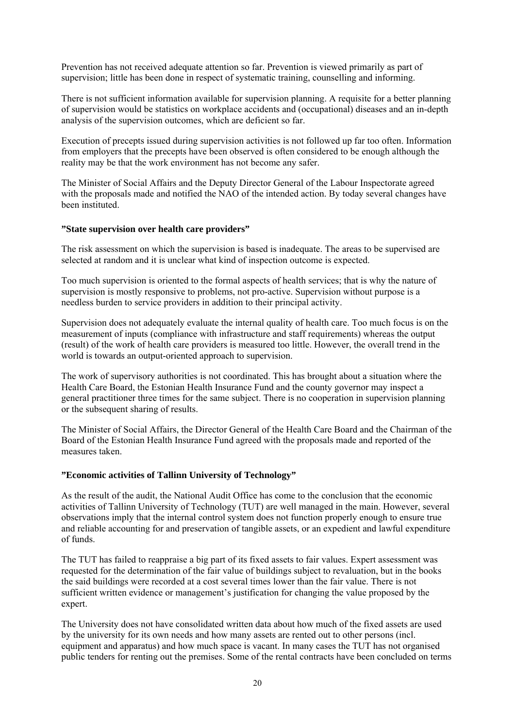Prevention has not received adequate attention so far. Prevention is viewed primarily as part of supervision; little has been done in respect of systematic training, counselling and informing.

There is not sufficient information available for supervision planning. A requisite for a better planning of supervision would be statistics on workplace accidents and (occupational) diseases and an in-depth analysis of the supervision outcomes, which are deficient so far.

Execution of precepts issued during supervision activities is not followed up far too often. Information from employers that the precepts have been observed is often considered to be enough although the reality may be that the work environment has not become any safer.

The Minister of Social Affairs and the Deputy Director General of the Labour Inspectorate agreed with the proposals made and notified the NAO of the intended action. By today several changes have been instituted.

## **"State supervision over health care providers"**

The risk assessment on which the supervision is based is inadequate. The areas to be supervised are selected at random and it is unclear what kind of inspection outcome is expected.

Too much supervision is oriented to the formal aspects of health services; that is why the nature of supervision is mostly responsive to problems, not pro-active. Supervision without purpose is a needless burden to service providers in addition to their principal activity.

Supervision does not adequately evaluate the internal quality of health care. Too much focus is on the measurement of inputs (compliance with infrastructure and staff requirements) whereas the output (result) of the work of health care providers is measured too little. However, the overall trend in the world is towards an output-oriented approach to supervision.

The work of supervisory authorities is not coordinated. This has brought about a situation where the Health Care Board, the Estonian Health Insurance Fund and the county governor may inspect a general practitioner three times for the same subject. There is no cooperation in supervision planning or the subsequent sharing of results.

The Minister of Social Affairs, the Director General of the Health Care Board and the Chairman of the Board of the Estonian Health Insurance Fund agreed with the proposals made and reported of the measures taken.

## **"Economic activities of Tallinn University of Technology"**

As the result of the audit, the National Audit Office has come to the conclusion that the economic activities of Tallinn University of Technology (TUT) are well managed in the main. However, several observations imply that the internal control system does not function properly enough to ensure true and reliable accounting for and preservation of tangible assets, or an expedient and lawful expenditure of funds.

The TUT has failed to reappraise a big part of its fixed assets to fair values. Expert assessment was requested for the determination of the fair value of buildings subject to revaluation, but in the books the said buildings were recorded at a cost several times lower than the fair value. There is not sufficient written evidence or management's justification for changing the value proposed by the expert.

The University does not have consolidated written data about how much of the fixed assets are used by the university for its own needs and how many assets are rented out to other persons (incl. equipment and apparatus) and how much space is vacant. In many cases the TUT has not organised public tenders for renting out the premises. Some of the rental contracts have been concluded on terms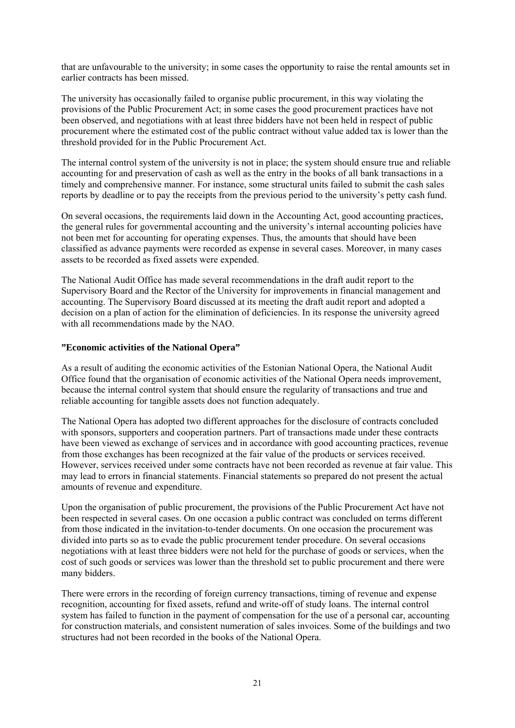that are unfavourable to the university; in some cases the opportunity to raise the rental amounts set in earlier contracts has been missed.

The university has occasionally failed to organise public procurement, in this way violating the provisions of the Public Procurement Act; in some cases the good procurement practices have not been observed, and negotiations with at least three bidders have not been held in respect of public procurement where the estimated cost of the public contract without value added tax is lower than the threshold provided for in the Public Procurement Act.

The internal control system of the university is not in place; the system should ensure true and reliable accounting for and preservation of cash as well as the entry in the books of all bank transactions in a timely and comprehensive manner. For instance, some structural units failed to submit the cash sales reports by deadline or to pay the receipts from the previous period to the university's petty cash fund.

On several occasions, the requirements laid down in the Accounting Act, good accounting practices, the general rules for governmental accounting and the university's internal accounting policies have not been met for accounting for operating expenses. Thus, the amounts that should have been classified as advance payments were recorded as expense in several cases. Moreover, in many cases assets to be recorded as fixed assets were expended.

The National Audit Office has made several recommendations in the draft audit report to the Supervisory Board and the Rector of the University for improvements in financial management and accounting. The Supervisory Board discussed at its meeting the draft audit report and adopted a decision on a plan of action for the elimination of deficiencies. In its response the university agreed with all recommendations made by the NAO.

## **"Economic activities of the National Opera"**

As a result of auditing the economic activities of the Estonian National Opera, the National Audit Office found that the organisation of economic activities of the National Opera needs improvement, because the internal control system that should ensure the regularity of transactions and true and reliable accounting for tangible assets does not function adequately.

The National Opera has adopted two different approaches for the disclosure of contracts concluded with sponsors, supporters and cooperation partners. Part of transactions made under these contracts have been viewed as exchange of services and in accordance with good accounting practices, revenue from those exchanges has been recognized at the fair value of the products or services received. However, services received under some contracts have not been recorded as revenue at fair value. This may lead to errors in financial statements. Financial statements so prepared do not present the actual amounts of revenue and expenditure.

Upon the organisation of public procurement, the provisions of the Public Procurement Act have not been respected in several cases. On one occasion a public contract was concluded on terms different from those indicated in the invitation-to-tender documents. On one occasion the procurement was divided into parts so as to evade the public procurement tender procedure. On several occasions negotiations with at least three bidders were not held for the purchase of goods or services, when the cost of such goods or services was lower than the threshold set to public procurement and there were many bidders.

There were errors in the recording of foreign currency transactions, timing of revenue and expense recognition, accounting for fixed assets, refund and write-off of study loans. The internal control system has failed to function in the payment of compensation for the use of a personal car, accounting for construction materials, and consistent numeration of sales invoices. Some of the buildings and two structures had not been recorded in the books of the National Opera.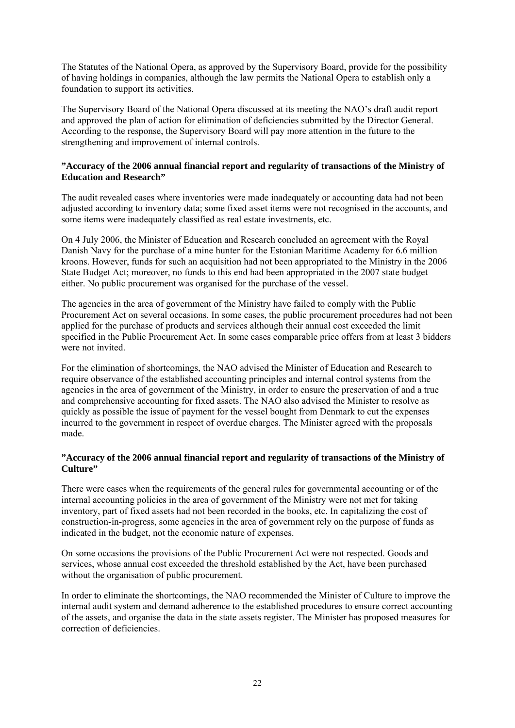The Statutes of the National Opera, as approved by the Supervisory Board, provide for the possibility of having holdings in companies, although the law permits the National Opera to establish only a foundation to support its activities.

The Supervisory Board of the National Opera discussed at its meeting the NAO's draft audit report and approved the plan of action for elimination of deficiencies submitted by the Director General. According to the response, the Supervisory Board will pay more attention in the future to the strengthening and improvement of internal controls.

# **"Accuracy of the 2006 annual financial report and regularity of transactions of the Ministry of Education and Research"**

The audit revealed cases where inventories were made inadequately or accounting data had not been adjusted according to inventory data; some fixed asset items were not recognised in the accounts, and some items were inadequately classified as real estate investments, etc.

On 4 July 2006, the Minister of Education and Research concluded an agreement with the Royal Danish Navy for the purchase of a mine hunter for the Estonian Maritime Academy for 6.6 million kroons. However, funds for such an acquisition had not been appropriated to the Ministry in the 2006 State Budget Act; moreover, no funds to this end had been appropriated in the 2007 state budget either. No public procurement was organised for the purchase of the vessel.

The agencies in the area of government of the Ministry have failed to comply with the Public Procurement Act on several occasions. In some cases, the public procurement procedures had not been applied for the purchase of products and services although their annual cost exceeded the limit specified in the Public Procurement Act. In some cases comparable price offers from at least 3 bidders were not invited

For the elimination of shortcomings, the NAO advised the Minister of Education and Research to require observance of the established accounting principles and internal control systems from the agencies in the area of government of the Ministry, in order to ensure the preservation of and a true and comprehensive accounting for fixed assets. The NAO also advised the Minister to resolve as quickly as possible the issue of payment for the vessel bought from Denmark to cut the expenses incurred to the government in respect of overdue charges. The Minister agreed with the proposals made.

# **"Accuracy of the 2006 annual financial report and regularity of transactions of the Ministry of Culture"**

There were cases when the requirements of the general rules for governmental accounting or of the internal accounting policies in the area of government of the Ministry were not met for taking inventory, part of fixed assets had not been recorded in the books, etc. In capitalizing the cost of construction-in-progress, some agencies in the area of government rely on the purpose of funds as indicated in the budget, not the economic nature of expenses.

On some occasions the provisions of the Public Procurement Act were not respected. Goods and services, whose annual cost exceeded the threshold established by the Act, have been purchased without the organisation of public procurement.

In order to eliminate the shortcomings, the NAO recommended the Minister of Culture to improve the internal audit system and demand adherence to the established procedures to ensure correct accounting of the assets, and organise the data in the state assets register. The Minister has proposed measures for correction of deficiencies.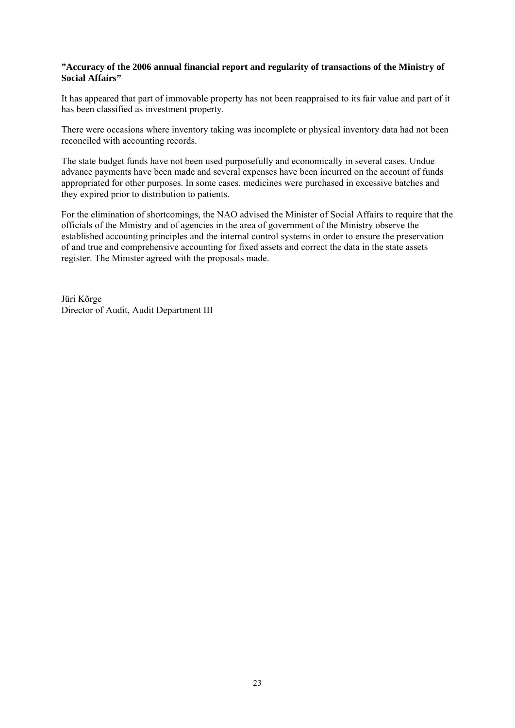# **"Accuracy of the 2006 annual financial report and regularity of transactions of the Ministry of Social Affairs"**

It has appeared that part of immovable property has not been reappraised to its fair value and part of it has been classified as investment property.

There were occasions where inventory taking was incomplete or physical inventory data had not been reconciled with accounting records.

The state budget funds have not been used purposefully and economically in several cases. Undue advance payments have been made and several expenses have been incurred on the account of funds appropriated for other purposes. In some cases, medicines were purchased in excessive batches and they expired prior to distribution to patients.

For the elimination of shortcomings, the NAO advised the Minister of Social Affairs to require that the officials of the Ministry and of agencies in the area of government of the Ministry observe the established accounting principles and the internal control systems in order to ensure the preservation of and true and comprehensive accounting for fixed assets and correct the data in the state assets register. The Minister agreed with the proposals made.

Jüri Kõrge Director of Audit, Audit Department III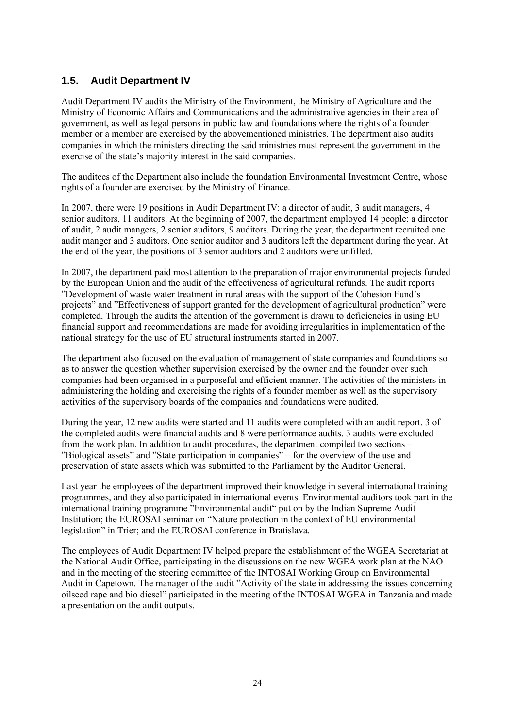# **1.5. Audit Department IV**

Audit Department IV audits the Ministry of the Environment, the Ministry of Agriculture and the Ministry of Economic Affairs and Communications and the administrative agencies in their area of government, as well as legal persons in public law and foundations where the rights of a founder member or a member are exercised by the abovementioned ministries. The department also audits companies in which the ministers directing the said ministries must represent the government in the exercise of the state's majority interest in the said companies.

The auditees of the Department also include the foundation Environmental Investment Centre, whose rights of a founder are exercised by the Ministry of Finance.

In 2007, there were 19 positions in Audit Department IV: a director of audit, 3 audit managers, 4 senior auditors, 11 auditors. At the beginning of 2007, the department employed 14 people: a director of audit, 2 audit mangers, 2 senior auditors, 9 auditors. During the year, the department recruited one audit manger and 3 auditors. One senior auditor and 3 auditors left the department during the year. At the end of the year, the positions of 3 senior auditors and 2 auditors were unfilled.

In 2007, the department paid most attention to the preparation of major environmental projects funded by the European Union and the audit of the effectiveness of agricultural refunds. The audit reports "Development of waste water treatment in rural areas with the support of the Cohesion Fund's projects" and "Effectiveness of support granted for the development of agricultural production" were completed. Through the audits the attention of the government is drawn to deficiencies in using EU financial support and recommendations are made for avoiding irregularities in implementation of the national strategy for the use of EU structural instruments started in 2007.

The department also focused on the evaluation of management of state companies and foundations so as to answer the question whether supervision exercised by the owner and the founder over such companies had been organised in a purposeful and efficient manner. The activities of the ministers in administering the holding and exercising the rights of a founder member as well as the supervisory activities of the supervisory boards of the companies and foundations were audited.

During the year, 12 new audits were started and 11 audits were completed with an audit report. 3 of the completed audits were financial audits and 8 were performance audits. 3 audits were excluded from the work plan. In addition to audit procedures, the department compiled two sections – "Biological assets" and "State participation in companies" – for the overview of the use and preservation of state assets which was submitted to the Parliament by the Auditor General.

Last year the employees of the department improved their knowledge in several international training programmes, and they also participated in international events. Environmental auditors took part in the international training programme "Environmental audit" put on by the Indian Supreme Audit Institution; the EUROSAI seminar on "Nature protection in the context of EU environmental legislation" in Trier; and the EUROSAI conference in Bratislava.

The employees of Audit Department IV helped prepare the establishment of the WGEA Secretariat at the National Audit Office, participating in the discussions on the new WGEA work plan at the NAO and in the meeting of the steering committee of the INTOSAI Working Group on Environmental Audit in Capetown. The manager of the audit "Activity of the state in addressing the issues concerning oilseed rape and bio diesel" participated in the meeting of the INTOSAI WGEA in Tanzania and made a presentation on the audit outputs.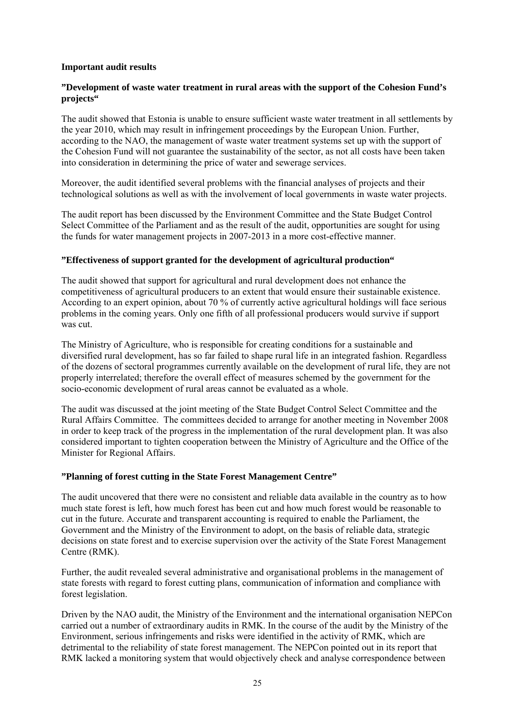# **Important audit results**

# **"Development of waste water treatment in rural areas with the support of the Cohesion Fund's projects"**

The audit showed that Estonia is unable to ensure sufficient waste water treatment in all settlements by the year 2010, which may result in infringement proceedings by the European Union. Further, according to the NAO, the management of waste water treatment systems set up with the support of the Cohesion Fund will not guarantee the sustainability of the sector, as not all costs have been taken into consideration in determining the price of water and sewerage services.

Moreover, the audit identified several problems with the financial analyses of projects and their technological solutions as well as with the involvement of local governments in waste water projects.

The audit report has been discussed by the Environment Committee and the State Budget Control Select Committee of the Parliament and as the result of the audit, opportunities are sought for using the funds for water management projects in 2007-2013 in a more cost-effective manner.

## **"Effectiveness of support granted for the development of agricultural production"**

The audit showed that support for agricultural and rural development does not enhance the competitiveness of agricultural producers to an extent that would ensure their sustainable existence. According to an expert opinion, about 70 % of currently active agricultural holdings will face serious problems in the coming years. Only one fifth of all professional producers would survive if support was cut.

The Ministry of Agriculture, who is responsible for creating conditions for a sustainable and diversified rural development, has so far failed to shape rural life in an integrated fashion. Regardless of the dozens of sectoral programmes currently available on the development of rural life, they are not properly interrelated; therefore the overall effect of measures schemed by the government for the socio-economic development of rural areas cannot be evaluated as a whole.

The audit was discussed at the joint meeting of the State Budget Control Select Committee and the Rural Affairs Committee. The committees decided to arrange for another meeting in November 2008 in order to keep track of the progress in the implementation of the rural development plan. It was also considered important to tighten cooperation between the Ministry of Agriculture and the Office of the Minister for Regional Affairs.

## **"Planning of forest cutting in the State Forest Management Centre"**

The audit uncovered that there were no consistent and reliable data available in the country as to how much state forest is left, how much forest has been cut and how much forest would be reasonable to cut in the future. Accurate and transparent accounting is required to enable the Parliament, the Government and the Ministry of the Environment to adopt, on the basis of reliable data, strategic decisions on state forest and to exercise supervision over the activity of the State Forest Management Centre (RMK).

Further, the audit revealed several administrative and organisational problems in the management of state forests with regard to forest cutting plans, communication of information and compliance with forest legislation.

Driven by the NAO audit, the Ministry of the Environment and the international organisation NEPCon carried out a number of extraordinary audits in RMK. In the course of the audit by the Ministry of the Environment, serious infringements and risks were identified in the activity of RMK, which are detrimental to the reliability of state forest management. The NEPCon pointed out in its report that RMK lacked a monitoring system that would objectively check and analyse correspondence between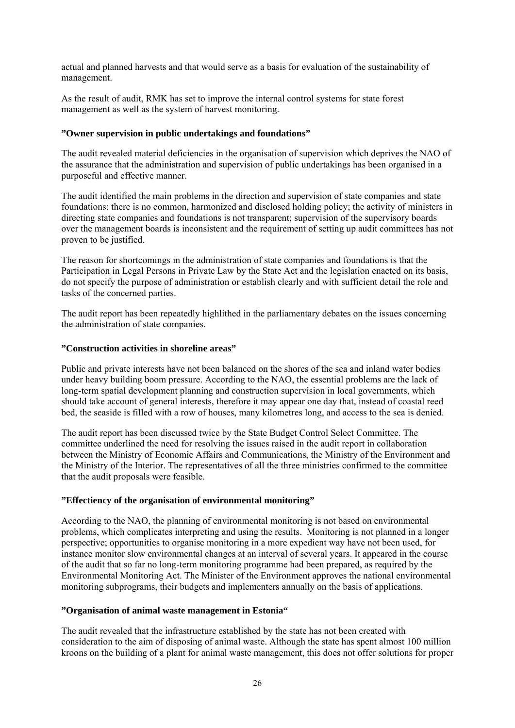actual and planned harvests and that would serve as a basis for evaluation of the sustainability of management.

As the result of audit, RMK has set to improve the internal control systems for state forest management as well as the system of harvest monitoring.

# **"Owner supervision in public undertakings and foundations"**

The audit revealed material deficiencies in the organisation of supervision which deprives the NAO of the assurance that the administration and supervision of public undertakings has been organised in a purposeful and effective manner.

The audit identified the main problems in the direction and supervision of state companies and state foundations: there is no common, harmonized and disclosed holding policy; the activity of ministers in directing state companies and foundations is not transparent; supervision of the supervisory boards over the management boards is inconsistent and the requirement of setting up audit committees has not proven to be justified.

The reason for shortcomings in the administration of state companies and foundations is that the Participation in Legal Persons in Private Law by the State Act and the legislation enacted on its basis, do not specify the purpose of administration or establish clearly and with sufficient detail the role and tasks of the concerned parties.

The audit report has been repeatedly highlithed in the parliamentary debates on the issues concerning the administration of state companies.

# **"Construction activities in shoreline areas"**

Public and private interests have not been balanced on the shores of the sea and inland water bodies under heavy building boom pressure. According to the NAO, the essential problems are the lack of long-term spatial development planning and construction supervision in local governments, which should take account of general interests, therefore it may appear one day that, instead of coastal reed bed, the seaside is filled with a row of houses, many kilometres long, and access to the sea is denied.

The audit report has been discussed twice by the State Budget Control Select Committee. The committee underlined the need for resolving the issues raised in the audit report in collaboration between the Ministry of Economic Affairs and Communications, the Ministry of the Environment and the Ministry of the Interior. The representatives of all the three ministries confirmed to the committee that the audit proposals were feasible.

## **"Effectiency of the organisation of environmental monitoring"**

According to the NAO, the planning of environmental monitoring is not based on environmental problems, which complicates interpreting and using the results. Monitoring is not planned in a longer perspective; opportunities to organise monitoring in a more expedient way have not been used, for instance monitor slow environmental changes at an interval of several years. It appeared in the course of the audit that so far no long-term monitoring programme had been prepared, as required by the Environmental Monitoring Act. The Minister of the Environment approves the national environmental monitoring subprograms, their budgets and implementers annually on the basis of applications.

## **"Organisation of animal waste management in Estonia"**

The audit revealed that the infrastructure established by the state has not been created with consideration to the aim of disposing of animal waste. Although the state has spent almost 100 million kroons on the building of a plant for animal waste management, this does not offer solutions for proper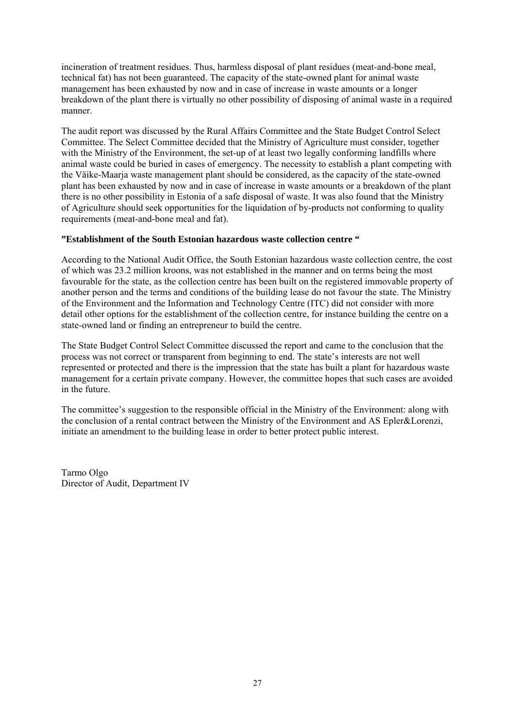incineration of treatment residues. Thus, harmless disposal of plant residues (meat-and-bone meal, technical fat) has not been guaranteed. The capacity of the state-owned plant for animal waste management has been exhausted by now and in case of increase in waste amounts or a longer breakdown of the plant there is virtually no other possibility of disposing of animal waste in a required manner.

The audit report was discussed by the Rural Affairs Committee and the State Budget Control Select Committee. The Select Committee decided that the Ministry of Agriculture must consider, together with the Ministry of the Environment, the set-up of at least two legally conforming landfills where animal waste could be buried in cases of emergency. The necessity to establish a plant competing with the Väike-Maarja waste management plant should be considered, as the capacity of the state-owned plant has been exhausted by now and in case of increase in waste amounts or a breakdown of the plant there is no other possibility in Estonia of a safe disposal of waste. It was also found that the Ministry of Agriculture should seek opportunities for the liquidation of by-products not conforming to quality requirements (meat-and-bone meal and fat).

# **"Establishment of the South Estonian hazardous waste collection centre "**

According to the National Audit Office, the South Estonian hazardous waste collection centre, the cost of which was 23.2 million kroons, was not established in the manner and on terms being the most favourable for the state, as the collection centre has been built on the registered immovable property of another person and the terms and conditions of the building lease do not favour the state. The Ministry of the Environment and the Information and Technology Centre (ITC) did not consider with more detail other options for the establishment of the collection centre, for instance building the centre on a state-owned land or finding an entrepreneur to build the centre.

The State Budget Control Select Committee discussed the report and came to the conclusion that the process was not correct or transparent from beginning to end. The state's interests are not well represented or protected and there is the impression that the state has built a plant for hazardous waste management for a certain private company. However, the committee hopes that such cases are avoided in the future.

The committee's suggestion to the responsible official in the Ministry of the Environment: along with the conclusion of a rental contract between the Ministry of the Environment and AS Epler&Lorenzi, initiate an amendment to the building lease in order to better protect public interest.

Tarmo Olgo Director of Audit, Department IV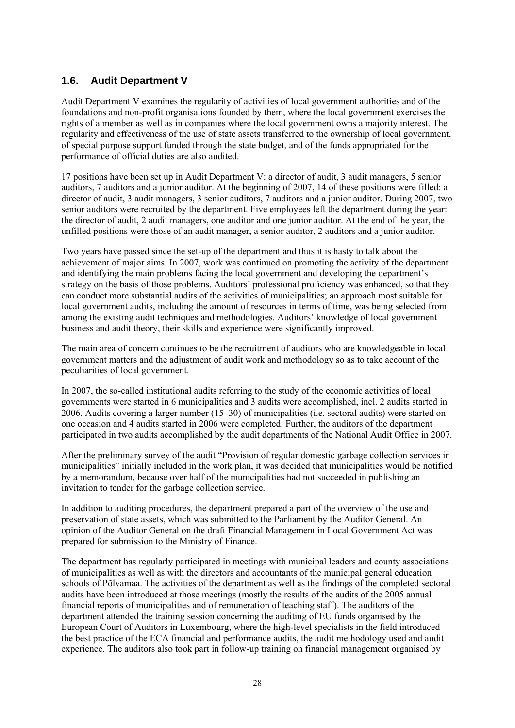# **1.6. Audit Department V**

Audit Department V examines the regularity of activities of local government authorities and of the foundations and non-profit organisations founded by them, where the local government exercises the rights of a member as well as in companies where the local government owns a majority interest. The regularity and effectiveness of the use of state assets transferred to the ownership of local government, of special purpose support funded through the state budget, and of the funds appropriated for the performance of official duties are also audited.

17 positions have been set up in Audit Department V: a director of audit, 3 audit managers, 5 senior auditors, 7 auditors and a junior auditor. At the beginning of 2007, 14 of these positions were filled: a director of audit, 3 audit managers, 3 senior auditors, 7 auditors and a junior auditor. During 2007, two senior auditors were recruited by the department. Five employees left the department during the year: the director of audit, 2 audit managers, one auditor and one junior auditor. At the end of the year, the unfilled positions were those of an audit manager, a senior auditor, 2 auditors and a junior auditor.

Two years have passed since the set-up of the department and thus it is hasty to talk about the achievement of major aims. In 2007, work was continued on promoting the activity of the department and identifying the main problems facing the local government and developing the department's strategy on the basis of those problems. Auditors' professional proficiency was enhanced, so that they can conduct more substantial audits of the activities of municipalities; an approach most suitable for local government audits, including the amount of resources in terms of time, was being selected from among the existing audit techniques and methodologies. Auditors' knowledge of local government business and audit theory, their skills and experience were significantly improved.

The main area of concern continues to be the recruitment of auditors who are knowledgeable in local government matters and the adjustment of audit work and methodology so as to take account of the peculiarities of local government.

In 2007, the so-called institutional audits referring to the study of the economic activities of local governments were started in 6 municipalities and 3 audits were accomplished, incl. 2 audits started in 2006. Audits covering a larger number (15–30) of municipalities (i.e. sectoral audits) were started on one occasion and 4 audits started in 2006 were completed. Further, the auditors of the department participated in two audits accomplished by the audit departments of the National Audit Office in 2007.

After the preliminary survey of the audit "Provision of regular domestic garbage collection services in municipalities" initially included in the work plan, it was decided that municipalities would be notified by a memorandum, because over half of the municipalities had not succeeded in publishing an invitation to tender for the garbage collection service.

In addition to auditing procedures, the department prepared a part of the overview of the use and preservation of state assets, which was submitted to the Parliament by the Auditor General. An opinion of the Auditor General on the draft Financial Management in Local Government Act was prepared for submission to the Ministry of Finance.

The department has regularly participated in meetings with municipal leaders and county associations of municipalities as well as with the directors and accountants of the municipal general education schools of Põlvamaa. The activities of the department as well as the findings of the completed sectoral audits have been introduced at those meetings (mostly the results of the audits of the 2005 annual financial reports of municipalities and of remuneration of teaching staff). The auditors of the department attended the training session concerning the auditing of EU funds organised by the European Court of Auditors in Luxembourg, where the high-level specialists in the field introduced the best practice of the ECA financial and performance audits, the audit methodology used and audit experience. The auditors also took part in follow-up training on financial management organised by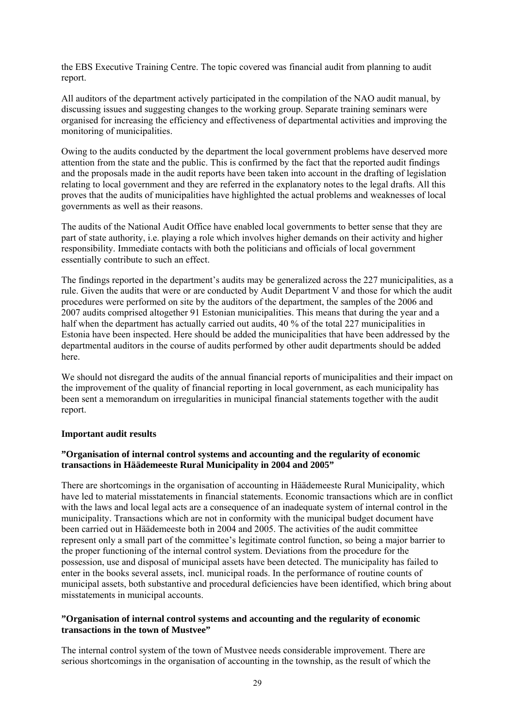the EBS Executive Training Centre. The topic covered was financial audit from planning to audit report.

All auditors of the department actively participated in the compilation of the NAO audit manual, by discussing issues and suggesting changes to the working group. Separate training seminars were organised for increasing the efficiency and effectiveness of departmental activities and improving the monitoring of municipalities.

Owing to the audits conducted by the department the local government problems have deserved more attention from the state and the public. This is confirmed by the fact that the reported audit findings and the proposals made in the audit reports have been taken into account in the drafting of legislation relating to local government and they are referred in the explanatory notes to the legal drafts. All this proves that the audits of municipalities have highlighted the actual problems and weaknesses of local governments as well as their reasons.

The audits of the National Audit Office have enabled local governments to better sense that they are part of state authority, i.e. playing a role which involves higher demands on their activity and higher responsibility. Immediate contacts with both the politicians and officials of local government essentially contribute to such an effect.

The findings reported in the department's audits may be generalized across the 227 municipalities, as a rule. Given the audits that were or are conducted by Audit Department V and those for which the audit procedures were performed on site by the auditors of the department, the samples of the 2006 and 2007 audits comprised altogether 91 Estonian municipalities. This means that during the year and a half when the department has actually carried out audits, 40 % of the total 227 municipalities in Estonia have been inspected. Here should be added the municipalities that have been addressed by the departmental auditors in the course of audits performed by other audit departments should be added here.

We should not disregard the audits of the annual financial reports of municipalities and their impact on the improvement of the quality of financial reporting in local government, as each municipality has been sent a memorandum on irregularities in municipal financial statements together with the audit report.

## **Important audit results**

## **"Organisation of internal control systems and accounting and the regularity of economic transactions in Häädemeeste Rural Municipality in 2004 and 2005"**

There are shortcomings in the organisation of accounting in Häädemeeste Rural Municipality, which have led to material misstatements in financial statements. Economic transactions which are in conflict with the laws and local legal acts are a consequence of an inadequate system of internal control in the municipality. Transactions which are not in conformity with the municipal budget document have been carried out in Häädemeeste both in 2004 and 2005. The activities of the audit committee represent only a small part of the committee's legitimate control function, so being a major barrier to the proper functioning of the internal control system. Deviations from the procedure for the possession, use and disposal of municipal assets have been detected. The municipality has failed to enter in the books several assets, incl. municipal roads. In the performance of routine counts of municipal assets, both substantive and procedural deficiencies have been identified, which bring about misstatements in municipal accounts.

## **"Organisation of internal control systems and accounting and the regularity of economic transactions in the town of Mustvee"**

The internal control system of the town of Mustvee needs considerable improvement. There are serious shortcomings in the organisation of accounting in the township, as the result of which the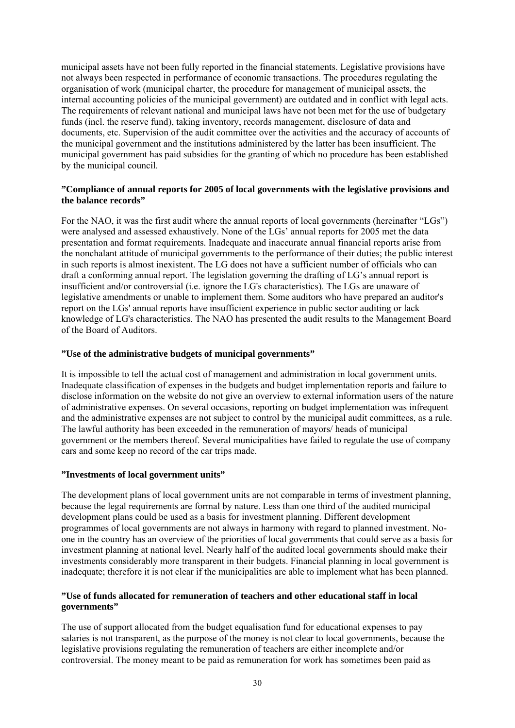municipal assets have not been fully reported in the financial statements. Legislative provisions have not always been respected in performance of economic transactions. The procedures regulating the organisation of work (municipal charter, the procedure for management of municipal assets, the internal accounting policies of the municipal government) are outdated and in conflict with legal acts. The requirements of relevant national and municipal laws have not been met for the use of budgetary funds (incl. the reserve fund), taking inventory, records management, disclosure of data and documents, etc. Supervision of the audit committee over the activities and the accuracy of accounts of the municipal government and the institutions administered by the latter has been insufficient. The municipal government has paid subsidies for the granting of which no procedure has been established by the municipal council.

# **"Compliance of annual reports for 2005 of local governments with the legislative provisions and the balance records"**

For the NAO, it was the first audit where the annual reports of local governments (hereinafter "LGs") were analysed and assessed exhaustively. None of the LGs' annual reports for 2005 met the data presentation and format requirements. Inadequate and inaccurate annual financial reports arise from the nonchalant attitude of municipal governments to the performance of their duties; the public interest in such reports is almost inexistent. The LG does not have a sufficient number of officials who can draft a conforming annual report. The legislation governing the drafting of LG's annual report is insufficient and/or controversial (i.e. ignore the LG's characteristics). The LGs are unaware of legislative amendments or unable to implement them. Some auditors who have prepared an auditor's report on the LGs' annual reports have insufficient experience in public sector auditing or lack knowledge of LG's characteristics. The NAO has presented the audit results to the Management Board of the Board of Auditors.

## **"Use of the administrative budgets of municipal governments"**

It is impossible to tell the actual cost of management and administration in local government units. Inadequate classification of expenses in the budgets and budget implementation reports and failure to disclose information on the website do not give an overview to external information users of the nature of administrative expenses. On several occasions, reporting on budget implementation was infrequent and the administrative expenses are not subject to control by the municipal audit committees, as a rule. The lawful authority has been exceeded in the remuneration of mayors/ heads of municipal government or the members thereof. Several municipalities have failed to regulate the use of company cars and some keep no record of the car trips made.

## **"Investments of local government units"**

The development plans of local government units are not comparable in terms of investment planning, because the legal requirements are formal by nature. Less than one third of the audited municipal development plans could be used as a basis for investment planning. Different development programmes of local governments are not always in harmony with regard to planned investment. Noone in the country has an overview of the priorities of local governments that could serve as a basis for investment planning at national level. Nearly half of the audited local governments should make their investments considerably more transparent in their budgets. Financial planning in local government is inadequate; therefore it is not clear if the municipalities are able to implement what has been planned.

# **"Use of funds allocated for remuneration of teachers and other educational staff in local governments"**

The use of support allocated from the budget equalisation fund for educational expenses to pay salaries is not transparent, as the purpose of the money is not clear to local governments, because the legislative provisions regulating the remuneration of teachers are either incomplete and/or controversial. The money meant to be paid as remuneration for work has sometimes been paid as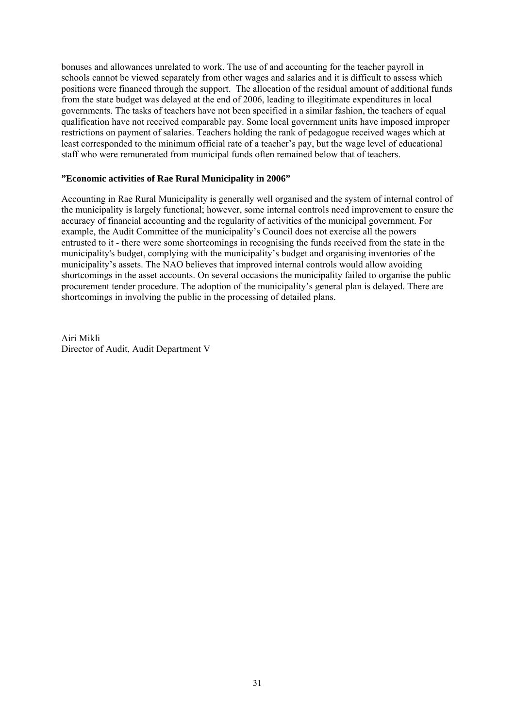bonuses and allowances unrelated to work. The use of and accounting for the teacher payroll in schools cannot be viewed separately from other wages and salaries and it is difficult to assess which positions were financed through the support. The allocation of the residual amount of additional funds from the state budget was delayed at the end of 2006, leading to illegitimate expenditures in local governments. The tasks of teachers have not been specified in a similar fashion, the teachers of equal qualification have not received comparable pay. Some local government units have imposed improper restrictions on payment of salaries. Teachers holding the rank of pedagogue received wages which at least corresponded to the minimum official rate of a teacher's pay, but the wage level of educational staff who were remunerated from municipal funds often remained below that of teachers.

# **"Economic activities of Rae Rural Municipality in 2006"**

Accounting in Rae Rural Municipality is generally well organised and the system of internal control of the municipality is largely functional; however, some internal controls need improvement to ensure the accuracy of financial accounting and the regularity of activities of the municipal government. For example, the Audit Committee of the municipality's Council does not exercise all the powers entrusted to it - there were some shortcomings in recognising the funds received from the state in the municipality's budget, complying with the municipality's budget and organising inventories of the municipality's assets. The NAO believes that improved internal controls would allow avoiding shortcomings in the asset accounts. On several occasions the municipality failed to organise the public procurement tender procedure. The adoption of the municipality's general plan is delayed. There are shortcomings in involving the public in the processing of detailed plans.

Airi Mikli Director of Audit, Audit Department V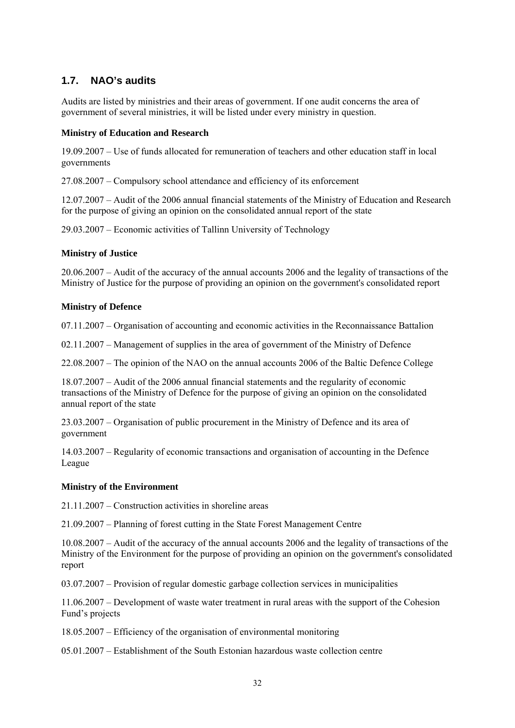# **1.7. NAO's audits**

Audits are listed by ministries and their areas of government. If one audit concerns the area of government of several ministries, it will be listed under every ministry in question.

# **Ministry of Education and Research**

19.09.2007 – Use of funds allocated for remuneration of teachers and other education staff in local governments

27.08.2007 – Compulsory school attendance and efficiency of its enforcement

12.07.2007 – Audit of the 2006 annual financial statements of the Ministry of Education and Research for the purpose of giving an opinion on the consolidated annual report of the state

29.03.2007 – Economic activities of Tallinn University of Technology

# **Ministry of Justice**

20.06.2007 – Audit of the accuracy of the annual accounts 2006 and the legality of transactions of the Ministry of Justice for the purpose of providing an opinion on the government's consolidated report

# **Ministry of Defence**

07.11.2007 – Organisation of accounting and economic activities in the Reconnaissance Battalion

02.11.2007 – Management of supplies in the area of government of the Ministry of Defence

22.08.2007 – The opinion of the NAO on the annual accounts 2006 of the Baltic Defence College

18.07.2007 – Audit of the 2006 annual financial statements and the regularity of economic transactions of the Ministry of Defence for the purpose of giving an opinion on the consolidated annual report of the state

23.03.2007 – Organisation of public procurement in the Ministry of Defence and its area of government

14.03.2007 – Regularity of economic transactions and organisation of accounting in the Defence League

## **Ministry of the Environment**

21.11.2007 – Construction activities in shoreline areas

21.09.2007 – Planning of forest cutting in the State Forest Management Centre

10.08.2007 – Audit of the accuracy of the annual accounts 2006 and the legality of transactions of the Ministry of the Environment for the purpose of providing an opinion on the government's consolidated report

03.07.2007 – Provision of regular domestic garbage collection services in municipalities

11.06.2007 – Development of waste water treatment in rural areas with the support of the Cohesion Fund's projects

18.05.2007 – Efficiency of the organisation of environmental monitoring

05.01.2007 – Establishment of the South Estonian hazardous waste collection centre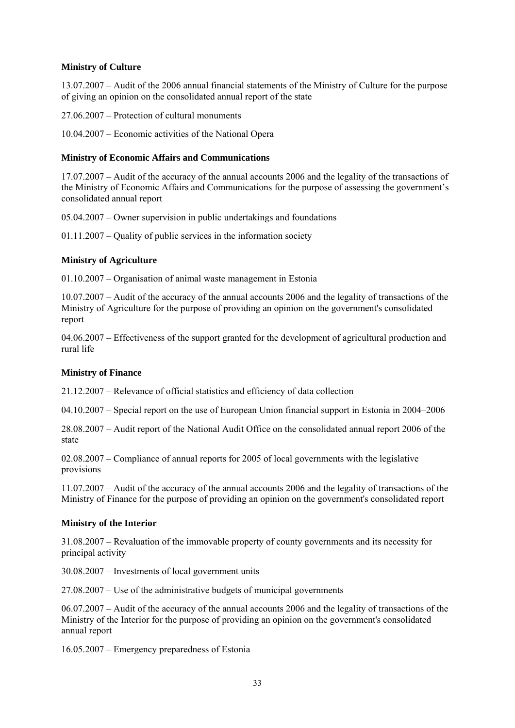# **Ministry of Culture**

13.07.2007 – Audit of the 2006 annual financial statements of the Ministry of Culture for the purpose of giving an opinion on the consolidated annual report of the state

27.06.2007 – Protection of cultural monuments

10.04.2007 – Economic activities of the National Opera

# **Ministry of Economic Affairs and Communications**

17.07.2007 – Audit of the accuracy of the annual accounts 2006 and the legality of the transactions of the Ministry of Economic Affairs and Communications for the purpose of assessing the government's consolidated annual report

05.04.2007 – Owner supervision in public undertakings and foundations

01.11.2007 – Quality of public services in the information society

# **Ministry of Agriculture**

01.10.2007 – Organisation of animal waste management in Estonia

10.07.2007 – Audit of the accuracy of the annual accounts 2006 and the legality of transactions of the Ministry of Agriculture for the purpose of providing an opinion on the government's consolidated report

04.06.2007 – Effectiveness of the support granted for the development of agricultural production and rural life

## **Ministry of Finance**

21.12.2007 – Relevance of official statistics and efficiency of data collection

04.10.2007 – Special report on the use of European Union financial support in Estonia in 2004–2006

28.08.2007 – Audit report of the National Audit Office on the consolidated annual report 2006 of the state

02.08.2007 – Compliance of annual reports for 2005 of local governments with the legislative provisions

11.07.2007 – Audit of the accuracy of the annual accounts 2006 and the legality of transactions of the Ministry of Finance for the purpose of providing an opinion on the government's consolidated report

## **Ministry of the Interior**

31.08.2007 – Revaluation of the immovable property of county governments and its necessity for principal activity

30.08.2007 – Investments of local government units

27.08.2007 – Use of the administrative budgets of municipal governments

06.07.2007 – Audit of the accuracy of the annual accounts 2006 and the legality of transactions of the Ministry of the Interior for the purpose of providing an opinion on the government's consolidated annual report

16.05.2007 – Emergency preparedness of Estonia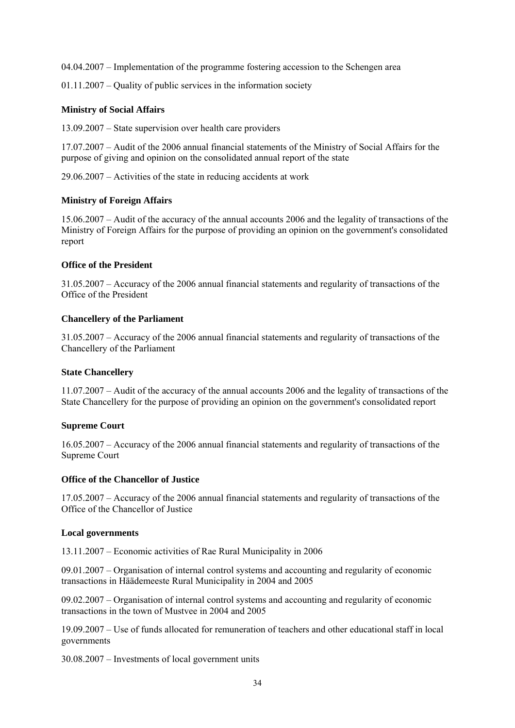04.04.2007 – Implementation of the programme fostering accession to the Schengen area

01.11.2007 – Quality of public services in the information society

#### **Ministry of Social Affairs**

13.09.2007 – State supervision over health care providers

17.07.2007 – Audit of the 2006 annual financial statements of the Ministry of Social Affairs for the purpose of giving and opinion on the consolidated annual report of the state

29.06.2007 – Activities of the state in reducing accidents at work

#### **Ministry of Foreign Affairs**

15.06.2007 – Audit of the accuracy of the annual accounts 2006 and the legality of transactions of the Ministry of Foreign Affairs for the purpose of providing an opinion on the government's consolidated report

#### **Office of the President**

31.05.2007 – Accuracy of the 2006 annual financial statements and regularity of transactions of the Office of the President

#### **Chancellery of the Parliament**

31.05.2007 – Accuracy of the 2006 annual financial statements and regularity of transactions of the Chancellery of the Parliament

#### **State Chancellery**

11.07.2007 – Audit of the accuracy of the annual accounts 2006 and the legality of transactions of the State Chancellery for the purpose of providing an opinion on the government's consolidated report

#### **Supreme Court**

16.05.2007 – Accuracy of the 2006 annual financial statements and regularity of transactions of the Supreme Court

#### **Office of the Chancellor of Justice**

17.05.2007 – Accuracy of the 2006 annual financial statements and regularity of transactions of the Office of the Chancellor of Justice

#### **Local governments**

13.11.2007 – Economic activities of Rae Rural Municipality in 2006

09.01.2007 – Organisation of internal control systems and accounting and regularity of economic transactions in Häädemeeste Rural Municipality in 2004 and 2005

09.02.2007 – Organisation of internal control systems and accounting and regularity of economic transactions in the town of Mustvee in 2004 and 2005

19.09.2007 – Use of funds allocated for remuneration of teachers and other educational staff in local governments

30.08.2007 – Investments of local government units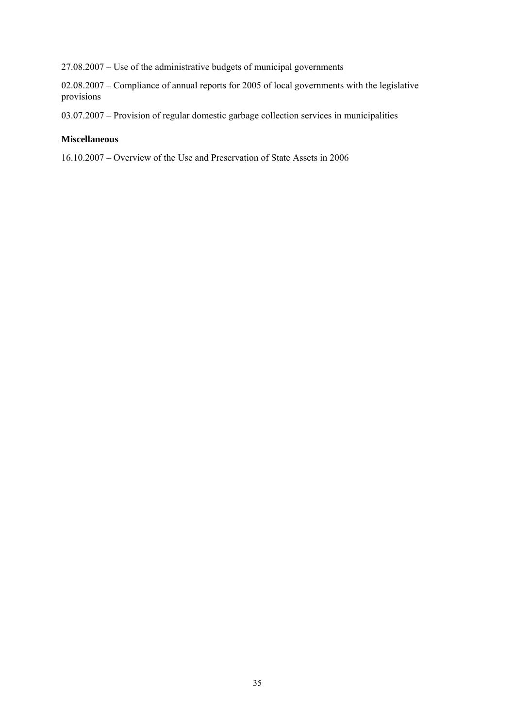27.08.2007 – Use of the administrative budgets of municipal governments

02.08.2007 – Compliance of annual reports for 2005 of local governments with the legislative provisions

03.07.2007 – Provision of regular domestic garbage collection services in municipalities

# **Miscellaneous**

16.10.2007 – Overview of the Use and Preservation of State Assets in 2006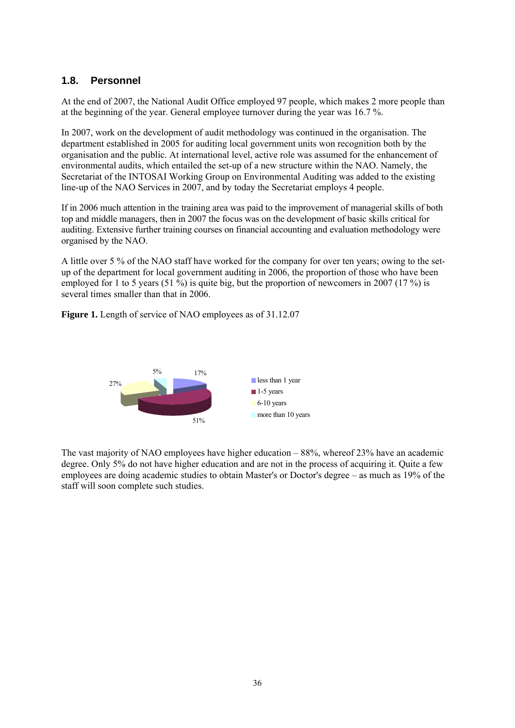# **1.8. Personnel**

At the end of 2007, the National Audit Office employed 97 people, which makes 2 more people than at the beginning of the year. General employee turnover during the year was 16.7 %.

In 2007, work on the development of audit methodology was continued in the organisation. The department established in 2005 for auditing local government units won recognition both by the organisation and the public. At international level, active role was assumed for the enhancement of environmental audits, which entailed the set-up of a new structure within the NAO. Namely, the Secretariat of the INTOSAI Working Group on Environmental Auditing was added to the existing line-up of the NAO Services in 2007, and by today the Secretariat employs 4 people.

If in 2006 much attention in the training area was paid to the improvement of managerial skills of both top and middle managers, then in 2007 the focus was on the development of basic skills critical for auditing. Extensive further training courses on financial accounting and evaluation methodology were organised by the NAO.

A little over 5 % of the NAO staff have worked for the company for over ten years; owing to the setup of the department for local government auditing in 2006, the proportion of those who have been employed for 1 to 5 years (51 %) is quite big, but the proportion of newcomers in 2007 (17 %) is several times smaller than that in 2006.

**Figure 1.** Length of service of NAO employees as of 31.12.07



The vast majority of NAO employees have higher education – 88%, whereof 23% have an academic degree. Only 5% do not have higher education and are not in the process of acquiring it. Quite a few employees are doing academic studies to obtain Master's or Doctor's degree – as much as 19% of the staff will soon complete such studies.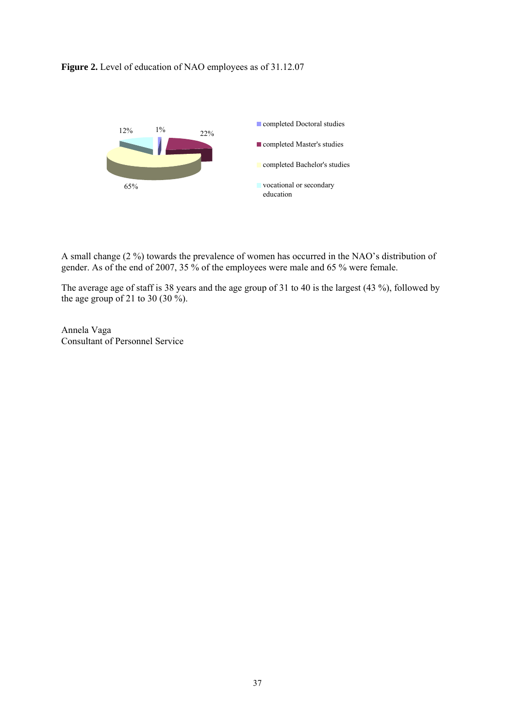## **Figure 2.** Level of education of NAO employees as of 31.12.07



A small change (2 %) towards the prevalence of women has occurred in the NAO's distribution of gender. As of the end of 2007, 35 % of the employees were male and 65 % were female.

The average age of staff is 38 years and the age group of 31 to 40 is the largest (43 %), followed by the age group of 21 to 30 (30 %).

Annela Vaga Consultant of Personnel Service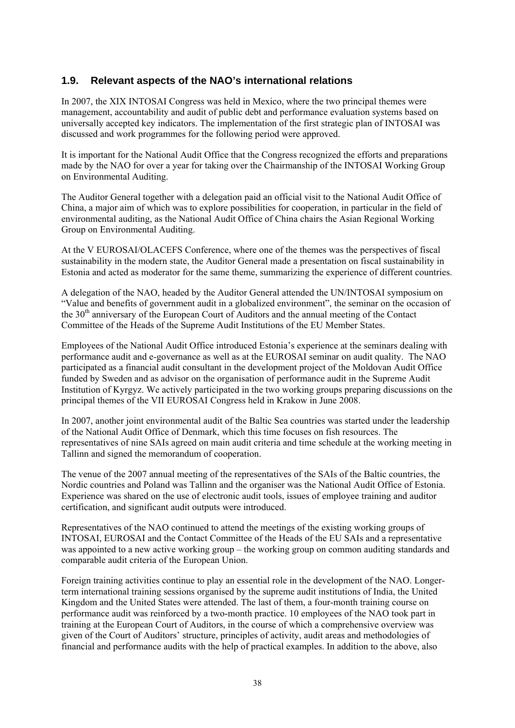## **1.9. Relevant aspects of the NAO's international relations**

In 2007, the XIX INTOSAI Congress was held in Mexico, where the two principal themes were management, accountability and audit of public debt and performance evaluation systems based on universally accepted key indicators. The implementation of the first strategic plan of INTOSAI was discussed and work programmes for the following period were approved.

It is important for the National Audit Office that the Congress recognized the efforts and preparations made by the NAO for over a year for taking over the Chairmanship of the INTOSAI Working Group on Environmental Auditing.

The Auditor General together with a delegation paid an official visit to the National Audit Office of China, a major aim of which was to explore possibilities for cooperation, in particular in the field of environmental auditing, as the National Audit Office of China chairs the Asian Regional Working Group on Environmental Auditing.

At the V EUROSAI/OLACEFS Conference, where one of the themes was the perspectives of fiscal sustainability in the modern state, the Auditor General made a presentation on fiscal sustainability in Estonia and acted as moderator for the same theme, summarizing the experience of different countries.

A delegation of the NAO, headed by the Auditor General attended the UN/INTOSAI symposium on "Value and benefits of government audit in a globalized environment", the seminar on the occasion of the  $30<sup>th</sup>$  anniversary of the European Court of Auditors and the annual meeting of the Contact Committee of the Heads of the Supreme Audit Institutions of the EU Member States.

Employees of the National Audit Office introduced Estonia's experience at the seminars dealing with performance audit and e-governance as well as at the EUROSAI seminar on audit quality. The NAO participated as a financial audit consultant in the development project of the Moldovan Audit Office funded by Sweden and as advisor on the organisation of performance audit in the Supreme Audit Institution of Kyrgyz. We actively participated in the two working groups preparing discussions on the principal themes of the VII EUROSAI Congress held in Krakow in June 2008.

In 2007, another joint environmental audit of the Baltic Sea countries was started under the leadership of the National Audit Office of Denmark, which this time focuses on fish resources. The representatives of nine SAIs agreed on main audit criteria and time schedule at the working meeting in Tallinn and signed the memorandum of cooperation.

The venue of the 2007 annual meeting of the representatives of the SAIs of the Baltic countries, the Nordic countries and Poland was Tallinn and the organiser was the National Audit Office of Estonia. Experience was shared on the use of electronic audit tools, issues of employee training and auditor certification, and significant audit outputs were introduced.

Representatives of the NAO continued to attend the meetings of the existing working groups of INTOSAI, EUROSAI and the Contact Committee of the Heads of the EU SAIs and a representative was appointed to a new active working group – the working group on common auditing standards and comparable audit criteria of the European Union.

Foreign training activities continue to play an essential role in the development of the NAO. Longerterm international training sessions organised by the supreme audit institutions of India, the United Kingdom and the United States were attended. The last of them, a four-month training course on performance audit was reinforced by a two-month practice. 10 employees of the NAO took part in training at the European Court of Auditors, in the course of which a comprehensive overview was given of the Court of Auditors' structure, principles of activity, audit areas and methodologies of financial and performance audits with the help of practical examples. In addition to the above, also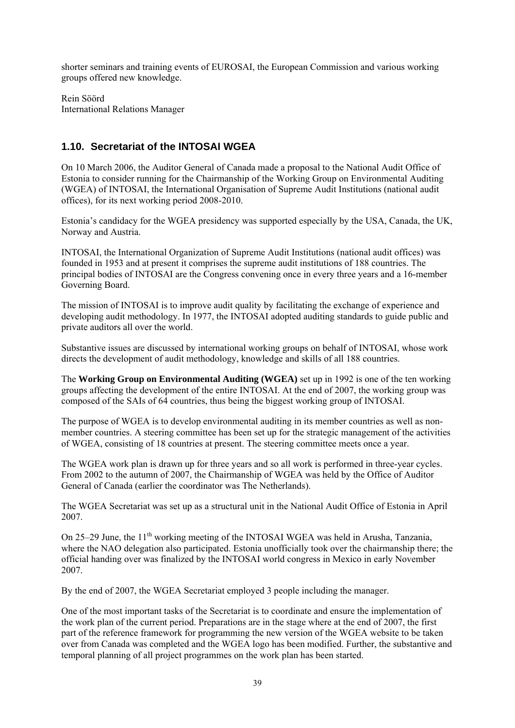shorter seminars and training events of EUROSAI, the European Commission and various working groups offered new knowledge.

Rein Söörd International Relations Manager

## **1.10. Secretariat of the INTOSAI WGEA**

On 10 March 2006, the Auditor General of Canada made a proposal to the National Audit Office of Estonia to consider running for the Chairmanship of the Working Group on Environmental Auditing (WGEA) of INTOSAI, the International Organisation of Supreme Audit Institutions (national audit offices), for its next working period 2008-2010.

Estonia's candidacy for the WGEA presidency was supported especially by the USA, Canada, the UK, Norway and Austria.

INTOSAI, the International Organization of Supreme Audit Institutions (national audit offices) was founded in 1953 and at present it comprises the supreme audit institutions of 188 countries. The principal bodies of INTOSAI are the Congress convening once in every three years and a 16-member Governing Board.

The mission of INTOSAI is to improve audit quality by facilitating the exchange of experience and developing audit methodology. In 1977, the INTOSAI adopted auditing standards to guide public and private auditors all over the world.

Substantive issues are discussed by international working groups on behalf of INTOSAI, whose work directs the development of audit methodology, knowledge and skills of all 188 countries.

The **Working Group on Environmental Auditing (WGEA)** set up in 1992 is one of the ten working groups affecting the development of the entire INTOSAI. At the end of 2007, the working group was composed of the SAIs of 64 countries, thus being the biggest working group of INTOSAI.

The purpose of WGEA is to develop environmental auditing in its member countries as well as nonmember countries. A steering committee has been set up for the strategic management of the activities of WGEA, consisting of 18 countries at present. The steering committee meets once a year.

The WGEA work plan is drawn up for three years and so all work is performed in three-year cycles. From 2002 to the autumn of 2007, the Chairmanship of WGEA was held by the Office of Auditor General of Canada (earlier the coordinator was The Netherlands).

The WGEA Secretariat was set up as a structural unit in the National Audit Office of Estonia in April 2007.

On 25–29 June, the 11<sup>th</sup> working meeting of the INTOSAI WGEA was held in Arusha, Tanzania, where the NAO delegation also participated. Estonia unofficially took over the chairmanship there; the official handing over was finalized by the INTOSAI world congress in Mexico in early November 2007.

By the end of 2007, the WGEA Secretariat employed 3 people including the manager.

One of the most important tasks of the Secretariat is to coordinate and ensure the implementation of the work plan of the current period. Preparations are in the stage where at the end of 2007, the first part of the reference framework for programming the new version of the WGEA website to be taken over from Canada was completed and the WGEA logo has been modified. Further, the substantive and temporal planning of all project programmes on the work plan has been started.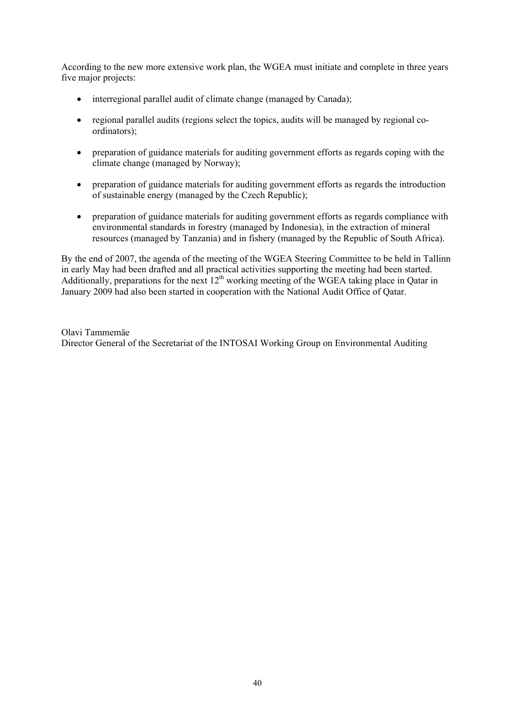According to the new more extensive work plan, the WGEA must initiate and complete in three years five major projects:

- interregional parallel audit of climate change (managed by Canada);
- regional parallel audits (regions select the topics, audits will be managed by regional coordinators);
- preparation of guidance materials for auditing government efforts as regards coping with the climate change (managed by Norway);
- preparation of guidance materials for auditing government efforts as regards the introduction of sustainable energy (managed by the Czech Republic);
- preparation of guidance materials for auditing government efforts as regards compliance with environmental standards in forestry (managed by Indonesia), in the extraction of mineral resources (managed by Tanzania) and in fishery (managed by the Republic of South Africa).

By the end of 2007, the agenda of the meeting of the WGEA Steering Committee to be held in Tallinn in early May had been drafted and all practical activities supporting the meeting had been started. Additionally, preparations for the next  $12<sup>th</sup>$  working meeting of the WGEA taking place in Qatar in January 2009 had also been started in cooperation with the National Audit Office of Qatar.

Olavi Tammemäe Director General of the Secretariat of the INTOSAI Working Group on Environmental Auditing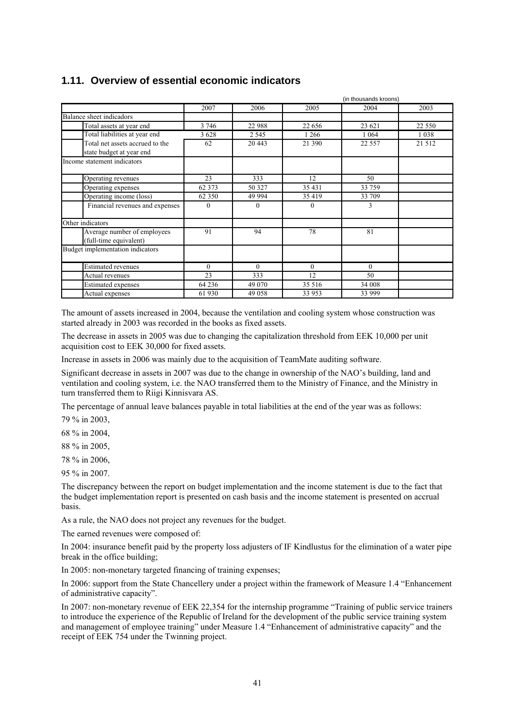## **1.11. Overview of essential economic indicators**

|                                  | (in thousands kroons) |          |          |          |          |
|----------------------------------|-----------------------|----------|----------|----------|----------|
|                                  | 2007                  | 2006     | 2005     | 2004     | 2003     |
| Balance sheet indicadors         |                       |          |          |          |          |
| Total assets at year end         | 3 7 4 6               | 22 988   | 22 656   | 23 621   | 22 5 5 0 |
| Total liabilities at year end    | 3 6 2 8               | 2 5 4 5  | 1 2 6 6  | 1 0 6 4  | 1 0 3 8  |
| Total net assets accrued to the  | 62                    | 20 443   | 21 390   | 22 5 5 7 | 21 5 12  |
| state budget at year end         |                       |          |          |          |          |
| Income statement indicators      |                       |          |          |          |          |
| Operating revenues               | 23                    | 333      | 12       | 50       |          |
| Operating expenses               | 62 3 7 3              | 50 327   | 35 431   | 33 759   |          |
| Operating income (loss)          | 62 3 50               | 49 994   | 35 419   | 33 709   |          |
| Financial revenues and expenses  | $\Omega$              | $\Omega$ | $\theta$ | 3        |          |
| Other indicators                 |                       |          |          |          |          |
| Average number of employees      | 91                    | 94       | 78       | 81       |          |
| (full-time equivalent)           |                       |          |          |          |          |
| Budget implementation indicators |                       |          |          |          |          |
| <b>Estimated revenues</b>        | $\mathbf{0}$          | $\theta$ | $\theta$ | $\theta$ |          |
| Actual revenues                  | 23                    | 333      | 12       | 50       |          |
| <b>Estimated</b> expenses        | 64 23 6               | 49 070   | 35 516   | 34 008   |          |
| Actual expenses                  | 61 930                | 49 058   | 33 953   | 33 999   |          |

The amount of assets increased in 2004, because the ventilation and cooling system whose construction was started already in 2003 was recorded in the books as fixed assets.

The decrease in assets in 2005 was due to changing the capitalization threshold from EEK 10,000 per unit acquisition cost to EEK 30,000 for fixed assets.

Increase in assets in 2006 was mainly due to the acquisition of TeamMate auditing software.

Significant decrease in assets in 2007 was due to the change in ownership of the NAO's building, land and ventilation and cooling system, i.e. the NAO transferred them to the Ministry of Finance, and the Ministry in turn transferred them to Riigi Kinnisvara AS.

The percentage of annual leave balances payable in total liabilities at the end of the year was as follows:

79 % in 2003,

68 % in 2004,

88 % in 2005,

78 % in 2006,

95 % in 2007.

The discrepancy between the report on budget implementation and the income statement is due to the fact that the budget implementation report is presented on cash basis and the income statement is presented on accrual basis.

As a rule, the NAO does not project any revenues for the budget.

The earned revenues were composed of:

In 2004: insurance benefit paid by the property loss adjusters of IF Kindlustus for the elimination of a water pipe break in the office building;

In 2005: non-monetary targeted financing of training expenses;

In 2006: support from the State Chancellery under a project within the framework of Measure 1.4 "Enhancement of administrative capacity".

In 2007: non-monetary revenue of EEK 22,354 for the internship programme "Training of public service trainers to introduce the experience of the Republic of Ireland for the development of the public service training system and management of employee training" under Measure 1.4 "Enhancement of administrative capacity" and the receipt of EEK 754 under the Twinning project.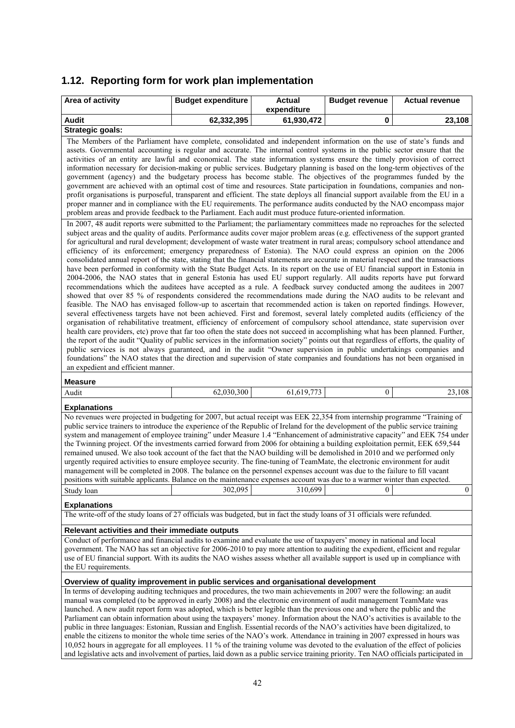## **1.12. Reporting form for work plan implementation**

| Area of activity                                                                                                                                                                                                                                                                                                                                                                                                                                                                                                                                                                                                                                                                                                                                                                                                                                                                                                                                                                                                                                                                                                                                                                                                                                                                                                                                                                                                                                                                                                                                                                                                                                                                                                                                                                                                                                                                                                                                                                                                                                                                                                                                                                                                                                                                                                                                                                                                                                                                                                                                                                                                                                                                                                                                                                                                                                                                                                                                                                                                                                                                                                                                                                                                                          | <b>Budget expenditure</b> | <b>Actual</b><br>expenditure | <b>Budget revenue</b> | <b>Actual revenue</b> |
|-------------------------------------------------------------------------------------------------------------------------------------------------------------------------------------------------------------------------------------------------------------------------------------------------------------------------------------------------------------------------------------------------------------------------------------------------------------------------------------------------------------------------------------------------------------------------------------------------------------------------------------------------------------------------------------------------------------------------------------------------------------------------------------------------------------------------------------------------------------------------------------------------------------------------------------------------------------------------------------------------------------------------------------------------------------------------------------------------------------------------------------------------------------------------------------------------------------------------------------------------------------------------------------------------------------------------------------------------------------------------------------------------------------------------------------------------------------------------------------------------------------------------------------------------------------------------------------------------------------------------------------------------------------------------------------------------------------------------------------------------------------------------------------------------------------------------------------------------------------------------------------------------------------------------------------------------------------------------------------------------------------------------------------------------------------------------------------------------------------------------------------------------------------------------------------------------------------------------------------------------------------------------------------------------------------------------------------------------------------------------------------------------------------------------------------------------------------------------------------------------------------------------------------------------------------------------------------------------------------------------------------------------------------------------------------------------------------------------------------------------------------------------------------------------------------------------------------------------------------------------------------------------------------------------------------------------------------------------------------------------------------------------------------------------------------------------------------------------------------------------------------------------------------------------------------------------------------------------------------------|---------------------------|------------------------------|-----------------------|-----------------------|
| <b>Audit</b>                                                                                                                                                                                                                                                                                                                                                                                                                                                                                                                                                                                                                                                                                                                                                                                                                                                                                                                                                                                                                                                                                                                                                                                                                                                                                                                                                                                                                                                                                                                                                                                                                                                                                                                                                                                                                                                                                                                                                                                                                                                                                                                                                                                                                                                                                                                                                                                                                                                                                                                                                                                                                                                                                                                                                                                                                                                                                                                                                                                                                                                                                                                                                                                                                              | 62,332,395                | 61,930,472                   | 0                     | 23,108                |
| Strategic goals:                                                                                                                                                                                                                                                                                                                                                                                                                                                                                                                                                                                                                                                                                                                                                                                                                                                                                                                                                                                                                                                                                                                                                                                                                                                                                                                                                                                                                                                                                                                                                                                                                                                                                                                                                                                                                                                                                                                                                                                                                                                                                                                                                                                                                                                                                                                                                                                                                                                                                                                                                                                                                                                                                                                                                                                                                                                                                                                                                                                                                                                                                                                                                                                                                          |                           |                              |                       |                       |
| The Members of the Parliament have complete, consolidated and independent information on the use of state's funds and<br>assets. Governmental accounting is regular and accurate. The internal control systems in the public sector ensure that the<br>activities of an entity are lawful and economical. The state information systems ensure the timely provision of correct<br>information necessary for decision-making or public services. Budgetary planning is based on the long-term objectives of the<br>government (agency) and the budgetary process has become stable. The objectives of the programmes funded by the<br>government are achieved with an optimal cost of time and resources. State participation in foundations, companies and non-<br>profit organisations is purposeful, transparent and efficient. The state deploys all financial support available from the EU in a<br>proper manner and in compliance with the EU requirements. The performance audits conducted by the NAO encompass major<br>problem areas and provide feedback to the Parliament. Each audit must produce future-oriented information.<br>In 2007, 48 audit reports were submitted to the Parliament; the parliamentary committees made no reproaches for the selected<br>subject areas and the quality of audits. Performance audits cover major problem areas (e.g. effectiveness of the support granted<br>for agricultural and rural development; development of waste water treatment in rural areas; compulsory school attendance and<br>efficiency of its enforcement; emergency preparedness of Estonia). The NAO could express an opinion on the 2006<br>consolidated annual report of the state, stating that the financial statements are accurate in material respect and the transactions<br>have been performed in conformity with the State Budget Acts. In its report on the use of EU financial support in Estonia in<br>2004-2006, the NAO states that in general Estonia has used EU support regularly. All audits reports have put forward<br>recommendations which the auditees have accepted as a rule. A feedback survey conducted among the auditees in 2007<br>showed that over 85 % of respondents considered the recommendations made during the NAO audits to be relevant and<br>feasible. The NAO has envisaged follow-up to ascertain that recommended action is taken on reported findings. However,<br>several effectiveness targets have not been achieved. First and foremost, several lately completed audits (efficiency of the<br>organisation of rehabilitative treatment, efficiency of enforcement of compulsory school attendance, state supervision over<br>health care providers, etc) prove that far too often the state does not succeed in accomplishing what has been planned. Further,<br>the report of the audit "Quality of public services in the information society" points out that regardless of efforts, the quality of<br>public services is not always guaranteed, and in the audit "Owner supervision in public undertakings companies and<br>foundations" the NAO states that the direction and supervision of state companies and foundations has not been organised in |                           |                              |                       |                       |
| an expedient and efficient manner.                                                                                                                                                                                                                                                                                                                                                                                                                                                                                                                                                                                                                                                                                                                                                                                                                                                                                                                                                                                                                                                                                                                                                                                                                                                                                                                                                                                                                                                                                                                                                                                                                                                                                                                                                                                                                                                                                                                                                                                                                                                                                                                                                                                                                                                                                                                                                                                                                                                                                                                                                                                                                                                                                                                                                                                                                                                                                                                                                                                                                                                                                                                                                                                                        |                           |                              |                       |                       |
| <b>Measure</b><br>Audit                                                                                                                                                                                                                                                                                                                                                                                                                                                                                                                                                                                                                                                                                                                                                                                                                                                                                                                                                                                                                                                                                                                                                                                                                                                                                                                                                                                                                                                                                                                                                                                                                                                                                                                                                                                                                                                                                                                                                                                                                                                                                                                                                                                                                                                                                                                                                                                                                                                                                                                                                                                                                                                                                                                                                                                                                                                                                                                                                                                                                                                                                                                                                                                                                   | 62,030,300                | 61,619,773                   | $\boldsymbol{0}$      | 23,108                |
|                                                                                                                                                                                                                                                                                                                                                                                                                                                                                                                                                                                                                                                                                                                                                                                                                                                                                                                                                                                                                                                                                                                                                                                                                                                                                                                                                                                                                                                                                                                                                                                                                                                                                                                                                                                                                                                                                                                                                                                                                                                                                                                                                                                                                                                                                                                                                                                                                                                                                                                                                                                                                                                                                                                                                                                                                                                                                                                                                                                                                                                                                                                                                                                                                                           |                           |                              |                       |                       |
| <b>Explanations</b><br>No revenues were projected in budgeting for 2007, but actual receipt was EEK 22,354 from internship programme "Training of<br>public service trainers to introduce the experience of the Republic of Ireland for the development of the public service training<br>system and management of employee training" under Measure 1.4 "Enhancement of administrative capacity" and EEK 754 under<br>the Twinning project. Of the investments carried forward from 2006 for obtaining a building exploitation permit, EEK 659,544<br>remained unused. We also took account of the fact that the NAO building will be demolished in 2010 and we performed only<br>urgently required activities to ensure employee security. The fine-tuning of TeamMate, the electronic environment for audit<br>management will be completed in 2008. The balance on the personnel expenses account was due to the failure to fill vacant<br>positions with suitable applicants. Balance on the maintenance expenses account was due to a warmer winter than expected.<br>Study loan<br><b>Explanations</b><br>The write-off of the study loans of 27 officials was budgeted, but in fact the study loans of 31 officials were refunded.<br>Relevant activities and their immediate outputs<br>Conduct of performance and financial audits to examine and evaluate the use of taxpayers' money in national and local                                                                                                                                                                                                                                                                                                                                                                                                                                                                                                                                                                                                                                                                                                                                                                                                                                                                                                                                                                                                                                                                                                                                                                                                                                                                                                                                                                                                                                                                                                                                                                                                                                                                                                                                                                                                                     | 302,095                   | 310,699                      | $\overline{0}$        | $\mathbf{0}$          |
| government. The NAO has set an objective for 2006-2010 to pay more attention to auditing the expedient, efficient and regular                                                                                                                                                                                                                                                                                                                                                                                                                                                                                                                                                                                                                                                                                                                                                                                                                                                                                                                                                                                                                                                                                                                                                                                                                                                                                                                                                                                                                                                                                                                                                                                                                                                                                                                                                                                                                                                                                                                                                                                                                                                                                                                                                                                                                                                                                                                                                                                                                                                                                                                                                                                                                                                                                                                                                                                                                                                                                                                                                                                                                                                                                                             |                           |                              |                       |                       |
| use of EU financial support. With its audits the NAO wishes assess whether all available support is used up in compliance with<br>the EU requirements.                                                                                                                                                                                                                                                                                                                                                                                                                                                                                                                                                                                                                                                                                                                                                                                                                                                                                                                                                                                                                                                                                                                                                                                                                                                                                                                                                                                                                                                                                                                                                                                                                                                                                                                                                                                                                                                                                                                                                                                                                                                                                                                                                                                                                                                                                                                                                                                                                                                                                                                                                                                                                                                                                                                                                                                                                                                                                                                                                                                                                                                                                    |                           |                              |                       |                       |
| Overview of quality improvement in public services and organisational development                                                                                                                                                                                                                                                                                                                                                                                                                                                                                                                                                                                                                                                                                                                                                                                                                                                                                                                                                                                                                                                                                                                                                                                                                                                                                                                                                                                                                                                                                                                                                                                                                                                                                                                                                                                                                                                                                                                                                                                                                                                                                                                                                                                                                                                                                                                                                                                                                                                                                                                                                                                                                                                                                                                                                                                                                                                                                                                                                                                                                                                                                                                                                         |                           |                              |                       |                       |
| In terms of developing auditing techniques and procedures, the two main achievements in 2007 were the following: an audit                                                                                                                                                                                                                                                                                                                                                                                                                                                                                                                                                                                                                                                                                                                                                                                                                                                                                                                                                                                                                                                                                                                                                                                                                                                                                                                                                                                                                                                                                                                                                                                                                                                                                                                                                                                                                                                                                                                                                                                                                                                                                                                                                                                                                                                                                                                                                                                                                                                                                                                                                                                                                                                                                                                                                                                                                                                                                                                                                                                                                                                                                                                 |                           |                              |                       |                       |
| manual was completed (to be approved in early 2008) and the electronic environment of audit management TeamMate was<br>launched. A new audit report form was adopted which is better legible than the previous one and where the public and the                                                                                                                                                                                                                                                                                                                                                                                                                                                                                                                                                                                                                                                                                                                                                                                                                                                                                                                                                                                                                                                                                                                                                                                                                                                                                                                                                                                                                                                                                                                                                                                                                                                                                                                                                                                                                                                                                                                                                                                                                                                                                                                                                                                                                                                                                                                                                                                                                                                                                                                                                                                                                                                                                                                                                                                                                                                                                                                                                                                           |                           |                              |                       |                       |

ched. A new audit report form was adopted, which is better legible than the previous one and where the public and the Parliament can obtain information about using the taxpayers' money. Information about the NAO's activities is available to the public in three languages: Estonian, Russian and English. Essential records of the NAO's activities have been digitalized, to enable the citizens to monitor the whole time series of the NAO's work. Attendance in training in 2007 expressed in hours was 10,052 hours in aggregate for all employees. 11 % of the training volume was devoted to the evaluation of the effect of policies and legislative acts and involvement of parties, laid down as a public service training priority. Ten NAO officials participated in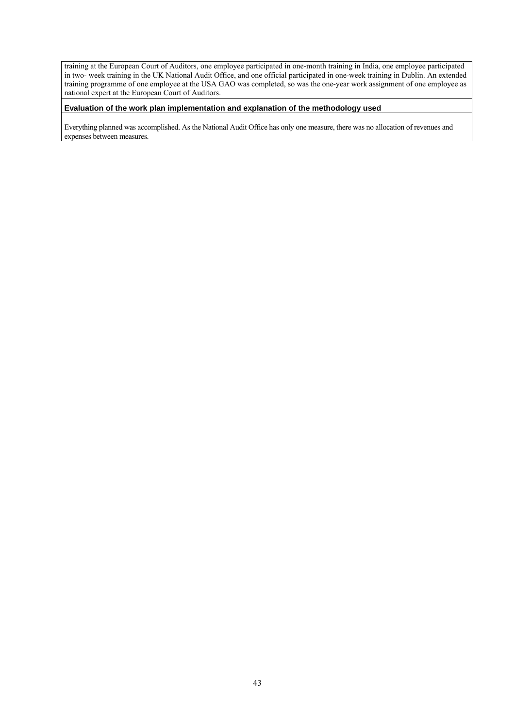training at the European Court of Auditors, one employee participated in one-month training in India, one employee participated in two- week training in the UK National Audit Office, and one official participated in one-week training in Dublin. An extended training programme of one employee at the USA GAO was completed, so was the one-year work assignment of one employee as national expert at the European Court of Auditors.

#### **Evaluation of the work plan implementation and explanation of the methodology used**

Everything planned was accomplished. As the National Audit Office has only one measure, there was no allocation of revenues and expenses between measures.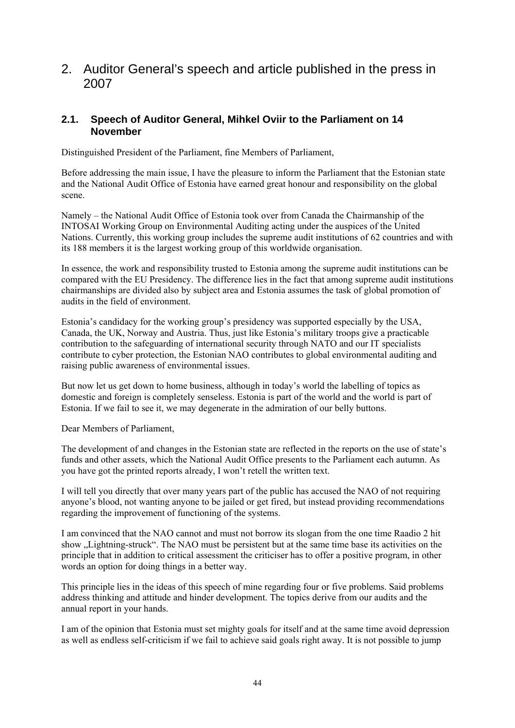2. Auditor General's speech and article published in the press in 2007

## **2.1. Speech of Auditor General, Mihkel Oviir to the Parliament on 14 November**

Distinguished President of the Parliament, fine Members of Parliament,

Before addressing the main issue, I have the pleasure to inform the Parliament that the Estonian state and the National Audit Office of Estonia have earned great honour and responsibility on the global scene.

Namely – the National Audit Office of Estonia took over from Canada the Chairmanship of the INTOSAI Working Group on Environmental Auditing acting under the auspices of the United Nations. Currently, this working group includes the supreme audit institutions of 62 countries and with its 188 members it is the largest working group of this worldwide organisation.

In essence, the work and responsibility trusted to Estonia among the supreme audit institutions can be compared with the EU Presidency. The difference lies in the fact that among supreme audit institutions chairmanships are divided also by subject area and Estonia assumes the task of global promotion of audits in the field of environment.

Estonia's candidacy for the working group's presidency was supported especially by the USA, Canada, the UK, Norway and Austria. Thus, just like Estonia's military troops give a practicable contribution to the safeguarding of international security through NATO and our IT specialists contribute to cyber protection, the Estonian NAO contributes to global environmental auditing and raising public awareness of environmental issues.

But now let us get down to home business, although in today's world the labelling of topics as domestic and foreign is completely senseless. Estonia is part of the world and the world is part of Estonia. If we fail to see it, we may degenerate in the admiration of our belly buttons.

Dear Members of Parliament,

The development of and changes in the Estonian state are reflected in the reports on the use of state's funds and other assets, which the National Audit Office presents to the Parliament each autumn. As you have got the printed reports already, I won't retell the written text.

I will tell you directly that over many years part of the public has accused the NAO of not requiring anyone's blood, not wanting anyone to be jailed or get fired, but instead providing recommendations regarding the improvement of functioning of the systems.

I am convinced that the NAO cannot and must not borrow its slogan from the one time Raadio 2 hit show "Lightning-struck". The NAO must be persistent but at the same time base its activities on the principle that in addition to critical assessment the criticiser has to offer a positive program, in other words an option for doing things in a better way.

This principle lies in the ideas of this speech of mine regarding four or five problems. Said problems address thinking and attitude and hinder development. The topics derive from our audits and the annual report in your hands.

I am of the opinion that Estonia must set mighty goals for itself and at the same time avoid depression as well as endless self-criticism if we fail to achieve said goals right away. It is not possible to jump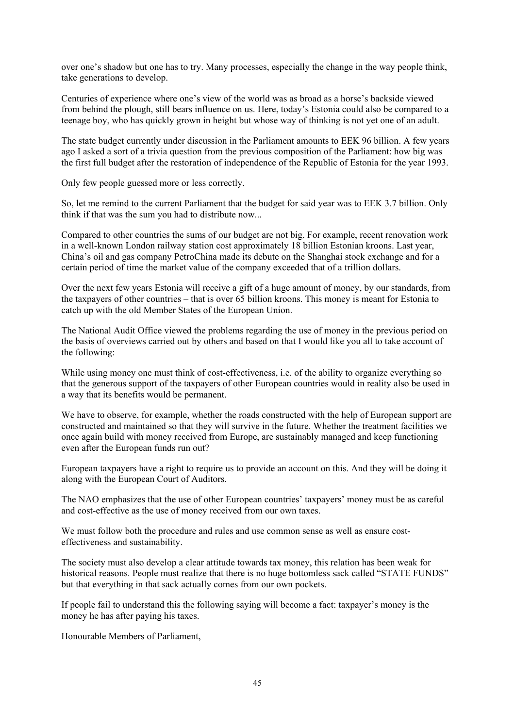over one's shadow but one has to try. Many processes, especially the change in the way people think, take generations to develop.

Centuries of experience where one's view of the world was as broad as a horse's backside viewed from behind the plough, still bears influence on us. Here, today's Estonia could also be compared to a teenage boy, who has quickly grown in height but whose way of thinking is not yet one of an adult.

The state budget currently under discussion in the Parliament amounts to EEK 96 billion. A few years ago I asked a sort of a trivia question from the previous composition of the Parliament: how big was the first full budget after the restoration of independence of the Republic of Estonia for the year 1993.

Only few people guessed more or less correctly.

So, let me remind to the current Parliament that the budget for said year was to EEK 3.7 billion. Only think if that was the sum you had to distribute now...

Compared to other countries the sums of our budget are not big. For example, recent renovation work in a well-known London railway station cost approximately 18 billion Estonian kroons. Last year, China's oil and gas company PetroChina made its debute on the Shanghai stock exchange and for a certain period of time the market value of the company exceeded that of a trillion dollars.

Over the next few years Estonia will receive a gift of a huge amount of money, by our standards, from the taxpayers of other countries – that is over 65 billion kroons. This money is meant for Estonia to catch up with the old Member States of the European Union.

The National Audit Office viewed the problems regarding the use of money in the previous period on the basis of overviews carried out by others and based on that I would like you all to take account of the following:

While using money one must think of cost-effectiveness, i.e. of the ability to organize everything so that the generous support of the taxpayers of other European countries would in reality also be used in a way that its benefits would be permanent.

We have to observe, for example, whether the roads constructed with the help of European support are constructed and maintained so that they will survive in the future. Whether the treatment facilities we once again build with money received from Europe, are sustainably managed and keep functioning even after the European funds run out?

European taxpayers have a right to require us to provide an account on this. And they will be doing it along with the European Court of Auditors.

The NAO emphasizes that the use of other European countries' taxpayers' money must be as careful and cost-effective as the use of money received from our own taxes.

We must follow both the procedure and rules and use common sense as well as ensure costeffectiveness and sustainability.

The society must also develop a clear attitude towards tax money, this relation has been weak for historical reasons. People must realize that there is no huge bottomless sack called "STATE FUNDS" but that everything in that sack actually comes from our own pockets.

If people fail to understand this the following saying will become a fact: taxpayer's money is the money he has after paying his taxes.

Honourable Members of Parliament,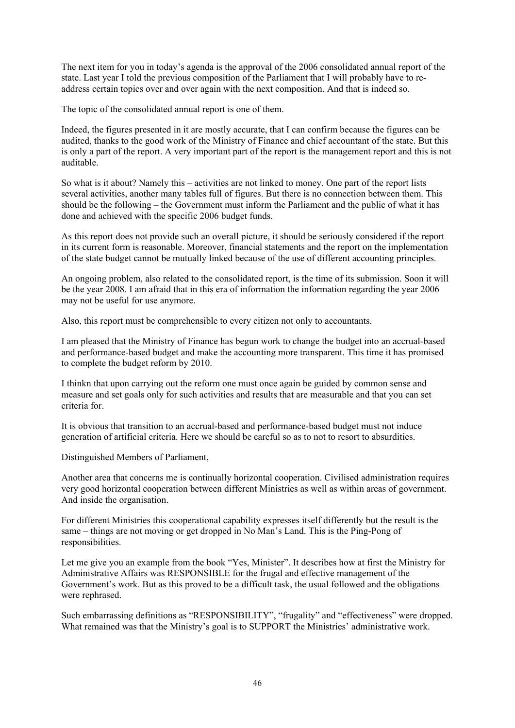The next item for you in today's agenda is the approval of the 2006 consolidated annual report of the state. Last year I told the previous composition of the Parliament that I will probably have to readdress certain topics over and over again with the next composition. And that is indeed so.

The topic of the consolidated annual report is one of them.

Indeed, the figures presented in it are mostly accurate, that I can confirm because the figures can be audited, thanks to the good work of the Ministry of Finance and chief accountant of the state. But this is only a part of the report. A very important part of the report is the management report and this is not auditable.

So what is it about? Namely this – activities are not linked to money. One part of the report lists several activities, another many tables full of figures. But there is no connection between them. This should be the following – the Government must inform the Parliament and the public of what it has done and achieved with the specific 2006 budget funds.

As this report does not provide such an overall picture, it should be seriously considered if the report in its current form is reasonable. Moreover, financial statements and the report on the implementation of the state budget cannot be mutually linked because of the use of different accounting principles.

An ongoing problem, also related to the consolidated report, is the time of its submission. Soon it will be the year 2008. I am afraid that in this era of information the information regarding the year 2006 may not be useful for use anymore.

Also, this report must be comprehensible to every citizen not only to accountants.

I am pleased that the Ministry of Finance has begun work to change the budget into an accrual-based and performance-based budget and make the accounting more transparent. This time it has promised to complete the budget reform by 2010.

I thinkn that upon carrying out the reform one must once again be guided by common sense and measure and set goals only for such activities and results that are measurable and that you can set criteria for.

It is obvious that transition to an accrual-based and performance-based budget must not induce generation of artificial criteria. Here we should be careful so as to not to resort to absurdities.

Distinguished Members of Parliament,

Another area that concerns me is continually horizontal cooperation. Civilised administration requires very good horizontal cooperation between different Ministries as well as within areas of government. And inside the organisation.

For different Ministries this cooperational capability expresses itself differently but the result is the same – things are not moving or get dropped in No Man's Land. This is the Ping-Pong of responsibilities.

Let me give you an example from the book "Yes, Minister". It describes how at first the Ministry for Administrative Affairs was RESPONSIBLE for the frugal and effective management of the Government's work. But as this proved to be a difficult task, the usual followed and the obligations were rephrased.

Such embarrassing definitions as "RESPONSIBILITY", "frugality" and "effectiveness" were dropped. What remained was that the Ministry's goal is to SUPPORT the Ministries' administrative work.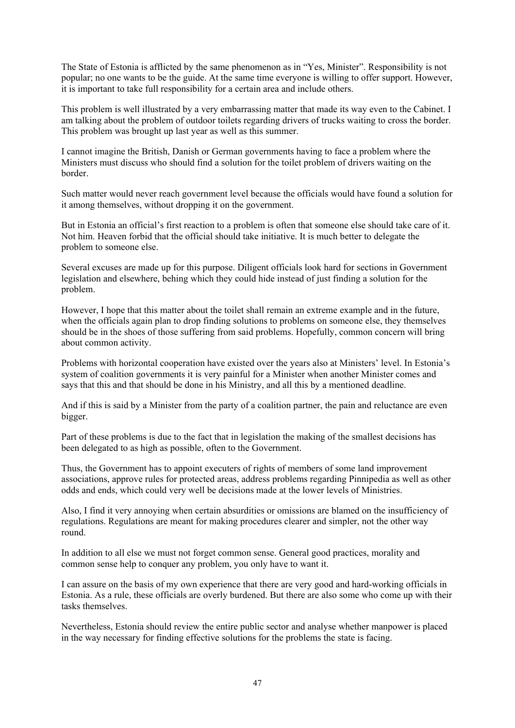The State of Estonia is afflicted by the same phenomenon as in "Yes, Minister". Responsibility is not popular; no one wants to be the guide. At the same time everyone is willing to offer support. However, it is important to take full responsibility for a certain area and include others.

This problem is well illustrated by a very embarrassing matter that made its way even to the Cabinet. I am talking about the problem of outdoor toilets regarding drivers of trucks waiting to cross the border. This problem was brought up last year as well as this summer.

I cannot imagine the British, Danish or German governments having to face a problem where the Ministers must discuss who should find a solution for the toilet problem of drivers waiting on the border.

Such matter would never reach government level because the officials would have found a solution for it among themselves, without dropping it on the government.

But in Estonia an official's first reaction to a problem is often that someone else should take care of it. Not him. Heaven forbid that the official should take initiative. It is much better to delegate the problem to someone else.

Several excuses are made up for this purpose. Diligent officials look hard for sections in Government legislation and elsewhere, behing which they could hide instead of just finding a solution for the problem.

However, I hope that this matter about the toilet shall remain an extreme example and in the future, when the officials again plan to drop finding solutions to problems on someone else, they themselves should be in the shoes of those suffering from said problems. Hopefully, common concern will bring about common activity.

Problems with horizontal cooperation have existed over the years also at Ministers' level. In Estonia's system of coalition governments it is very painful for a Minister when another Minister comes and says that this and that should be done in his Ministry, and all this by a mentioned deadline.

And if this is said by a Minister from the party of a coalition partner, the pain and reluctance are even bigger.

Part of these problems is due to the fact that in legislation the making of the smallest decisions has been delegated to as high as possible, often to the Government.

Thus, the Government has to appoint executers of rights of members of some land improvement associations, approve rules for protected areas, address problems regarding Pinnipedia as well as other odds and ends, which could very well be decisions made at the lower levels of Ministries.

Also, I find it very annoying when certain absurdities or omissions are blamed on the insufficiency of regulations. Regulations are meant for making procedures clearer and simpler, not the other way round.

In addition to all else we must not forget common sense. General good practices, morality and common sense help to conquer any problem, you only have to want it.

I can assure on the basis of my own experience that there are very good and hard-working officials in Estonia. As a rule, these officials are overly burdened. But there are also some who come up with their tasks themselves.

Nevertheless, Estonia should review the entire public sector and analyse whether manpower is placed in the way necessary for finding effective solutions for the problems the state is facing.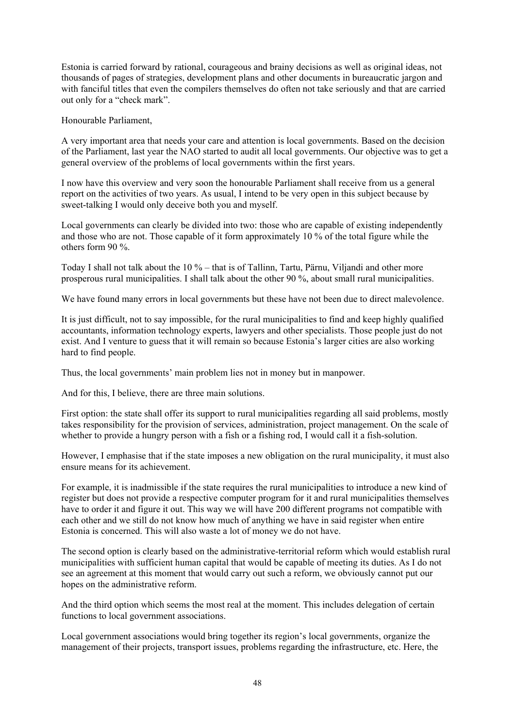Estonia is carried forward by rational, courageous and brainy decisions as well as original ideas, not thousands of pages of strategies, development plans and other documents in bureaucratic jargon and with fanciful titles that even the compilers themselves do often not take seriously and that are carried out only for a "check mark".

Honourable Parliament,

A very important area that needs your care and attention is local governments. Based on the decision of the Parliament, last year the NAO started to audit all local governments. Our objective was to get a general overview of the problems of local governments within the first years.

I now have this overview and very soon the honourable Parliament shall receive from us a general report on the activities of two years. As usual, I intend to be very open in this subject because by sweet-talking I would only deceive both you and myself.

Local governments can clearly be divided into two: those who are capable of existing independently and those who are not. Those capable of it form approximately 10 % of the total figure while the others form 90 %.

Today I shall not talk about the 10 % – that is of Tallinn, Tartu, Pärnu, Viljandi and other more prosperous rural municipalities. I shall talk about the other 90 %, about small rural municipalities.

We have found many errors in local governments but these have not been due to direct malevolence.

It is just difficult, not to say impossible, for the rural municipalities to find and keep highly qualified accountants, information technology experts, lawyers and other specialists. Those people just do not exist. And I venture to guess that it will remain so because Estonia's larger cities are also working hard to find people.

Thus, the local governments' main problem lies not in money but in manpower.

And for this, I believe, there are three main solutions.

First option: the state shall offer its support to rural municipalities regarding all said problems, mostly takes responsibility for the provision of services, administration, project management. On the scale of whether to provide a hungry person with a fish or a fishing rod, I would call it a fish-solution.

However, I emphasise that if the state imposes a new obligation on the rural municipality, it must also ensure means for its achievement.

For example, it is inadmissible if the state requires the rural municipalities to introduce a new kind of register but does not provide a respective computer program for it and rural municipalities themselves have to order it and figure it out. This way we will have 200 different programs not compatible with each other and we still do not know how much of anything we have in said register when entire Estonia is concerned. This will also waste a lot of money we do not have.

The second option is clearly based on the administrative-territorial reform which would establish rural municipalities with sufficient human capital that would be capable of meeting its duties. As I do not see an agreement at this moment that would carry out such a reform, we obviously cannot put our hopes on the administrative reform.

And the third option which seems the most real at the moment. This includes delegation of certain functions to local government associations.

Local government associations would bring together its region's local governments, organize the management of their projects, transport issues, problems regarding the infrastructure, etc. Here, the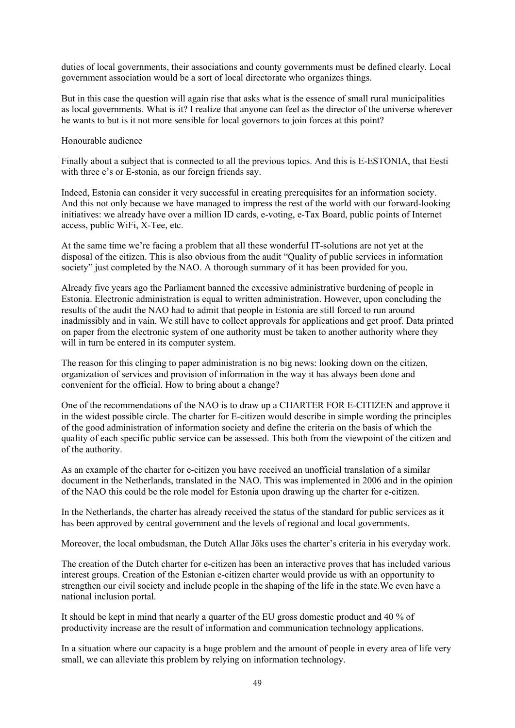duties of local governments, their associations and county governments must be defined clearly. Local government association would be a sort of local directorate who organizes things.

But in this case the question will again rise that asks what is the essence of small rural municipalities as local governments. What is it? I realize that anyone can feel as the director of the universe wherever he wants to but is it not more sensible for local governors to join forces at this point?

Honourable audience

Finally about a subject that is connected to all the previous topics. And this is E-ESTONIA, that Eesti with three e's or E-stonia, as our foreign friends say.

Indeed, Estonia can consider it very successful in creating prerequisites for an information society. And this not only because we have managed to impress the rest of the world with our forward-looking initiatives: we already have over a million ID cards, e-voting, e-Tax Board, public points of Internet access, public WiFi, X-Tee, etc.

At the same time we're facing a problem that all these wonderful IT-solutions are not yet at the disposal of the citizen. This is also obvious from the audit "Quality of public services in information society" just completed by the NAO. A thorough summary of it has been provided for you.

Already five years ago the Parliament banned the excessive administrative burdening of people in Estonia. Electronic administration is equal to written administration. However, upon concluding the results of the audit the NAO had to admit that people in Estonia are still forced to run around inadmissibly and in vain. We still have to collect approvals for applications and get proof. Data printed on paper from the electronic system of one authority must be taken to another authority where they will in turn be entered in its computer system.

The reason for this clinging to paper administration is no big news: looking down on the citizen, organization of services and provision of information in the way it has always been done and convenient for the official. How to bring about a change?

One of the recommendations of the NAO is to draw up a CHARTER FOR E-CITIZEN and approve it in the widest possible circle. The charter for E-citizen would describe in simple wording the principles of the good administration of information society and define the criteria on the basis of which the quality of each specific public service can be assessed. This both from the viewpoint of the citizen and of the authority.

As an example of the charter for e-citizen you have received an unofficial translation of a similar document in the Netherlands, translated in the NAO. This was implemented in 2006 and in the opinion of the NAO this could be the role model for Estonia upon drawing up the charter for e-citizen.

In the Netherlands, the charter has already received the status of the standard for public services as it has been approved by central government and the levels of regional and local governments.

Moreover, the local ombudsman, the Dutch Allar Jõks uses the charter's criteria in his everyday work.

The creation of the Dutch charter for e-citizen has been an interactive proves that has included various interest groups. Creation of the Estonian e-citizen charter would provide us with an opportunity to strengthen our civil society and include people in the shaping of the life in the state.We even have a national inclusion portal.

It should be kept in mind that nearly a quarter of the EU gross domestic product and 40 % of productivity increase are the result of information and communication technology applications.

In a situation where our capacity is a huge problem and the amount of people in every area of life very small, we can alleviate this problem by relying on information technology.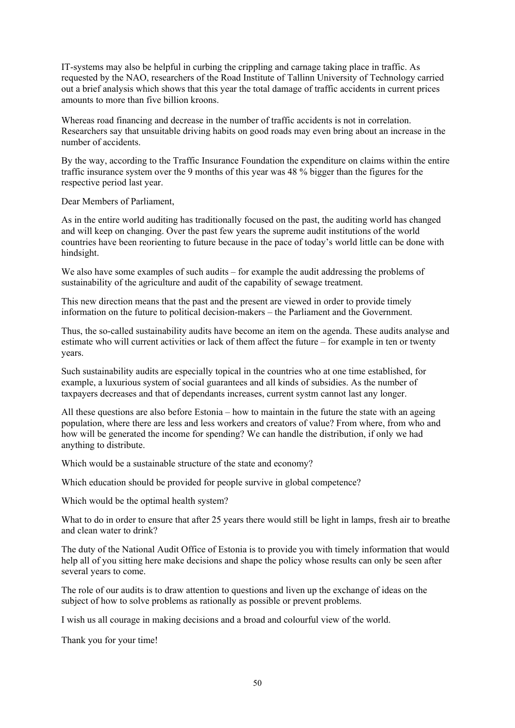IT-systems may also be helpful in curbing the crippling and carnage taking place in traffic. As requested by the NAO, researchers of the Road Institute of Tallinn University of Technology carried out a brief analysis which shows that this year the total damage of traffic accidents in current prices amounts to more than five billion kroons.

Whereas road financing and decrease in the number of traffic accidents is not in correlation. Researchers say that unsuitable driving habits on good roads may even bring about an increase in the number of accidents.

By the way, according to the Traffic Insurance Foundation the expenditure on claims within the entire traffic insurance system over the 9 months of this year was 48 % bigger than the figures for the respective period last year.

Dear Members of Parliament,

As in the entire world auditing has traditionally focused on the past, the auditing world has changed and will keep on changing. Over the past few years the supreme audit institutions of the world countries have been reorienting to future because in the pace of today's world little can be done with hindsight.

We also have some examples of such audits – for example the audit addressing the problems of sustainability of the agriculture and audit of the capability of sewage treatment.

This new direction means that the past and the present are viewed in order to provide timely information on the future to political decision-makers – the Parliament and the Government.

Thus, the so-called sustainability audits have become an item on the agenda. These audits analyse and estimate who will current activities or lack of them affect the future – for example in ten or twenty years.

Such sustainability audits are especially topical in the countries who at one time established, for example, a luxurious system of social guarantees and all kinds of subsidies. As the number of taxpayers decreases and that of dependants increases, current systm cannot last any longer.

All these questions are also before Estonia – how to maintain in the future the state with an ageing population, where there are less and less workers and creators of value? From where, from who and how will be generated the income for spending? We can handle the distribution, if only we had anything to distribute.

Which would be a sustainable structure of the state and economy?

Which education should be provided for people survive in global competence?

Which would be the optimal health system?

What to do in order to ensure that after 25 years there would still be light in lamps, fresh air to breathe and clean water to drink?

The duty of the National Audit Office of Estonia is to provide you with timely information that would help all of you sitting here make decisions and shape the policy whose results can only be seen after several years to come.

The role of our audits is to draw attention to questions and liven up the exchange of ideas on the subject of how to solve problems as rationally as possible or prevent problems.

I wish us all courage in making decisions and a broad and colourful view of the world.

Thank you for your time!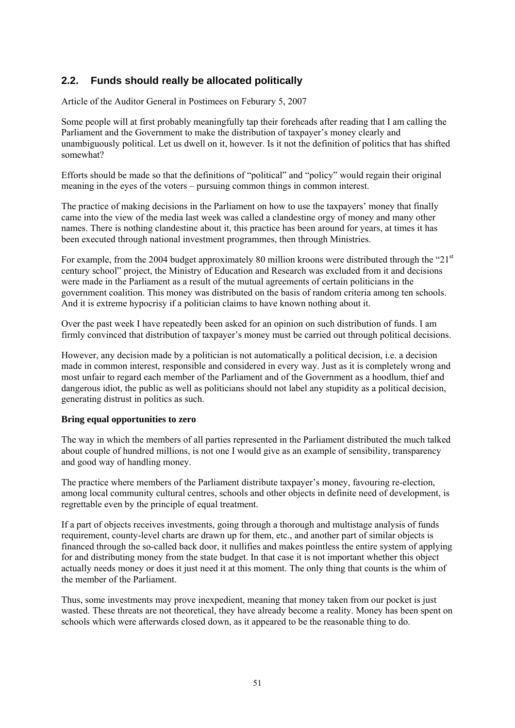## **2.2. Funds should really be allocated politically**

Article of the Auditor General in Postimees on Feburary 5, 2007

Some people will at first probably meaningfully tap their foreheads after reading that I am calling the Parliament and the Government to make the distribution of taxpayer's money clearly and unambiguously political. Let us dwell on it, however. Is it not the definition of politics that has shifted somewhat?

Efforts should be made so that the definitions of "political" and "policy" would regain their original meaning in the eyes of the voters – pursuing common things in common interest.

The practice of making decisions in the Parliament on how to use the taxpayers' money that finally came into the view of the media last week was called a clandestine orgy of money and many other names. There is nothing clandestine about it, this practice has been around for years, at times it has been executed through national investment programmes, then through Ministries.

For example, from the 2004 budget approximately 80 million kroons were distributed through the " $21<sup>st</sup>$ century school" project, the Ministry of Education and Research was excluded from it and decisions were made in the Parliament as a result of the mutual agreements of certain politicians in the government coalition. This money was distributed on the basis of random criteria among ten schools. And it is extreme hypocrisy if a politician claims to have known nothing about it.

Over the past week I have repeatedly been asked for an opinion on such distribution of funds. I am firmly convinced that distribution of taxpayer's money must be carried out through political decisions.

However, any decision made by a politician is not automatically a political decision, i.e. a decision made in common interest, responsible and considered in every way. Just as it is completely wrong and most unfair to regard each member of the Parliament and of the Government as a hoodlum, thief and dangerous idiot, the public as well as politicians should not label any stupidity as a political decision, generating distrust in politics as such.

## **Bring equal opportunities to zero**

The way in which the members of all parties represented in the Parliament distributed the much talked about couple of hundred millions, is not one I would give as an example of sensibility, transparency and good way of handling money.

The practice where members of the Parliament distribute taxpayer's money, favouring re-election, among local community cultural centres, schools and other objects in definite need of development, is regrettable even by the principle of equal treatment.

If a part of objects receives investments, going through a thorough and multistage analysis of funds requirement, county-level charts are drawn up for them, etc., and another part of similar objects is financed through the so-called back door, it nullifies and makes pointless the entire system of applying for and distributing money from the state budget. In that case it is not important whether this object actually needs money or does it just need it at this moment. The only thing that counts is the whim of the member of the Parliament.

Thus, some investments may prove inexpedient, meaning that money taken from our pocket is just wasted. These threats are not theoretical, they have already become a reality. Money has been spent on schools which were afterwards closed down, as it appeared to be the reasonable thing to do.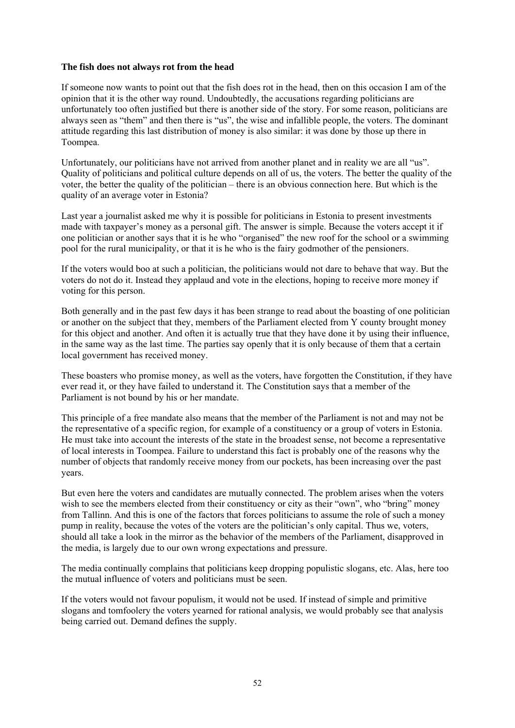## **The fish does not always rot from the head**

If someone now wants to point out that the fish does rot in the head, then on this occasion I am of the opinion that it is the other way round. Undoubtedly, the accusations regarding politicians are unfortunately too often justified but there is another side of the story. For some reason, politicians are always seen as "them" and then there is "us", the wise and infallible people, the voters. The dominant attitude regarding this last distribution of money is also similar: it was done by those up there in Toompea.

Unfortunately, our politicians have not arrived from another planet and in reality we are all "us". Quality of politicians and political culture depends on all of us, the voters. The better the quality of the voter, the better the quality of the politician – there is an obvious connection here. But which is the quality of an average voter in Estonia?

Last year a journalist asked me why it is possible for politicians in Estonia to present investments made with taxpayer's money as a personal gift. The answer is simple. Because the voters accept it if one politician or another says that it is he who "organised" the new roof for the school or a swimming pool for the rural municipality, or that it is he who is the fairy godmother of the pensioners.

If the voters would boo at such a politician, the politicians would not dare to behave that way. But the voters do not do it. Instead they applaud and vote in the elections, hoping to receive more money if voting for this person.

Both generally and in the past few days it has been strange to read about the boasting of one politician or another on the subject that they, members of the Parliament elected from Y county brought money for this object and another. And often it is actually true that they have done it by using their influence, in the same way as the last time. The parties say openly that it is only because of them that a certain local government has received money.

These boasters who promise money, as well as the voters, have forgotten the Constitution, if they have ever read it, or they have failed to understand it. The Constitution says that a member of the Parliament is not bound by his or her mandate.

This principle of a free mandate also means that the member of the Parliament is not and may not be the representative of a specific region, for example of a constituency or a group of voters in Estonia. He must take into account the interests of the state in the broadest sense, not become a representative of local interests in Toompea. Failure to understand this fact is probably one of the reasons why the number of objects that randomly receive money from our pockets, has been increasing over the past years.

But even here the voters and candidates are mutually connected. The problem arises when the voters wish to see the members elected from their constituency or city as their "own", who "bring" money from Tallinn. And this is one of the factors that forces politicians to assume the role of such a money pump in reality, because the votes of the voters are the politician's only capital. Thus we, voters, should all take a look in the mirror as the behavior of the members of the Parliament, disapproved in the media, is largely due to our own wrong expectations and pressure.

The media continually complains that politicians keep dropping populistic slogans, etc. Alas, here too the mutual influence of voters and politicians must be seen.

If the voters would not favour populism, it would not be used. If instead of simple and primitive slogans and tomfoolery the voters yearned for rational analysis, we would probably see that analysis being carried out. Demand defines the supply.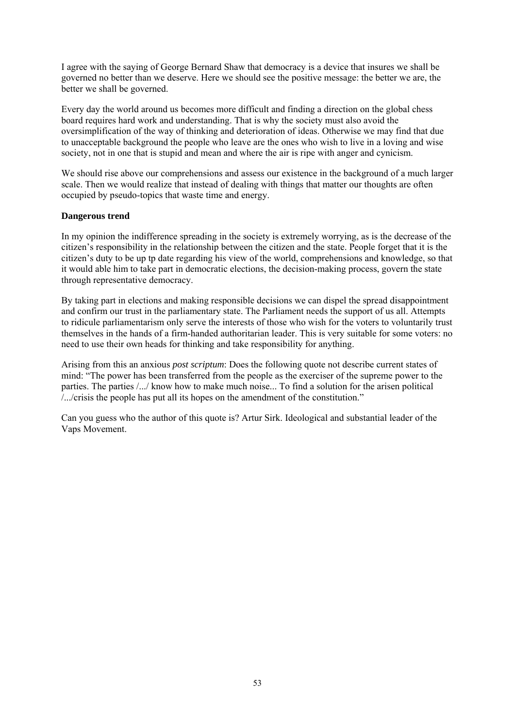I agree with the saying of George Bernard Shaw that democracy is a device that insures we shall be governed no better than we deserve. Here we should see the positive message: the better we are, the better we shall be governed.

Every day the world around us becomes more difficult and finding a direction on the global chess board requires hard work and understanding. That is why the society must also avoid the oversimplification of the way of thinking and deterioration of ideas. Otherwise we may find that due to unacceptable background the people who leave are the ones who wish to live in a loving and wise society, not in one that is stupid and mean and where the air is ripe with anger and cynicism.

We should rise above our comprehensions and assess our existence in the background of a much larger scale. Then we would realize that instead of dealing with things that matter our thoughts are often occupied by pseudo-topics that waste time and energy.

## **Dangerous trend**

In my opinion the indifference spreading in the society is extremely worrying, as is the decrease of the citizen's responsibility in the relationship between the citizen and the state. People forget that it is the citizen's duty to be up tp date regarding his view of the world, comprehensions and knowledge, so that it would able him to take part in democratic elections, the decision-making process, govern the state through representative democracy.

By taking part in elections and making responsible decisions we can dispel the spread disappointment and confirm our trust in the parliamentary state. The Parliament needs the support of us all. Attempts to ridicule parliamentarism only serve the interests of those who wish for the voters to voluntarily trust themselves in the hands of a firm-handed authoritarian leader. This is very suitable for some voters: no need to use their own heads for thinking and take responsibility for anything.

Arising from this an anxious *post scriptum*: Does the following quote not describe current states of mind: "The power has been transferred from the people as the exerciser of the supreme power to the parties. The parties /.../ know how to make much noise... To find a solution for the arisen political /.../crisis the people has put all its hopes on the amendment of the constitution."

Can you guess who the author of this quote is? Artur Sirk. Ideological and substantial leader of the Vaps Movement.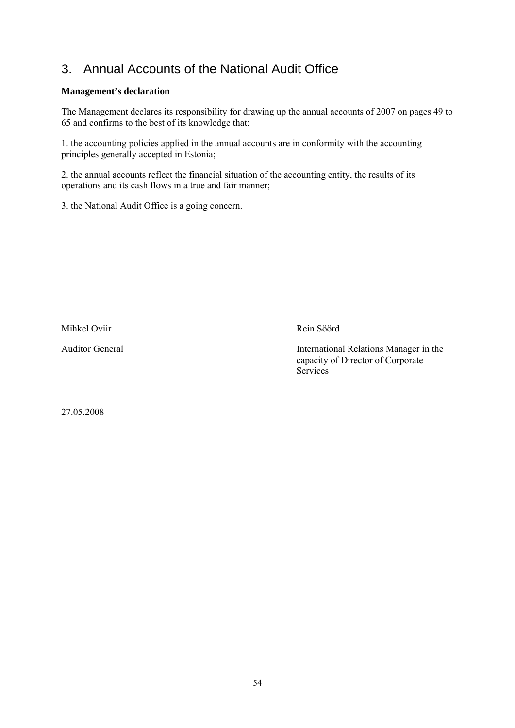## 3. Annual Accounts of the National Audit Office

## **Management's declaration**

The Management declares its responsibility for drawing up the annual accounts of 2007 on pages 49 to 65 and confirms to the best of its knowledge that:

1. the accounting policies applied in the annual accounts are in conformity with the accounting principles generally accepted in Estonia;

2. the annual accounts reflect the financial situation of the accounting entity, the results of its operations and its cash flows in a true and fair manner;

3. the National Audit Office is a going concern.

Mihkel Oviir Rein Söörd

Auditor General International Relations Manager in the capacity of Director of Corporate **Services** 

27.05.2008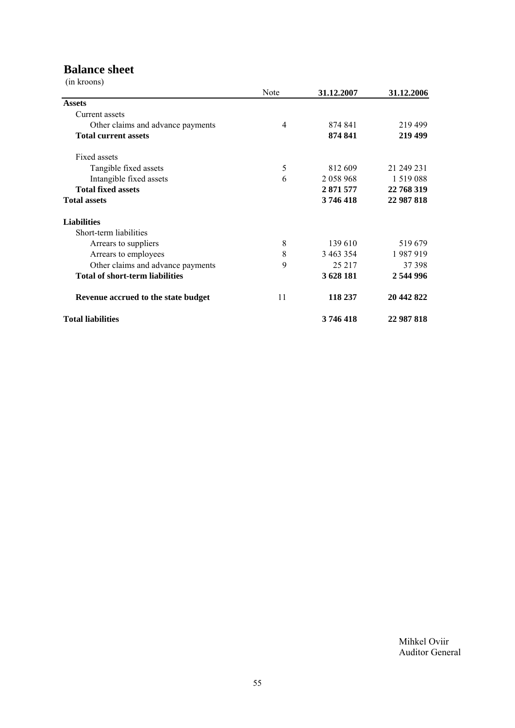## **Balance sheet**

(in kroons)

|                                        | Note | 31.12.2007    | 31.12.2006    |
|----------------------------------------|------|---------------|---------------|
| <b>Assets</b>                          |      |               |               |
| Current assets                         |      |               |               |
| Other claims and advance payments      | 4    | 874 841       | 219499        |
| <b>Total current assets</b>            |      | 874 841       | 219 499       |
| Fixed assets                           |      |               |               |
| Tangible fixed assets                  | 5    | 812 609       | 21 249 231    |
| Intangible fixed assets                | 6    | 2 0 5 8 9 6 8 | 1 5 1 9 0 8 8 |
| <b>Total fixed assets</b>              |      | 2 871 577     | 22 768 319    |
| <b>Total assets</b>                    |      | 3746418       | 22 987 818    |
| <b>Liabilities</b>                     |      |               |               |
| Short-term liabilities                 |      |               |               |
| Arrears to suppliers                   | 8    | 139 610       | 519679        |
| Arrears to employees                   | 8    | 3 463 354     | 1987919       |
| Other claims and advance payments      | 9    | 25 217        | 37 398        |
| <b>Total of short-term liabilities</b> |      | 3 628 181     | 2 544 996     |
| Revenue accrued to the state budget    | 11   | 118 237       | 20 442 822    |
| <b>Total liabilities</b>               |      | 3746418       | 22 987 818    |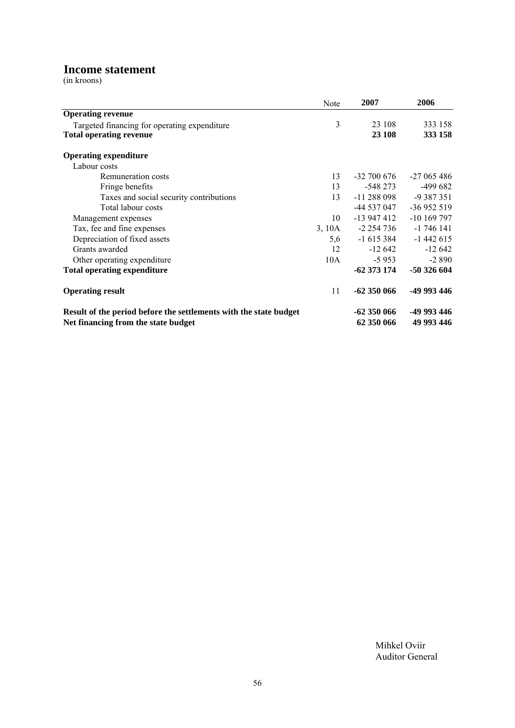## **Income statement**

(in kroons)

|                                                                   | <b>Note</b> | 2007            | 2006        |
|-------------------------------------------------------------------|-------------|-----------------|-------------|
| <b>Operating revenue</b>                                          |             |                 |             |
| Targeted financing for operating expenditure                      | 3           | 23 108          | 333 158     |
| <b>Total operating revenue</b>                                    |             | 23 108          | 333 158     |
| <b>Operating expenditure</b>                                      |             |                 |             |
| Labour costs                                                      |             |                 |             |
| <b>Remuneration costs</b>                                         | 13          | $-32\,700\,676$ | $-27065486$ |
| Fringe benefits                                                   | 13          | $-548273$       | -499 682    |
| Taxes and social security contributions                           | 13          | $-11288098$     | $-9387351$  |
| Total labour costs                                                |             | -44 537 047     | $-36952519$ |
| Management expenses                                               | 10          | -13 947 412     | $-10169797$ |
| Tax, fee and fine expenses                                        | 3, 10A      | -2 254 736      | $-1746141$  |
| Depreciation of fixed assets                                      | 5,6         | -1 615 384      | $-1442615$  |
| Grants awarded                                                    | 12          | -12 642         | $-12642$    |
| Other operating expenditure                                       | 10A         | $-5953$         | $-2890$     |
| <b>Total operating expenditure</b>                                |             | $-62373174$     | -50 326 604 |
| <b>Operating result</b>                                           | 11          | $-62350066$     | -49 993 446 |
| Result of the period before the settlements with the state budget |             | $-62350066$     | -49 993 446 |
| Net financing from the state budget                               |             | 62 350 066      | 49 993 446  |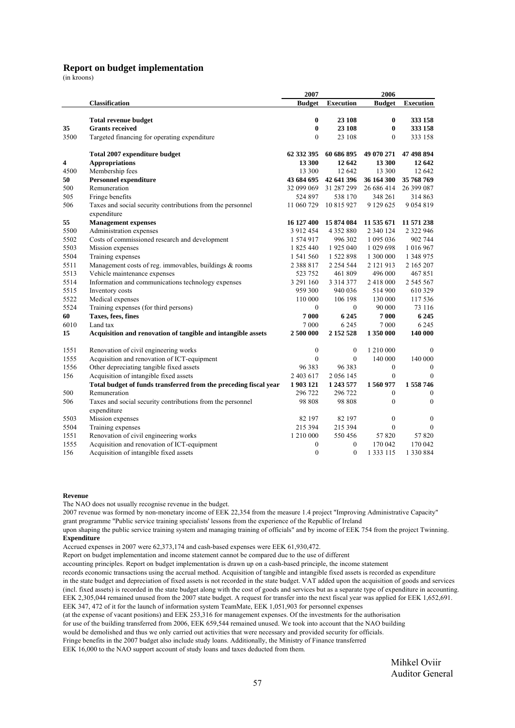#### **Report on budget implementation**

(in kroons)

|      |                                                                           | 2007             |                  | 2006             |                  |
|------|---------------------------------------------------------------------------|------------------|------------------|------------------|------------------|
|      | Classification                                                            | <b>Budget</b>    | <b>Execution</b> | <b>Budget</b>    | <b>Execution</b> |
|      |                                                                           |                  |                  |                  |                  |
|      | <b>Total revenue budget</b>                                               | $\bf{0}$         | 23 108           | $\bf{0}$         | 333 158          |
| 35   | <b>Grants received</b>                                                    | $\bf{0}$         | 23 108           | $\bf{0}$         | 333 158          |
| 3500 | Targeted financing for operating expenditure                              | $\theta$         | 23 108           | $\Omega$         | 333 158          |
|      | Total 2007 expenditure budget                                             | 62 332 395       | 60 686 895       | 49 070 271       | 47 498 894       |
| 4    | <b>Appropriations</b>                                                     | 13 300           | 12 642           | 13 300           | 12 642           |
| 4500 | Membership fees                                                           | 13 300           | 12 642           | 13 300           | 12 642           |
| 50   | <b>Personnel expenditure</b>                                              | 43 684 695       | 42 641 396       | 36 164 300       | 35 768 769       |
| 500  | Remuneration                                                              | 32 099 069       | 31 287 299       | 26 686 414       | 26 399 087       |
| 505  | Fringe benefits                                                           | 524 897          | 538 170          | 348 261          | 314 863          |
| 506  | Taxes and social security contributions from the personnel<br>expenditure | 11 060 729       | 10 815 927       | 9 129 625        | 9 0 5 4 8 1 9    |
| 55   | <b>Management expenses</b>                                                | 16 127 400       | 15 874 084       | 11 535 671       | 11 571 238       |
| 5500 | Administration expenses                                                   | 3 9 1 2 4 5 4    | 4 3 5 2 8 8 0    | 2 340 124        | 2 3 2 2 9 4 6    |
| 5502 | Costs of commissioned research and development                            | 1 574 917        | 996 302          | 1 095 036        | 902 744          |
| 5503 | Mission expenses                                                          | 1 825 440        | 1925 040         | 1 029 698        | 1 016 967        |
| 5504 | Training expenses                                                         | 1 541 560        | 1 522 898        | 1 300 000        | 1 348 975        |
| 5511 | Management costs of reg. immovables, buildings & rooms                    | 2 3 8 8 1 7      | 2 2 5 4 5 4 4    | 2 121 913        | 2 165 207        |
| 5513 | Vehicle maintenance expenses                                              | 523 752          | 461809           | 496 000          | 467851           |
| 5514 | Information and communications technology expenses                        | 3 291 160        | 3 3 1 4 3 7 7    | 2 418 000        | 2 545 567        |
| 5515 | Inventory costs                                                           | 959 300          | 940 036          | 514 900          | 610 329          |
| 5522 | Medical expenses                                                          | 110 000          | 106 198          | 130 000          | 117 536          |
| 5524 | Training expenses (for third persons)                                     | $\mathbf{0}$     | $\mathbf{0}$     | 90 000           | 73 116           |
| 60   | Taxes, fees, fines                                                        | 7000             | 6 2 4 5          | 7 000            | 6 2 4 5          |
| 6010 | Land tax                                                                  | 7 000            | 6 2 4 5          | 7 0 0 0          | 6 2 4 5          |
| 15   | Acquisition and renovation of tangible and intangible assets              | 2 500 000        | 2 152 528        | 1 350 000        | 140 000          |
| 1551 | Renovation of civil engineering works                                     | $\boldsymbol{0}$ | $\boldsymbol{0}$ | 1 210 000        | $\mathbf{0}$     |
| 1555 | Acquisition and renovation of ICT-equipment                               | $\theta$         | $\mathbf{0}$     | 140 000          | 140 000          |
| 1556 | Other depreciating tangible fixed assets                                  | 96 383           | 96 383           | $\mathbf{0}$     | $\mathbf{0}$     |
| 156  | Acquisition of intangible fixed assets                                    | 2 403 617        | 2 0 5 6 1 4 5    | $\boldsymbol{0}$ | $\mathbf{0}$     |
|      | Total budget of funds transferred from the preceding fiscal year          | 1903121          | 1 243 577        | 1560977          | 1 558 746        |
| 500  | Remuneration                                                              | 296 722          | 296 722          | $\bf{0}$         | $\boldsymbol{0}$ |
| 506  | Taxes and social security contributions from the personnel<br>expenditure | 98 808           | 98 808           | $\theta$         | $\theta$         |
| 5503 | Mission expenses                                                          | 82 197           | 82 197           | $\boldsymbol{0}$ | $\boldsymbol{0}$ |
| 5504 | Training expenses                                                         | 215 394          | 215 394          | $\mathbf{0}$     | $\mathbf{0}$     |
| 1551 | Renovation of civil engineering works                                     | 1 210 000        | 550456           | 57 820           | 57820            |
| 1555 | Acquisition and renovation of ICT-equipment                               | $\mathbf{0}$     | $\mathbf{0}$     | 170 042          | 170 042          |
| 156  | Acquisition of intangible fixed assets                                    | $\mathbf{0}$     | $\mathbf{0}$     | 1 3 3 1 1 5      | 1 330 884        |

#### **Revenue**

The NAO does not usually recognise revenue in the budget.

2007 revenue was formed by non-monetary income of EEK 22,354 from the measure 1.4 project "Improving Administrative Capacity" grant programme "Public service training specialists' lessons from the experience of the Republic of Ireland

upon shaping the public service training system and managing training of officials" and by income of EEK 754 from the project Twinning. **Expenditure**

Accrued expenses in 2007 were 62,373,174 and cash-based expenses were EEK 61,930,472.

Report on budget implementation and income statement cannot be compared due to the use of different

accounting principles. Report on budget implementation is drawn up on a cash-based principle, the income statement

records economic transactions using the accrual method. Acquisition of tangible and intangible fixed assets is recorded as expenditure

in the state budget and depreciation of fixed assets is not recorded in the state budget. VAT added upon the acquisition of goods and services (incl. fixed assets) is recorded in the state budget along with the cost of goods and services but as a separate type of expenditure in accounting. EEK 2,305,044 remained unused from the 2007 state budget. A request for transfer into the next fiscal year was applied for EEK 1,652,691.

EEK 347, 472 of it for the launch of information system TeamMate, EEK 1,051,903 for personnel expenses

(at the expense of vacant positions) and EEK 253,316 for management expenses. Of the investments for the authorisation

for use of the building transferred from 2006, EEK 659,544 remained unused. We took into account that the NAO building

would be demolished and thus we only carried out activities that were necessary and provided security for officials.

Fringe benefits in the 2007 budget also include study loans. Additionally, the Ministry of Finance transferred

EEK 16,000 to the NAO support account of study loans and taxes deducted from them.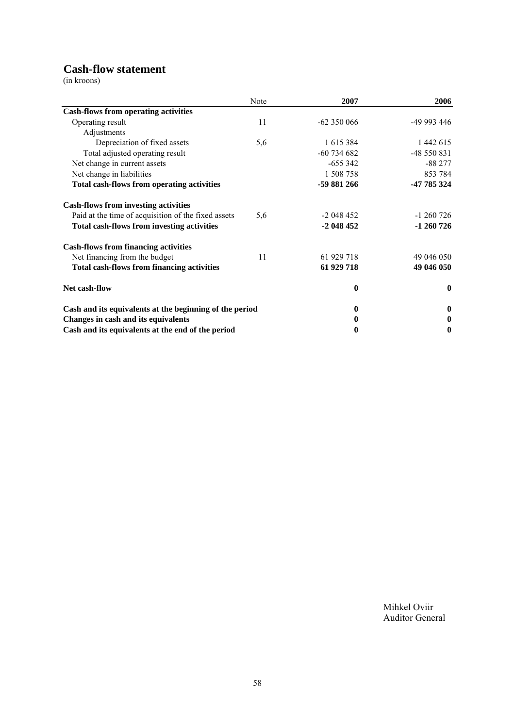## **Cash-flow statement**

(in kroons)

|                                                         | Note | 2007          | 2006             |
|---------------------------------------------------------|------|---------------|------------------|
| <b>Cash-flows from operating activities</b>             |      |               |                  |
| Operating result                                        | 11   | $-62350066$   | -49 993 446      |
| Adjustments                                             |      |               |                  |
| Depreciation of fixed assets                            | 5,6  | 1 615 384     | 1 442 615        |
| Total adjusted operating result                         |      | $-60$ 734 682 | -48 550 831      |
| Net change in current assets                            |      | $-655342$     | $-88277$         |
| Net change in liabilities                               |      | 1 508 758     | 853 784          |
| <b>Total cash-flows from operating activities</b>       |      | -59 881 266   | -47 785 324      |
| <b>Cash-flows from investing activities</b>             |      |               |                  |
| Paid at the time of acquisition of the fixed assets     | 5,6  | $-2048452$    | $-1260726$       |
| <b>Total cash-flows from investing activities</b>       |      | $-2048452$    | $-1260726$       |
| <b>Cash-flows from financing activities</b>             |      |               |                  |
| Net financing from the budget                           | 11   | 61 929 718    | 49 046 050       |
| <b>Total cash-flows from financing activities</b>       |      | 61 929 718    | 49 046 050       |
| Net cash-flow                                           |      | 0             | $\bf{0}$         |
| Cash and its equivalents at the beginning of the period |      | 0             | $\mathbf 0$      |
| Changes in cash and its equivalents                     |      | 0             | $\boldsymbol{0}$ |
| Cash and its equivalents at the end of the period       |      | 0             | $\boldsymbol{0}$ |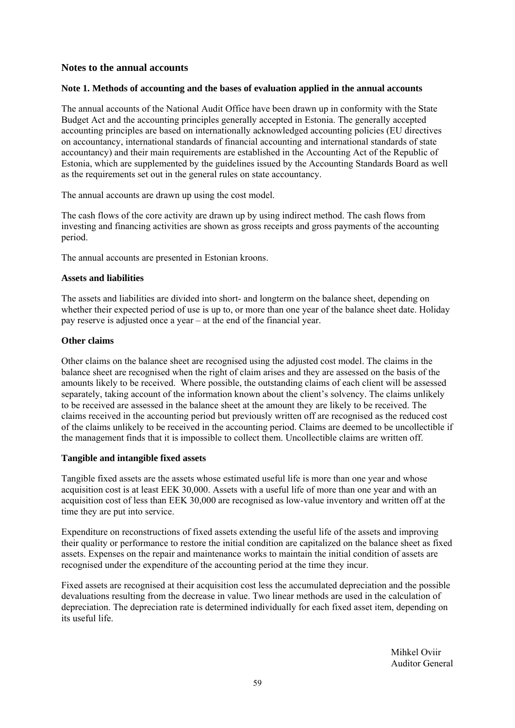## **Notes to the annual accounts**

## **Note 1. Methods of accounting and the bases of evaluation applied in the annual accounts**

The annual accounts of the National Audit Office have been drawn up in conformity with the State Budget Act and the accounting principles generally accepted in Estonia. The generally accepted accounting principles are based on internationally acknowledged accounting policies (EU directives on accountancy, international standards of financial accounting and international standards of state accountancy) and their main requirements are established in the Accounting Act of the Republic of Estonia, which are supplemented by the guidelines issued by the Accounting Standards Board as well as the requirements set out in the general rules on state accountancy.

The annual accounts are drawn up using the cost model.

The cash flows of the core activity are drawn up by using indirect method. The cash flows from investing and financing activities are shown as gross receipts and gross payments of the accounting period.

The annual accounts are presented in Estonian kroons.

#### **Assets and liabilities**

The assets and liabilities are divided into short- and longterm on the balance sheet, depending on whether their expected period of use is up to, or more than one year of the balance sheet date. Holiday pay reserve is adjusted once a year – at the end of the financial year.

## **Other claims**

Other claims on the balance sheet are recognised using the adjusted cost model. The claims in the balance sheet are recognised when the right of claim arises and they are assessed on the basis of the amounts likely to be received. Where possible, the outstanding claims of each client will be assessed separately, taking account of the information known about the client's solvency. The claims unlikely to be received are assessed in the balance sheet at the amount they are likely to be received. The claims received in the accounting period but previously written off are recognised as the reduced cost of the claims unlikely to be received in the accounting period. Claims are deemed to be uncollectible if the management finds that it is impossible to collect them. Uncollectible claims are written off.

## **Tangible and intangible fixed assets**

Tangible fixed assets are the assets whose estimated useful life is more than one year and whose acquisition cost is at least EEK 30,000. Assets with a useful life of more than one year and with an acquisition cost of less than EEK 30,000 are recognised as low-value inventory and written off at the time they are put into service.

Expenditure on reconstructions of fixed assets extending the useful life of the assets and improving their quality or performance to restore the initial condition are capitalized on the balance sheet as fixed assets. Expenses on the repair and maintenance works to maintain the initial condition of assets are recognised under the expenditure of the accounting period at the time they incur.

Fixed assets are recognised at their acquisition cost less the accumulated depreciation and the possible devaluations resulting from the decrease in value. Two linear methods are used in the calculation of depreciation. The depreciation rate is determined individually for each fixed asset item, depending on its useful life.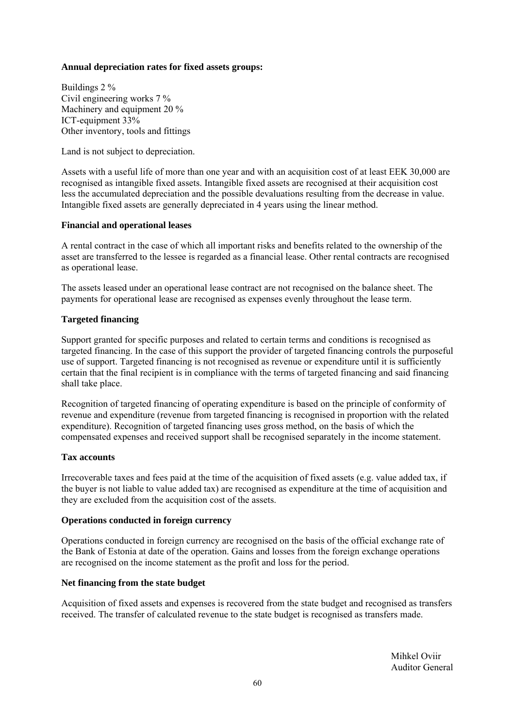## **Annual depreciation rates for fixed assets groups:**

Buildings 2 % Civil engineering works 7 % Machinery and equipment 20 % ICT-equipment 33% Other inventory, tools and fittings

Land is not subject to depreciation.

Assets with a useful life of more than one year and with an acquisition cost of at least EEK 30,000 are recognised as intangible fixed assets. Intangible fixed assets are recognised at their acquisition cost less the accumulated depreciation and the possible devaluations resulting from the decrease in value. Intangible fixed assets are generally depreciated in 4 years using the linear method.

## **Financial and operational leases**

A rental contract in the case of which all important risks and benefits related to the ownership of the asset are transferred to the lessee is regarded as a financial lease. Other rental contracts are recognised as operational lease.

The assets leased under an operational lease contract are not recognised on the balance sheet. The payments for operational lease are recognised as expenses evenly throughout the lease term.

## **Targeted financing**

Support granted for specific purposes and related to certain terms and conditions is recognised as targeted financing. In the case of this support the provider of targeted financing controls the purposeful use of support. Targeted financing is not recognised as revenue or expenditure until it is sufficiently certain that the final recipient is in compliance with the terms of targeted financing and said financing shall take place.

Recognition of targeted financing of operating expenditure is based on the principle of conformity of revenue and expenditure (revenue from targeted financing is recognised in proportion with the related expenditure). Recognition of targeted financing uses gross method, on the basis of which the compensated expenses and received support shall be recognised separately in the income statement.

## **Tax accounts**

Irrecoverable taxes and fees paid at the time of the acquisition of fixed assets (e.g. value added tax, if the buyer is not liable to value added tax) are recognised as expenditure at the time of acquisition and they are excluded from the acquisition cost of the assets.

## **Operations conducted in foreign currency**

Operations conducted in foreign currency are recognised on the basis of the official exchange rate of the Bank of Estonia at date of the operation. Gains and losses from the foreign exchange operations are recognised on the income statement as the profit and loss for the period.

## **Net financing from the state budget**

Acquisition of fixed assets and expenses is recovered from the state budget and recognised as transfers received. The transfer of calculated revenue to the state budget is recognised as transfers made.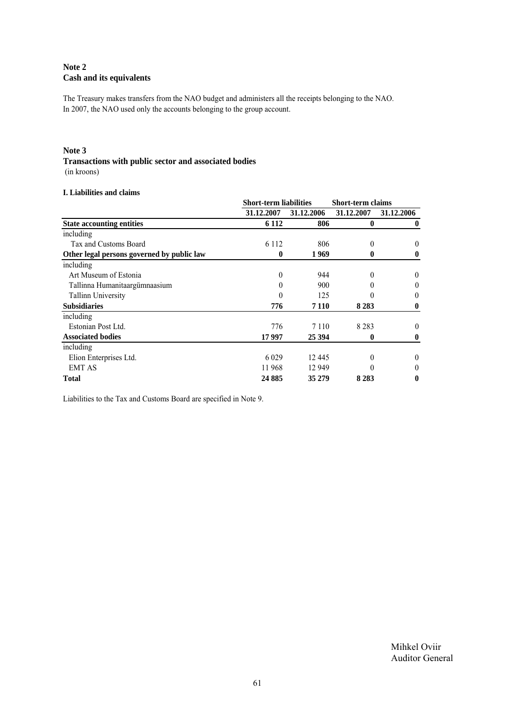## **Note 2 Cash and its equivalents**

The Treasury makes transfers from the NAO budget and administers all the receipts belonging to the NAO. In 2007, the NAO used only the accounts belonging to the group account.

#### **Note 3**

## **Transactions with public sector and associated bodies**

(in kroons)

## **I. Liabilities and claims**

|                                            | <b>Short-term liabilities</b> |            | <b>Short-term claims</b> |              |
|--------------------------------------------|-------------------------------|------------|--------------------------|--------------|
|                                            | 31.12.2007                    | 31.12.2006 | 31.12.2007               | 31.12.2006   |
| <b>State accounting entities</b>           | 6 1 1 2                       | 806        | $\boldsymbol{0}$         | $\mathbf{0}$ |
| including                                  |                               |            |                          |              |
| Tax and Customs Board                      | 6 1 1 2                       | 806        | 0                        | $\theta$     |
| Other legal persons governed by public law | 0                             | 1969       | 0                        | 0            |
| including                                  |                               |            |                          |              |
| Art Museum of Estonia                      | 0                             | 944        | $\theta$                 | $\theta$     |
| Tallinna Humanitaargümnaasium              |                               | 900        | $\theta$                 | $\theta$     |
| <b>Tallinn University</b>                  |                               | 125        | 0                        | 0            |
| <b>Subsidiaries</b>                        | 776                           | 7 1 1 0    | 8 2 8 3                  | 0            |
| including                                  |                               |            |                          |              |
| Estonian Post Ltd.                         | 776                           | 7 1 1 0    | 8 2 8 3                  | $\theta$     |
| <b>Associated bodies</b>                   | 17997                         | 25 394     | 0                        | 0            |
| including                                  |                               |            |                          |              |
| Elion Enterprises Ltd.                     | 6 0 29                        | 12445      | $\theta$                 | $\theta$     |
| <b>EMT AS</b>                              | 11968                         | 12 949     | 0                        | 0            |
| <b>Total</b>                               | 24 8 85                       | 35 279     | 8 2 8 3                  | 0            |

Liabilities to the Tax and Customs Board are specified in Note 9.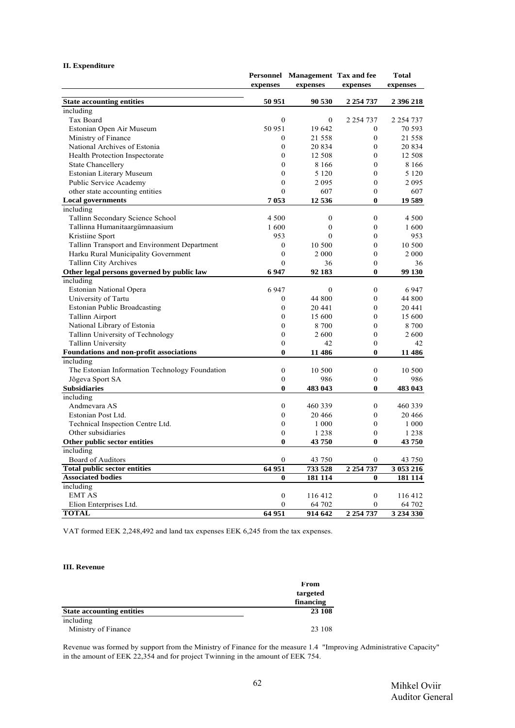|                                                |                  | Personnel Management Tax and fee |                  | <b>Total</b>  |  |
|------------------------------------------------|------------------|----------------------------------|------------------|---------------|--|
|                                                | expenses         | expenses                         | expenses         | expenses      |  |
| <b>State accounting entities</b>               | 50 951           | 90 530                           | 2 2 5 4 7 3 7    | 2 396 218     |  |
| including                                      |                  |                                  |                  |               |  |
| Tax Board                                      | $\Omega$         | $\theta$                         | 2 2 5 4 7 3 7    | 2 2 5 4 7 3 7 |  |
| Estonian Open Air Museum                       | 50 951           | 19 642                           | $\mathbf{0}$     | 70 593        |  |
| Ministry of Finance                            | $\boldsymbol{0}$ | 21 558                           | $\boldsymbol{0}$ | 21 558        |  |
| National Archives of Estonia                   | $\overline{0}$   | 20 8 34                          | $\mathbf{0}$     | 20 834        |  |
| Health Protection Inspectorate                 | $\mathbf{0}$     | 12 508                           | $\mathbf{0}$     | 12 508        |  |
| <b>State Chancellery</b>                       | $\mathbf{0}$     | 8 1 6 6                          | $\mathbf{0}$     | 8 1 6 6       |  |
| Estonian Literary Museum                       | $\mathbf{0}$     | 5 1 2 0                          | $\mathbf{0}$     | 5 1 2 0       |  |
| Public Service Academy                         | $\mathbf{0}$     | 2095                             | $\overline{0}$   | 2095          |  |
| other state accounting entities                | $\theta$         | 607                              | $\overline{0}$   | 607           |  |
| <b>Local governments</b>                       | 7053             | 12 5 3 6                         | $\bf{0}$         | 19 589        |  |
| including                                      |                  |                                  |                  |               |  |
| Tallinn Secondary Science School               | 4 500            | $\mathbf{0}$                     | $\mathbf{0}$     | 4 500         |  |
| Tallinna Humanitaargümnaasium                  | 1600             | $\mathbf{0}$                     | $\mathbf{0}$     | 1600          |  |
| Kristiine Sport                                | 953              | $\theta$                         | $\mathbf{0}$     | 953           |  |
| Tallinn Transport and Environment Department   | $\boldsymbol{0}$ | 10 500                           | $\boldsymbol{0}$ | 10 500        |  |
| Harku Rural Municipality Government            | $\boldsymbol{0}$ | 2 0 0 0                          | $\mathbf{0}$     | 2 0 0 0       |  |
| <b>Tallinn City Archives</b>                   | $\mathbf{0}$     | 36                               | $\boldsymbol{0}$ | 36            |  |
| Other legal persons governed by public law     | 6947             | 92 183                           | $\bf{0}$         | 99 130        |  |
| including                                      |                  |                                  |                  |               |  |
| Estonian National Opera                        | 6947             | $\mathbf{0}$                     | $\mathbf{0}$     | 6 9 4 7       |  |
| University of Tartu                            |                  |                                  | $\mathbf{0}$     |               |  |
|                                                | $\boldsymbol{0}$ | 44 800                           | $\theta$         | 44 800        |  |
| <b>Estonian Public Broadcasting</b>            | $\boldsymbol{0}$ | 20 441                           |                  | 20 441        |  |
| <b>Tallinn Airport</b>                         | $\mathbf{0}$     | 15 600                           | $\mathbf{0}$     | 15 600        |  |
| National Library of Estonia                    | $\mathbf{0}$     | 8 700                            | $\overline{0}$   | 8700          |  |
| Tallinn University of Technology               | $\mathbf{0}$     | 2600                             | $\mathbf{0}$     | 2600          |  |
| <b>Tallinn University</b>                      | $\boldsymbol{0}$ | 42                               | $\boldsymbol{0}$ | 42            |  |
| Foundations and non-profit associations        | $\bf{0}$         | 11 486                           | $\bf{0}$         | 11 486        |  |
| including                                      |                  |                                  |                  |               |  |
| The Estonian Information Technology Foundation | $\boldsymbol{0}$ | 10 500                           | $\boldsymbol{0}$ | 10 500        |  |
| Jõgeva Sport SA                                | $\mathbf{0}$     | 986                              | $\boldsymbol{0}$ | 986           |  |
| <b>Subsidiaries</b>                            | $\bf{0}$         | 483 043                          | $\bf{0}$         | 483 043       |  |
| including                                      |                  |                                  |                  |               |  |
| Andmevara AS                                   | $\boldsymbol{0}$ | 460 339                          | $\boldsymbol{0}$ | 460 339       |  |
| Estonian Post Ltd.                             | $\theta$         | 20 4 66                          | $\boldsymbol{0}$ | 20 4 66       |  |
| Technical Inspection Centre Ltd.               | $\overline{0}$   | 1 000                            | $\mathbf{0}$     | 1 000         |  |
| Other subsidiaries                             | $\mathbf{0}$     | 1 2 3 8                          | $\boldsymbol{0}$ | 1 2 3 8       |  |
| Other public sector entities                   | $\bf{0}$         | 43750                            | $\bf{0}$         | 43750         |  |
| including                                      |                  |                                  |                  |               |  |
| Board of Auditors                              | $\mathbf{0}$     | 43 750                           | $\mathbf{0}$     | 43 750        |  |
| <b>Total public sector entities</b>            | 64 951           | 733 528                          | 2 2 5 4 7 3 7    | 3 053 216     |  |
| <b>Associated bodies</b>                       | $\bf{0}$         | 181 114                          | $\bf{0}$         | 181 114       |  |
| including                                      |                  |                                  |                  |               |  |
| <b>EMT AS</b>                                  | $\boldsymbol{0}$ | 116 412                          | $\boldsymbol{0}$ | 116 412       |  |
| Elion Enterprises Ltd.                         | $\Omega$         | 64 702                           | $\theta$         | 64 702        |  |
| <b>TOTAL</b>                                   | 64 951           | 914 642                          | 2 2 5 4 7 3 7    | 3 234 330     |  |

#### **II. Expenditure**

VAT formed EEK 2,248,492 and land tax expenses EEK 6,245 from the tax expenses.

#### **III. Revenue**

|                                  | From      |
|----------------------------------|-----------|
|                                  | targeted  |
|                                  | financing |
| <b>State accounting entities</b> | 23 108    |
| including                        |           |
| Ministry of Finance              | 23 108    |

Revenue was formed by support from the Ministry of Finance for the measure 1.4 "Improving Administrative Capacity" in the amount of EEK 22,354 and for project Twinning in the amount of EEK 754.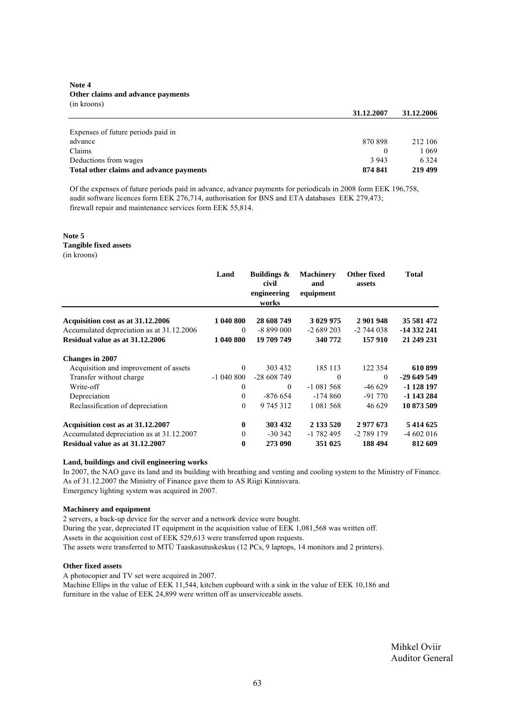#### **Note 4 Other claims and advance payments** (in kroons)

| 870 898  | 212 106 |
|----------|---------|
| $\theta$ | 1 069   |
| 3 9 4 3  | 6 3 2 4 |
| 874 841  | 219 499 |
|          |         |

Of the expenses of future periods paid in advance, advance payments for periodicals in 2008 form EEK 196,758, audit software licences form EEK 276,714, authorisation for BNS and ETA databases EEK 279,473; firewall repair and maintenance services form EEK 55,814.

#### **Note 5**

**Tangible fixed assets**

(in kroons)

|                                           | Land         | <b>Buildings &amp;</b><br>civil<br>engineering<br>works | <b>Machinery</b><br>and<br>equipment | Other fixed<br>assets | <b>Total</b> |
|-------------------------------------------|--------------|---------------------------------------------------------|--------------------------------------|-----------------------|--------------|
| Acquisition cost as at 31.12.2006         | 1 040 800    | 28 608 749                                              | 3 029 975                            | 2 901 948             | 35 581 472   |
| Accumulated depreciation as at 31.12.2006 | $\theta$     | $-8899000$                                              | $-2689203$                           | $-2744038$            | -14 332 241  |
| Residual value as at 31.12.2006           | 1 040 800    | 19 709 749                                              | 340 772                              | 157 910               | 21 249 231   |
| <b>Changes in 2007</b>                    |              |                                                         |                                      |                       |              |
| Acquisition and improvement of assets     | $\theta$     | 303 432                                                 | 185 113                              | 122 354               | 610899       |
| Transfer without charge                   | $-1040800$   | $-28608749$                                             | $\Omega$                             | $\theta$              | $-29649549$  |
| Write-off                                 | $\theta$     | $\Omega$                                                | $-1081568$                           | $-46629$              | -1 128 197   |
| Depreciation                              | $\theta$     | $-876654$                                               | $-174860$                            | -91 770               | -1 143 284   |
| Reclassification of depreciation          | $\theta$     | 9 745 312                                               | 1 081 568                            | 46 629                | 10 873 509   |
| Acquisition cost as at 31.12.2007         | $\mathbf{0}$ | 303 432                                                 | 2 133 520                            | 2 977 673             | 5 4 14 6 25  |
| Accumulated depreciation as at 31.12.2007 | $\mathbf{0}$ | $-30.342$                                               | $-1782495$                           | -2 789 179            | $-4602016$   |
| Residual value as at 31.12.2007           | 0            | 273 090                                                 | 351 025                              | 188 494               | 812 609      |

#### **Land, buildings and civil engineering works**

In 2007, the NAO gave its land and its building with breathing and venting and cooling system to the Ministry of Finance. As of 31.12.2007 the Ministry of Finance gave them to AS Riigi Kinnisvara. Emergency lighting system was acquired in 2007.

#### **Machinery and equipment**

2 servers, a back-up device for the server and a network device were bought. During the year, depreciated IT equipment in the acquisition value of EEK 1,081,568 was written off. Assets in the acquisition cost of EEK 529,613 were transferred upon requests. The assets were transferred to MTÜ Taaskasutuskeskus (12 PCs, 9 laptops, 14 monitors and 2 printers).

#### **Other fixed assets**

A photocopier and TV set were acquired in 2007.

Machine Ellips in the value of EEK 11,544, kitchen cupboard with a sink in the value of EEK 10,186 and furniture in the value of EEK 24,899 were written off as unserviceable assets.

> Mihkel Oviir Auditor General

**31.12.2007 31.12.2006**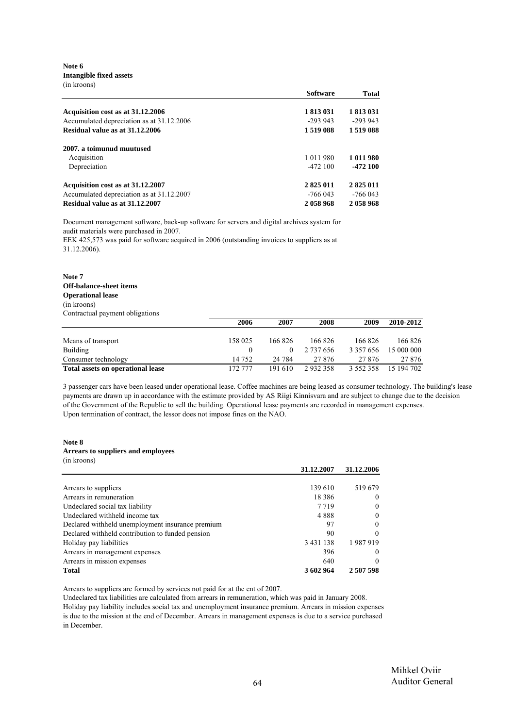**Note 6 Intangible fixed assets** (in kroons)

|                                           | <b>Software</b> | <b>Total</b> |
|-------------------------------------------|-----------------|--------------|
| Acquisition cost as at 31.12.2006         | 1 813 031       | 1 813 031    |
| Accumulated depreciation as at 31.12.2006 | $-293943$       | $-293943$    |
| Residual value as at 31.12.2006           | 1519088         | 1519088      |
| 2007, a toimunud muutused                 |                 |              |
| Acquisition                               | 1 0 1 1 9 8 0   | 1 011 980    |
| Depreciation                              | $-472100$       | $-472100$    |
| Acquisition cost as at 31.12.2007         | 2 825 011       | 2 825 011    |
| Accumulated depreciation as at 31.12.2007 | -766 043        | -766 043     |
| Residual value as at 31.12.2007           | 2058968         | 2058968      |

Document management software, back-up software for servers and digital archives system for audit materials were purchased in 2007.

EEK 425,573 was paid for software acquired in 2006 (outstanding invoices to suppliers as at 31.12.2006).

| Note 7                          |
|---------------------------------|
| <b>Off-balance-sheet items</b>  |
| <b>Operational lease</b>        |
| (in kroons)                     |
| Contractual payment obligations |
|                                 |

|                                   | 2006    | 2007    | 2008      | 2009          | 2010-2012  |
|-----------------------------------|---------|---------|-----------|---------------|------------|
|                                   |         |         |           |               |            |
| Means of transport                | 158 025 | 166 826 | 166 826   | 166826        | 166 826    |
| Building                          |         |         | 2 737 656 | 3 3 5 7 6 5 6 | 15 000 000 |
| Consumer technology               | 14 752  | 24 7 84 | 27 876    | 27 876        | 27 876     |
| Total assets on operational lease | 172 777 | 191 610 | 2932358   | 3 5 5 2 3 5 8 | 15 194 702 |

3 passenger cars have been leased under operational lease. Coffee machines are being leased as consumer technology. The building's lease payments are drawn up in accordance with the estimate provided by AS Riigi Kinnisvara and are subject to change due to the decision of the Government of the Republic to sell the building. Operational lease payments are recorded in management expenses. Upon termination of contract, the lessor does not impose fines on the NAO.

#### **Note 8 Arrears to suppliers and employees**

| (in kroons)                                      |               |              |
|--------------------------------------------------|---------------|--------------|
|                                                  | 31.12.2007    | 31.12.2006   |
|                                                  |               |              |
| Arrears to suppliers                             | 139 610       | 519679       |
| Arrears in remuneration                          | 18 3 8 6      | $\theta$     |
| Undeclared social tax liability                  | 7 7 1 9       | $\theta$     |
| Undeclared withheld income tax                   | 4888          | $\bf{0}$     |
| Declared withheld unemployment insurance premium | 97            | $\mathbf{0}$ |
| Declared withheld contribution to funded pension | 90            | $\theta$     |
| Holiday pay liabilities                          | 3 4 3 1 1 3 8 | 1987919      |
| Arrears in management expenses                   | 396           | $\Omega$     |
| Arrears in mission expenses                      | 640           | $\Omega$     |
| Total                                            | 3 602 964     | 2 507 598    |

Arrears to suppliers are formed by services not paid for at the ent of 2007.

Undeclared tax liabilities are calculated from arrears in remuneration, which was paid in January 2008. Holiday pay liability includes social tax and unemployment insurance premium. Arrears in mission expenses is due to the mission at the end of December. Arrears in management expenses is due to a service purchased in December.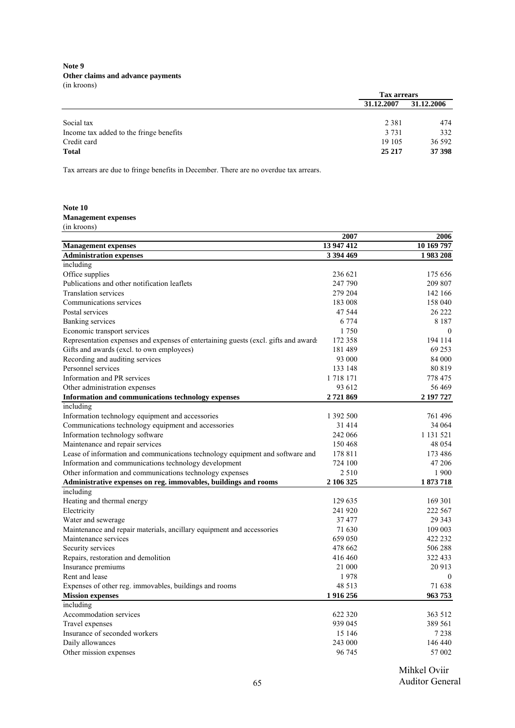**Note 9 Other claims and advance payments** (in kroons)

|                                         |            | <b>Tax arrears</b> |  |
|-----------------------------------------|------------|--------------------|--|
|                                         | 31.12.2007 | 31.12.2006         |  |
|                                         |            |                    |  |
| Social tax                              | 2 3 8 1    | 474                |  |
| Income tax added to the fringe benefits | 3 7 3 1    | 332                |  |
| Credit card                             | 19 10 5    | 36 592             |  |
| <b>Total</b>                            | 25 217     | 37 398             |  |

Tax arrears are due to fringe benefits in December. There are no overdue tax arrears.

#### **Note 10 Management expenses** (in kroons)

|                                                                                     | 2007          | 2006          |
|-------------------------------------------------------------------------------------|---------------|---------------|
| <b>Management expenses</b>                                                          | 13 947 412    | 10 169 797    |
| <b>Administration expenses</b>                                                      | 3 394 469     | 1983208       |
| including                                                                           |               |               |
| Office supplies                                                                     | 236 621       | 175 656       |
| Publications and other notification leaflets                                        | 247 790       | 209 807       |
| <b>Translation services</b>                                                         | 279 204       | 142 166       |
| Communications services                                                             | 183 008       | 158 040       |
| Postal services                                                                     | 47 544        | 26 222        |
| Banking services                                                                    | 6 7 7 4       | 8 1 8 7       |
| Economic transport services                                                         | 1750          | $\theta$      |
| Representation expenses and expenses of entertaining guests (excl. gifts and award: | 172 358       | 194 114       |
| Gifts and awards (excl. to own employees)                                           | 181489        | 69 253        |
| Recording and auditing services                                                     | 93 000        | 84 000        |
| Personnel services                                                                  | 133 148       | 80 819        |
| Information and PR services                                                         | 1 7 1 8 1 7 1 | 778 475       |
| Other administration expenses                                                       | 93 612        | 56 469        |
| Information and communications technology expenses                                  | 2721869       | 2 197 727     |
| including                                                                           |               |               |
| Information technology equipment and accessories                                    | 1 392 500     | 761496        |
| Communications technology equipment and accessories                                 | 31 414        | 34 064        |
| Information technology software                                                     | 242 066       | 1 1 3 1 5 2 1 |
| Maintenance and repair services                                                     | 150 468       | 48 0 54       |
| Lease of information and communications technology equipment and software and       | 178 811       | 173 486       |
| Information and communications technology development                               | 724 100       | 47 206        |
| Other information and communications technology expenses                            | 2 5 1 0       | 1 900         |
| Administrative expenses on reg. immovables, buildings and rooms                     | 2 106 325     | 1873718       |
| including                                                                           |               |               |
| Heating and thermal energy                                                          | 129 635       | 169 301       |
| Electricity                                                                         | 241 920       | 222 567       |
| Water and sewerage                                                                  | 37 477        | 29 34 3       |
| Maintenance and repair materials, ancillary equipment and accessories               | 71 630        | 109 003       |
| Maintenance services                                                                | 659 050       | 422 232       |
| Security services                                                                   | 478 662       | 506 288       |
| Repairs, restoration and demolition                                                 | 416 460       | 322 433       |
| Insurance premiums                                                                  | 21 000        | 20 913        |
| Rent and lease                                                                      | 1978          | $\mathbf{0}$  |
| Expenses of other reg. immovables, buildings and rooms                              | 48 5 13       | 71 638        |
| <b>Mission expenses</b>                                                             | 1916256       | 963753        |
| including                                                                           |               |               |
| Accommodation services                                                              | 622 320       | 363 512       |
| Travel expenses                                                                     | 939 045       | 389 561       |
| Insurance of seconded workers                                                       | 15 146        | 7 2 3 8       |
| Daily allowances                                                                    | 243 000       | 146 440       |
| Other mission expenses                                                              | 96 745        | 57 002        |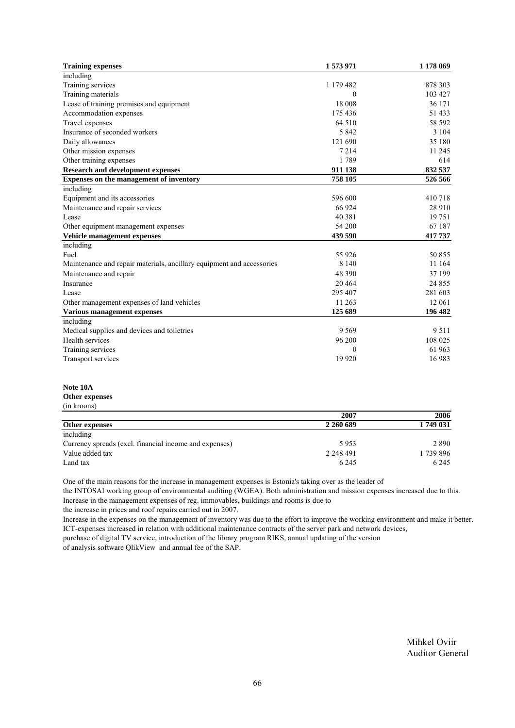| <b>Training expenses</b>                                              | 1573971   | 1 178 069 |
|-----------------------------------------------------------------------|-----------|-----------|
| including                                                             |           |           |
| Training services                                                     | 1 179 482 | 878 303   |
| Training materials                                                    | 0         | 103 427   |
| Lease of training premises and equipment                              | 18 008    | 36 171    |
| Accommodation expenses                                                | 175 436   | 51 433    |
| Travel expenses                                                       | 64 510    | 58 592    |
| Insurance of seconded workers                                         | 5842      | 3 104     |
| Daily allowances                                                      | 121 690   | 35 180    |
| Other mission expenses                                                | 7214      | 11 245    |
| Other training expenses                                               | 1789      | 614       |
| <b>Research and development expenses</b>                              | 911 138   | 832 537   |
| Expenses on the management of inventory                               | 758 105   | 526 566   |
| including                                                             |           |           |
| Equipment and its accessories                                         | 596 600   | 410 718   |
| Maintenance and repair services                                       | 66 924    | 28 910    |
| Lease                                                                 | 40 381    | 19 751    |
| Other equipment management expenses                                   | 54 200    | 67 187    |
| Vehicle management expenses                                           | 439 590   | 417 737   |
| including                                                             |           |           |
| Fuel                                                                  | 55 9 26   | 50 855    |
| Maintenance and repair materials, ancillary equipment and accessories | 8 1 4 0   | 11 164    |
| Maintenance and repair                                                | 48 390    | 37 199    |
| Insurance                                                             | 20 4 64   | 24 855    |
| Lease                                                                 | 295 407   | 281 603   |
| Other management expenses of land vehicles                            | 11 263    | 12 061    |
| <b>Various management expenses</b>                                    | 125 689   | 196 482   |
| including                                                             |           |           |
| Medical supplies and devices and toiletries                           | 9 5 6 9   | 9 5 1 1   |
| Health services                                                       | 96 200    | 108 025   |
| Training services                                                     | 0         | 61 963    |
| Transport services                                                    | 19 9 20   | 16 983    |

#### **Note 10A**

#### **Other expenses** (in kroons)

| $\mu$ an Kroons                                        |           |          |  |
|--------------------------------------------------------|-----------|----------|--|
|                                                        | 2007      | 2006     |  |
| <b>Other expenses</b>                                  | 2 260 689 | 1749 031 |  |
| including                                              |           |          |  |
| Currency spreads (excl. financial income and expenses) | 5953      | 2 8 9 0  |  |
| Value added tax                                        | 2 248 491 | 1739896  |  |
| Land tax                                               | 6 2 4 5   | 6 2 4 5  |  |

One of the main reasons for the increase in management expenses is Estonia's taking over as the leader of

the INTOSAI working group of environmental auditing (WGEA). Both administration and mission expenses increased due to this. Increase in the management expenses of reg. immovables, buildings and rooms is due to

the increase in prices and roof repairs carried out in 2007.

Increase in the expenses on the management of inventory was due to the effort to improve the working environment and make it better. ICT-expenses increased in relation with additional maintenance contracts of the server park and network devices,

purchase of digital TV service, introduction of the library program RIKS, annual updating of the version of analysis software QlikView and annual fee of the SAP.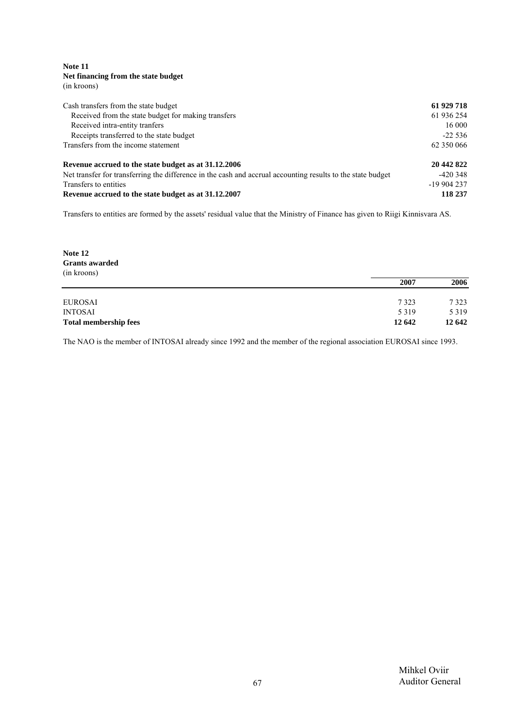**Note 11 Net financing from the state budget** (in kroons)

| Cash transfers from the state budget                                                                        | 61 929 718  |
|-------------------------------------------------------------------------------------------------------------|-------------|
| Received from the state budget for making transfers                                                         | 61 936 254  |
| Received intra-entity tranfers                                                                              | 16 000      |
| Receipts transferred to the state budget                                                                    | $-22536$    |
| Transfers from the income statement                                                                         | 62 350 066  |
| Revenue accrued to the state budget as at 31.12.2006                                                        | 20 442 822  |
| Net transfer for transferring the difference in the cash and accrual accounting results to the state budget | $-420.348$  |
| Transfers to entities                                                                                       | $-19904237$ |
| Revenue accrued to the state budget as at 31.12.2007                                                        | 118 237     |

Transfers to entities are formed by the assets' residual value that the Ministry of Finance has given to Riigi Kinnisvara AS.

**Note 12 Grants awarded** (in kroons) **2007 2006** EUROSAI 7 323 7 323

| <b>Total membership fees</b> | 12 642  | 12 642  |
|------------------------------|---------|---------|
| <b>INTOSAI</b>               | 5 3 1 9 | 5 3 1 9 |
| 100111                       | ---     | ---     |

The NAO is the member of INTOSAI already since 1992 and the member of the regional association EUROSAI since 1993.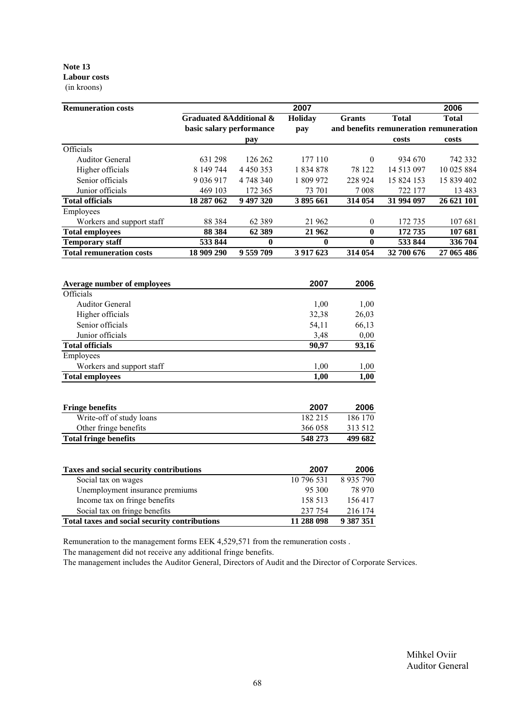#### **Note 13 Labour costs** (in kroons)

| <b>Remuneration costs</b>       |                          |               | 2007           |               |                                        | 2006         |
|---------------------------------|--------------------------|---------------|----------------|---------------|----------------------------------------|--------------|
|                                 | Graduated &Additional &  |               | <b>Holiday</b> | <b>Grants</b> | <b>Total</b>                           | <b>Total</b> |
|                                 | basic salary performance |               | pay            |               | and benefits remuneration remuneration |              |
|                                 |                          | pay           |                |               | costs                                  | costs        |
| Officials                       |                          |               |                |               |                                        |              |
| <b>Auditor General</b>          | 631 298                  | 126 262       | 177 110        | $\theta$      | 934 670                                | 742 332      |
| Higher officials                | 8 149 744                | 4 4 5 0 3 5 3 | 1 834 878      | 78 122        | 14 513 097                             | 10 025 884   |
| Senior officials                | 9 0 3 6 9 1 7            | 4 748 340     | 1 809 972      | 228 924       | 15 824 153                             | 15 839 402   |
| Junior officials                | 469 103                  | 172 365       | 73 701         | 7 0 0 8       | 722 177                                | 13 4 8 3     |
| <b>Total officials</b>          | 18 287 062               | 9 497 320     | 3895661        | 314 054       | 31 994 097                             | 26 621 101   |
| Employees                       |                          |               |                |               |                                        |              |
| Workers and support staff       | 88 3 84                  | 62 3 8 9      | 21 962         | $\theta$      | 172 735                                | 107 681      |
| <b>Total employees</b>          | 88 3 84                  | 62 3 89       | 21 962         | $\mathbf{0}$  | 172735                                 | 107 681      |
| <b>Temporary staff</b>          | 533 844                  | 0             | 0              | $\mathbf{0}$  | 533 844                                | 336 704      |
| <b>Total remuneration costs</b> | 18 909 290               | 9 559 709     | 3 9 17 6 23    | 314 054       | 32 700 676                             | 27 065 486   |

| Average number of employees | 2007    | 2006    |
|-----------------------------|---------|---------|
| Officials                   |         |         |
| <b>Auditor General</b>      | 1,00    | 1,00    |
| Higher officials            | 32,38   | 26,03   |
| Senior officials            | 54,11   | 66,13   |
| Junior officials            | 3,48    | 0,00    |
| <b>Total officials</b>      | 90,97   | 93,16   |
| Employees                   |         |         |
| Workers and support staff   | 1,00    | 1,00    |
| <b>Total employees</b>      | 1,00    | 1,00    |
| <b>Fringe benefits</b>      | 2007    | 2006    |
| Write-off of study loans    | 182 215 | 186 170 |
| Other fringe benefits       | 366 058 | 313 512 |

| Taxes and social security contributions       | 2007       | 2006          |
|-----------------------------------------------|------------|---------------|
| Social tax on wages                           | 10 796 531 | 8 9 3 5 7 9 0 |
| Unemployment insurance premiums               | 95 300     | 78 970        |
| Income tax on fringe benefits                 | 158 513    | 156417        |
| Social tax on fringe benefits                 | 237 754    | 216 174       |
| Total taxes and social security contributions | 11 288 098 | 9 387 351     |

**Total fringe benefits 548 273 499 682**

Remuneration to the management forms EEK 4,529,571 from the remuneration costs .

The management did not receive any additional fringe benefits.

The management includes the Auditor General, Directors of Audit and the Director of Corporate Services.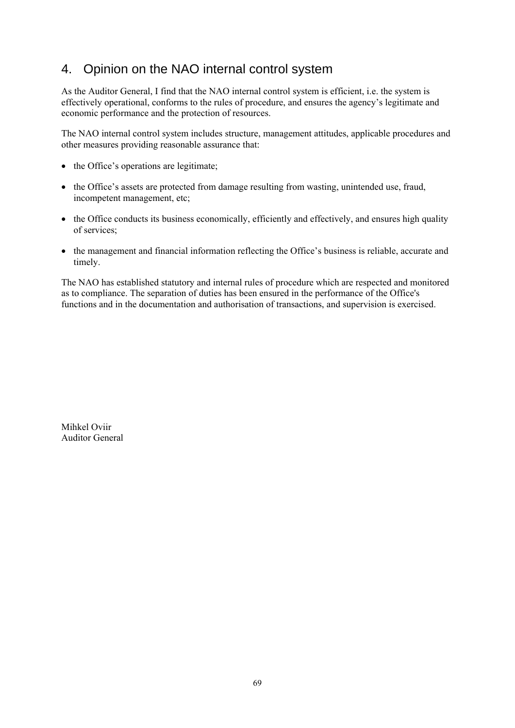## 4. Opinion on the NAO internal control system

As the Auditor General, I find that the NAO internal control system is efficient, i.e. the system is effectively operational, conforms to the rules of procedure, and ensures the agency's legitimate and economic performance and the protection of resources.

The NAO internal control system includes structure, management attitudes, applicable procedures and other measures providing reasonable assurance that:

- the Office's operations are legitimate;
- the Office's assets are protected from damage resulting from wasting, unintended use, fraud, incompetent management, etc;
- the Office conducts its business economically, efficiently and effectively, and ensures high quality of services;
- the management and financial information reflecting the Office's business is reliable, accurate and timely.

The NAO has established statutory and internal rules of procedure which are respected and monitored as to compliance. The separation of duties has been ensured in the performance of the Office's functions and in the documentation and authorisation of transactions, and supervision is exercised.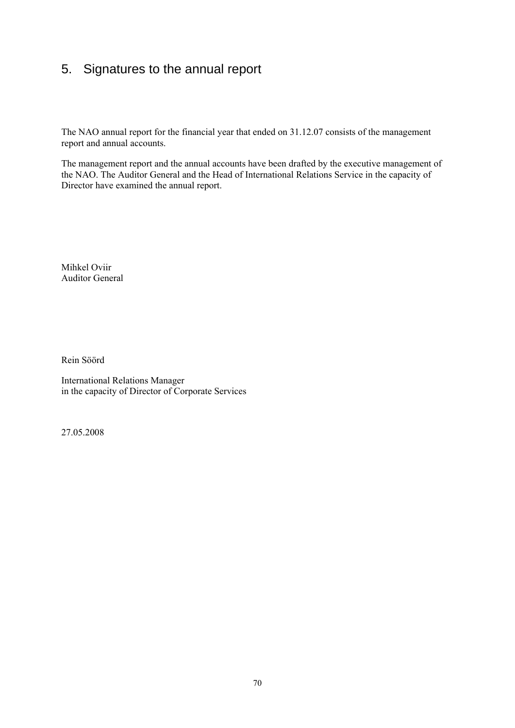## 5. Signatures to the annual report

The NAO annual report for the financial year that ended on 31.12.07 consists of the management report and annual accounts.

The management report and the annual accounts have been drafted by the executive management of the NAO. The Auditor General and the Head of International Relations Service in the capacity of Director have examined the annual report.

Mihkel Oviir Auditor General

Rein Söörd

International Relations Manager in the capacity of Director of Corporate Services

27.05.2008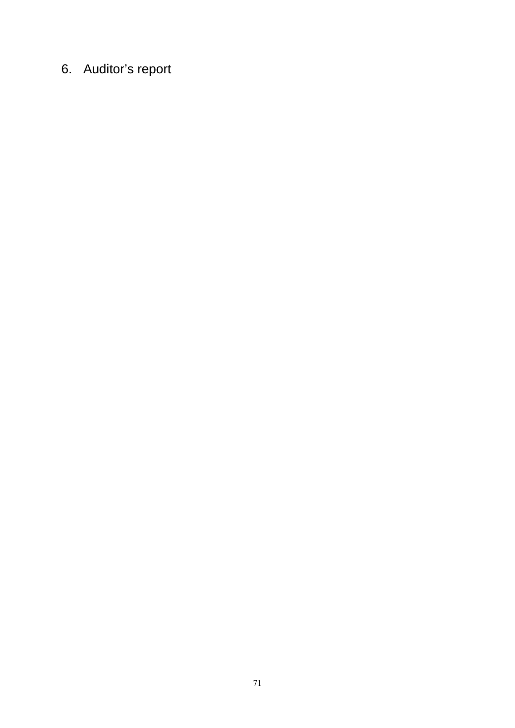# 6. Auditor's report